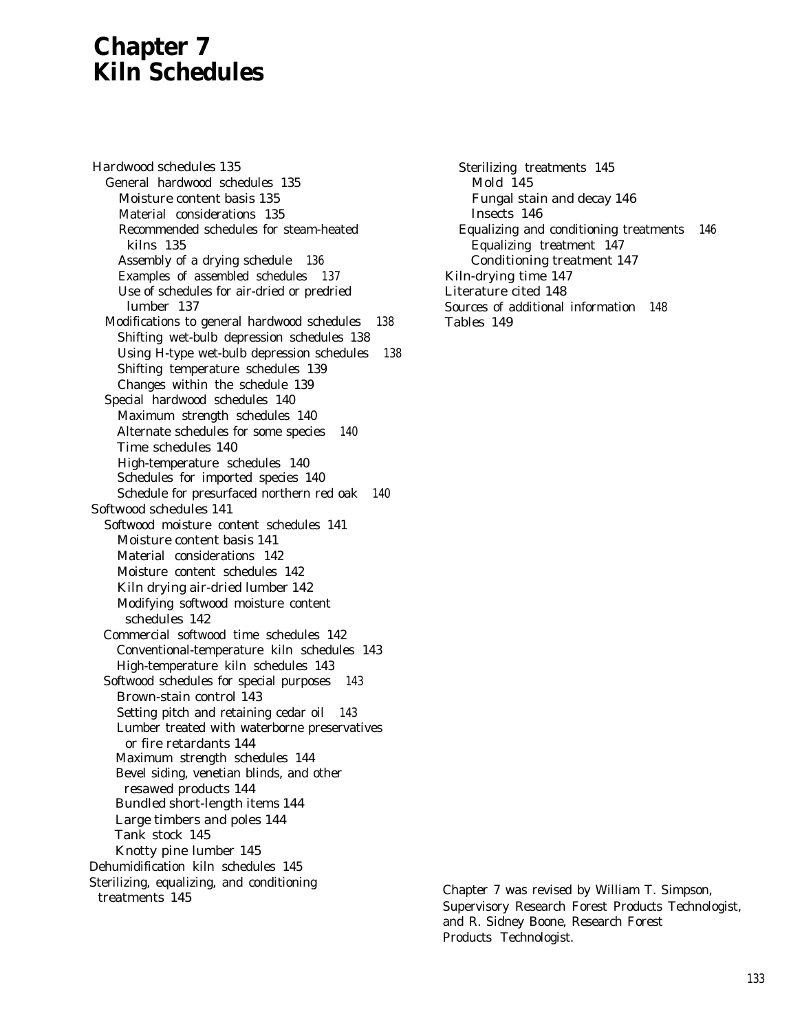# **Chapter 7 Kiln Schedules**

Hardwood schedules 135 General hardwood schedules 135 Moisture content basis 135 Material considerations 135 Recommended schedules for steam-heated kilns 135 Assembly of a drying schedule 136 Examples of assembled schedules 137 Use of schedules for air-dried or predried lumber 137 Modifications to general hardwood schedules 138 Shifting wet-bulb depression schedules 138 Using H-type wet-bulb depression schedules 138 Shifting temperature schedules 139 Changes within the schedule 139 Special hardwood schedules 140 Maximum strength schedules 140 Alternate schedules for some species 140 Time schedules 140 High-temperature schedules 140 Schedules for imported species 140 Schedule for presurfaced northern red oak 140 Softwood schedules 141 Softwood moisture content schedules 141 Moisture content basis 141 Material considerations 142 Moisture content schedules 142 Kiln drying air-dried lumber 142 Modifying softwood moisture content schedules 142 Commercial softwood time schedules 142 Conventional-temperature kiln schedules 143 High-temperature kiln schedules 143 Softwood schedules for special purposes 143 Brown-stain control 143 Setting pitch and retaining cedar oil 143 Lumber treated with waterborne preservatives or fire retardants 144 Maximum strength schedules 144 Bevel siding, venetian blinds, and other resawed products 144 Bundled short-length items 144 Large timbers and poles 144 Tank stock 145 Knotty pine lumber 145 Dehumidification kiln schedules 145 Sterilizing, equalizing, and conditioning treatments 145

Sterilizing treatments 145 Mold 145 Fungal stain and decay 146 Insects 146 Equalizing and conditioning treatments 146 Equalizing treatment 147 Conditioning treatment 147 Kiln-drying time 147 Literature cited 148 Sources of additional information 148 Tables 149

Chapter 7 was revised by William T. Simpson, Supervisory Research Forest Products Technologist, and R. Sidney Boone, Research Forest Products Technologist.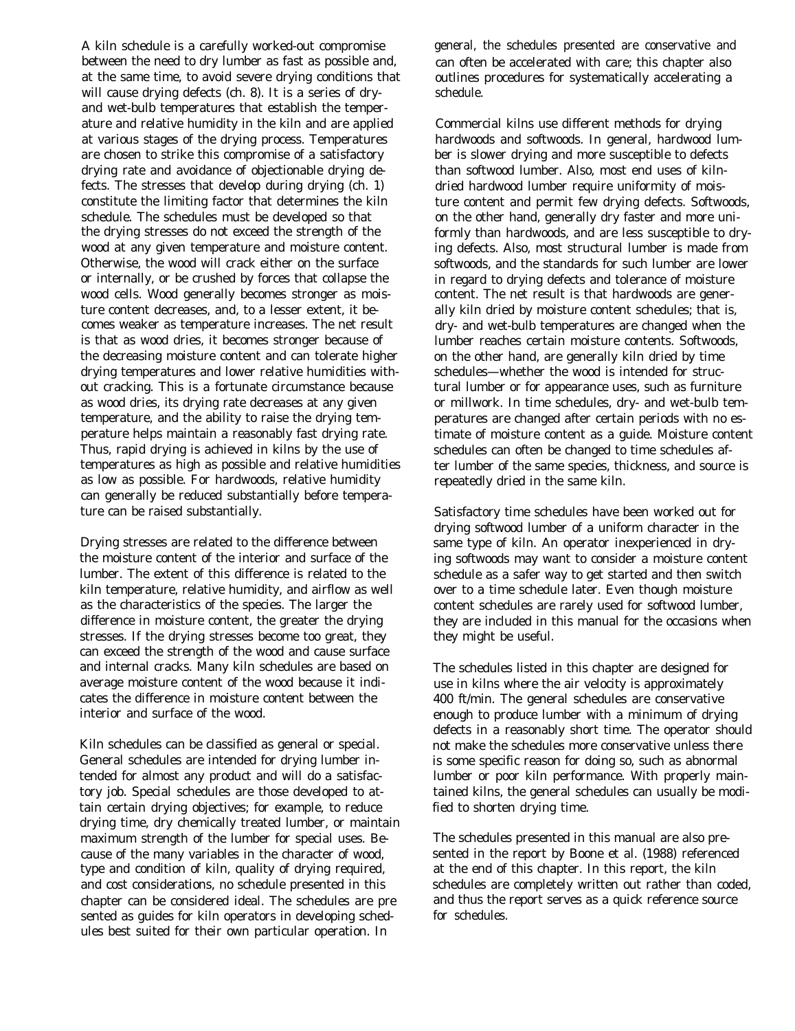A kiln schedule is a carefully worked-out compromise between the need to dry lumber as fast as possible and, at the same time, to avoid severe drying conditions that will cause drying defects (ch. 8). It is a series of dryand wet-bulb temperatures that establish the temperature and relative humidity in the kiln and are applied at various stages of the drying process. Temperatures are chosen to strike this compromise of a satisfactory drying rate and avoidance of objectionable drying defects. The stresses that develop during drying (ch. 1) constitute the limiting factor that determines the kiln schedule. The schedules must be developed so that the drying stresses do not exceed the strength of the wood at any given temperature and moisture content. Otherwise, the wood will crack either on the surface or internally, or be crushed by forces that collapse the wood cells. Wood generally becomes stronger as moisture content decreases, and, to a lesser extent, it becomes weaker as temperature increases. The net result is that as wood dries, it becomes stronger because of the decreasing moisture content and can tolerate higher drying temperatures and lower relative humidities without cracking. This is a fortunate circumstance because as wood dries, its drying rate decreases at any given temperature, and the ability to raise the drying temperature helps maintain a reasonably fast drying rate. Thus, rapid drying is achieved in kilns by the use of temperatures as high as possible and relative humidities as low as possible. For hardwoods, relative humidity can generally be reduced substantially before temperature can be raised substantially.

Drying stresses are related to the difference between the moisture content of the interior and surface of the lumber. The extent of this difference is related to the kiln temperature, relative humidity, and airflow as well as the characteristics of the species. The larger the difference in moisture content, the greater the drying stresses. If the drying stresses become too great, they can exceed the strength of the wood and cause surface and internal cracks. Many kiln schedules are based on average moisture content of the wood because it indicates the difference in moisture content between the interior and surface of the wood.

Kiln schedules can be classified as general or special. General schedules are intended for drying lumber intended for almost any product and will do a satisfactory job. Special schedules are those developed to attain certain drying objectives; for example, to reduce drying time, dry chemically treated lumber, or maintain maximum strength of the lumber for special uses. Because of the many variables in the character of wood, type and condition of kiln, quality of drying required, and cost considerations, no schedule presented in this chapter can be considered ideal. The schedules are pre sented as guides for kiln operators in developing schedules best suited for their own particular operation. In

general, the schedules presented are conservative and can often be accelerated with care; this chapter also outlines procedures for systematically accelerating a schedule.

Commercial kilns use different methods for drying hardwoods and softwoods. In general, hardwood lumber is slower drying and more susceptible to defects than softwood lumber. Also, most end uses of kilndried hardwood lumber require uniformity of moisture content and permit few drying defects. Softwoods, on the other hand, generally dry faster and more uniformly than hardwoods, and are less susceptible to drying defects. Also, most structural lumber is made from softwoods, and the standards for such lumber are lower in regard to drying defects and tolerance of moisture content. The net result is that hardwoods are generally kiln dried by moisture content schedules; that is, dry- and wet-bulb temperatures are changed when the lumber reaches certain moisture contents. Softwoods, on the other hand, are generally kiln dried by time schedules—whether the wood is intended for structural lumber or for appearance uses, such as furniture or millwork. In time schedules, dry- and wet-bulb temperatures are changed after certain periods with no estimate of moisture content as a guide. Moisture content schedules can often be changed to time schedules after lumber of the same species, thickness, and source is repeatedly dried in the same kiln.

Satisfactory time schedules have been worked out for drying softwood lumber of a uniform character in the same type of kiln. An operator inexperienced in drying softwoods may want to consider a moisture content schedule as a safer way to get started and then switch over to a time schedule later. Even though moisture content schedules are rarely used for softwood lumber, they are included in this manual for the occasions when they might be useful.

The schedules listed in this chapter are designed for use in kilns where the air velocity is approximately 400 ft/min. The general schedules are conservative enough to produce lumber with a minimum of drying defects in a reasonably short time. The operator should not make the schedules more conservative unless there is some specific reason for doing so, such as abnormal lumber or poor kiln performance. With properly maintained kilns, the general schedules can usually be modified to shorten drying time.

The schedules presented in this manual are also presented in the report by Boone et al. (1988) referenced at the end of this chapter. In this report, the kiln schedules are completely written out rather than coded, and thus the report serves as a quick reference source for schedules.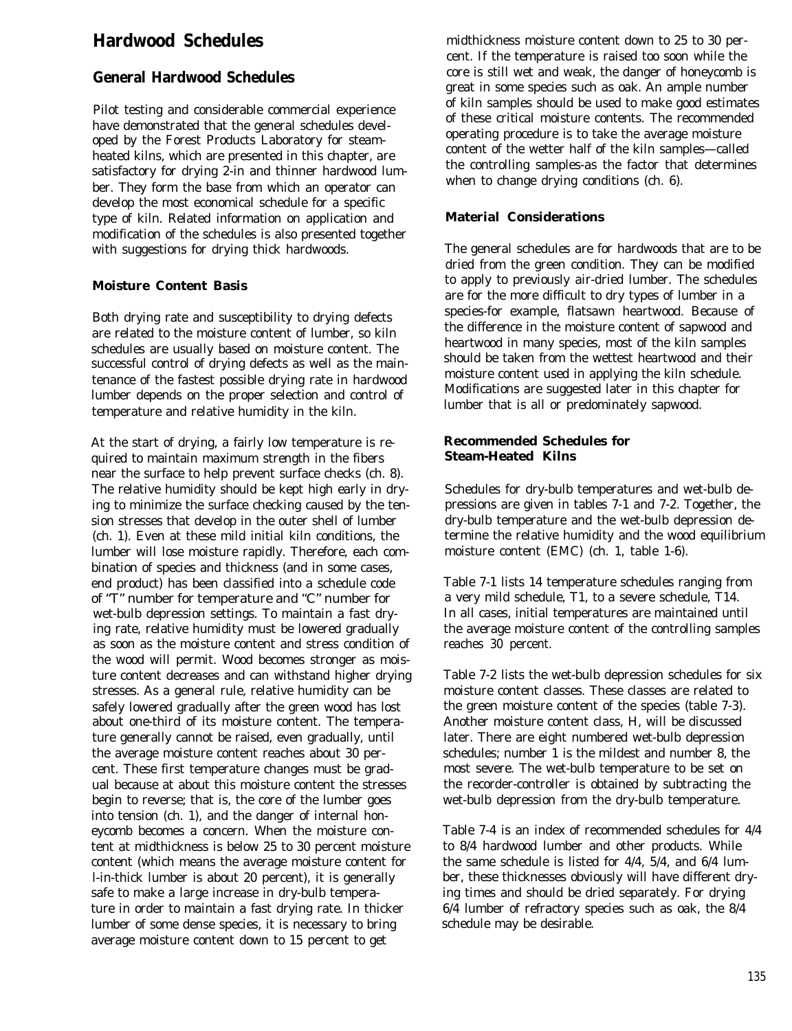# **Hardwood Schedules**

# **General Hardwood Schedules**

Pilot testing and considerable commercial experience have demonstrated that the general schedules developed by the Forest Products Laboratory for steamheated kilns, which are presented in this chapter, are satisfactory for drying 2-in and thinner hardwood lumber. They form the base from which an operator can develop the most economical schedule for a specific type of kiln. Related information on application and modification of the schedules is also presented together with suggestions for drying thick hardwoods.

#### **Moisture Content Basis**

Both drying rate and susceptibility to drying defects are related to the moisture content of lumber, so kiln schedules are usually based on moisture content. The successful control of drying defects as well as the maintenance of the fastest possible drying rate in hardwood lumber depends on the proper selection and control of temperature and relative humidity in the kiln.

At the start of drying, a fairly low temperature is required to maintain maximum strength in the fibers near the surface to help prevent surface checks (ch. 8). The relative humidity should be kept high early in drying to minimize the surface checking caused by the tension stresses that develop in the outer shell of lumber (ch. 1). Even at these mild initial kiln conditions, the lumber will lose moisture rapidly. Therefore, each combination of species and thickness (and in some cases, end product) has been classified into a schedule code of "T" number for temperature and "C" number for wet-bulb depression settings. To maintain a fast drying rate, relative humidity must be lowered gradually as soon as the moisture content and stress condition of the wood will permit. Wood becomes stronger as moisture content decreases and can withstand higher drying stresses. As a general rule, relative humidity can be safely lowered gradually after the green wood has lost about one-third of its moisture content. The temperature generally cannot be raised, even gradually, until the average moisture content reaches about 30 percent. These first temperature changes must be gradual because at about this moisture content the stresses begin to reverse; that is, the core of the lumber goes into tension (ch. 1), and the danger of internal honeycomb becomes a concern. When the moisture content at midthickness is below 25 to 30 percent moisture content (which means the average moisture content for l-in-thick lumber is about 20 percent), it is generally safe to make a large increase in dry-bulb temperature in order to maintain a fast drying rate. In thicker lumber of some dense species, it is necessary to bring average moisture content down to 15 percent to get

midthickness moisture content down to 25 to 30 percent. If the temperature is raised too soon while the core is still wet and weak, the danger of honeycomb is great in some species such as oak. An ample number of kiln samples should be used to make good estimates of these critical moisture contents. The recommended operating procedure is to take the average moisture content of the wetter half of the kiln samples—called the controlling samples-as the factor that determines when to change drying conditions (ch. 6).

#### **Material Considerations**

The general schedules are for hardwoods that are to be dried from the green condition. They can be modified to apply to previously air-dried lumber. The schedules are for the more difficult to dry types of lumber in a species-for example, flatsawn heartwood. Because of the difference in the moisture content of sapwood and heartwood in many species, most of the kiln samples should be taken from the wettest heartwood and their moisture content used in applying the kiln schedule. Modifications are suggested later in this chapter for lumber that is all or predominately sapwood.

#### **Recommended Schedules for Steam-Heated Kilns**

Schedules for dry-bulb temperatures and wet-bulb depressions are given in tables 7-1 and 7-2. Together, the dry-bulb temperature and the wet-bulb depression determine the relative humidity and the wood equilibrium moisture content (EMC) (ch. 1, table 1-6).

Table 7-1 lists 14 temperature schedules ranging from a very mild schedule, T1, to a severe schedule, T14. In all cases, initial temperatures are maintained until the average moisture content of the controlling samples reaches 30 percent.

Table 7-2 lists the wet-bulb depression schedules for six moisture content classes. These classes are related to the green moisture content of the species (table 7-3). Another moisture content class, H, will be discussed later. There are eight numbered wet-bulb depression schedules; number 1 is the mildest and number 8, the most severe. The wet-bulb temperature to be set on the recorder-controller is obtained by subtracting the wet-bulb depression from the dry-bulb temperature.

Table 7-4 is an index of recommended schedules for 4/4 to 8/4 hardwood lumber and other products. While the same schedule is listed for 4/4, 5/4, and 6/4 lumber, these thicknesses obviously will have different drying times and should be dried separately. For drying 6/4 lumber of refractory species such as oak, the 8/4 schedule may be desirable.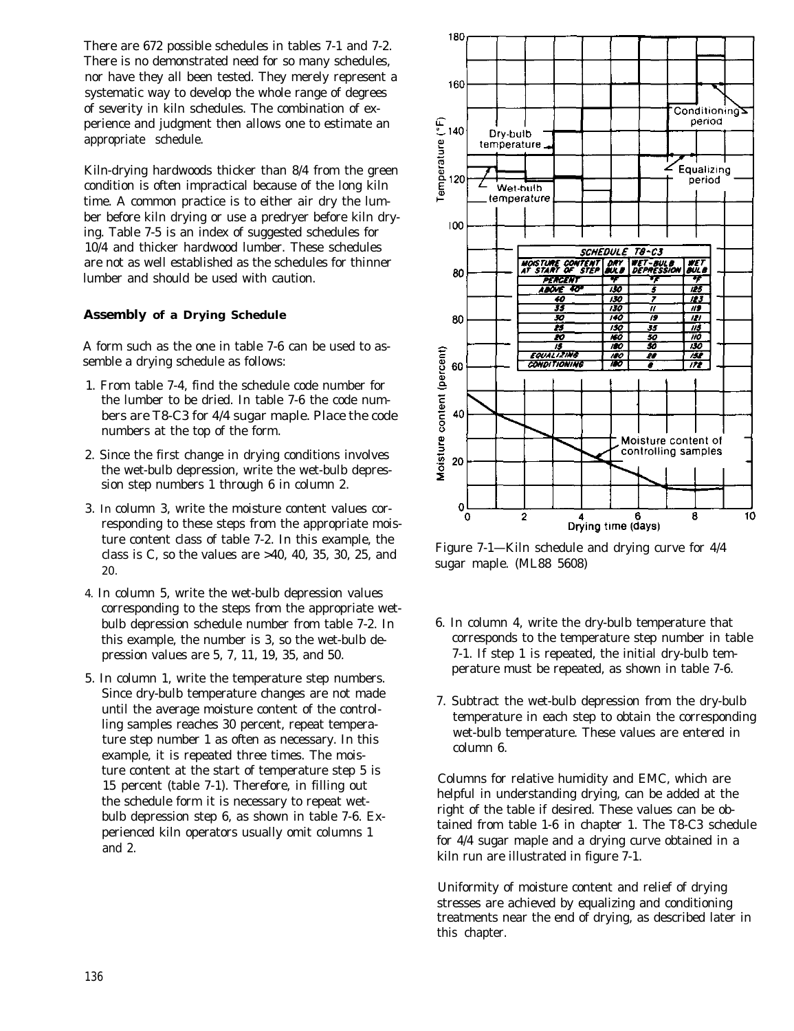There are 672 possible schedules in tables 7-1 and 7-2. There is no demonstrated need for so many schedules, nor have they all been tested. They merely represent a systematic way to develop the whole range of degrees of severity in kiln schedules. The combination of experience and judgment then allows one to estimate an appropriate schedule.

Kiln-drying hardwoods thicker than 8/4 from the green condition is often impractical because of the long kiln time. A common practice is to either air dry the lumber before kiln drying or use a predryer before kiln drying. Table 7-5 is an index of suggested schedules for 10/4 and thicker hardwood lumber. These schedules are not as well established as the schedules for thinner lumber and should be used with caution.

### **Assembly of a Drying Schedule**

A form such as the one in table 7-6 can be used to assemble a drying schedule as follows:

- 1. From table 7-4, find the schedule code number for the lumber to be dried. In table 7-6 the code numbers are T8-C3 for 4/4 sugar maple. Place the code numbers at the top of the form.
- 2. Since the first change in drying conditions involves the wet-bulb depression, write the wet-bulb depression step numbers 1 through 6 in column 2.
- 3. In column 3, write the moisture content values corresponding to these steps from the appropriate moisture content class of table 7-2. In this example, the class is C, so the values are >40, 40, 35, 30, 25, and 20.
- 4. In column 5, write the wet-bulb depression values corresponding to the steps from the appropriate wetbulb depression schedule number from table 7-2. In this example, the number is 3, so the wet-bulb depression values are 5, 7, 11, 19, 35, and 50.
- 5. In column 1, write the temperature step numbers. Since dry-bulb temperature changes are not made until the average moisture content of the controlling samples reaches 30 percent, repeat temperature step number 1 as often as necessary. In this example, it is repeated three times. The moisture content at the start of temperature step 5 is 15 percent (table 7-1). Therefore, in filling out the schedule form it is necessary to repeat wetbulb depression step 6, as shown in table 7-6. Experienced kiln operators usually omit columns 1 and 2.



Figure 7-1—Kiln schedule and drying curve for 4/4 sugar maple. (ML88 5608)

- 6. In column 4, write the dry-bulb temperature that corresponds to the temperature step number in table 7-1. If step 1 is repeated, the initial dry-bulb temperature must be repeated, as shown in table 7-6.
- 7. Subtract the wet-bulb depression from the dry-bulb temperature in each step to obtain the corresponding wet-bulb temperature. These values are entered in column 6.

Columns for relative humidity and EMC, which are helpful in understanding drying, can be added at the right of the table if desired. These values can be obtained from table 1-6 in chapter 1. The T8-C3 schedule for 4/4 sugar maple and a drying curve obtained in a kiln run are illustrated in figure 7-1.

Uniformity of moisture content and relief of drying stresses are achieved by equalizing and conditioning treatments near the end of drying, as described later in this chapter.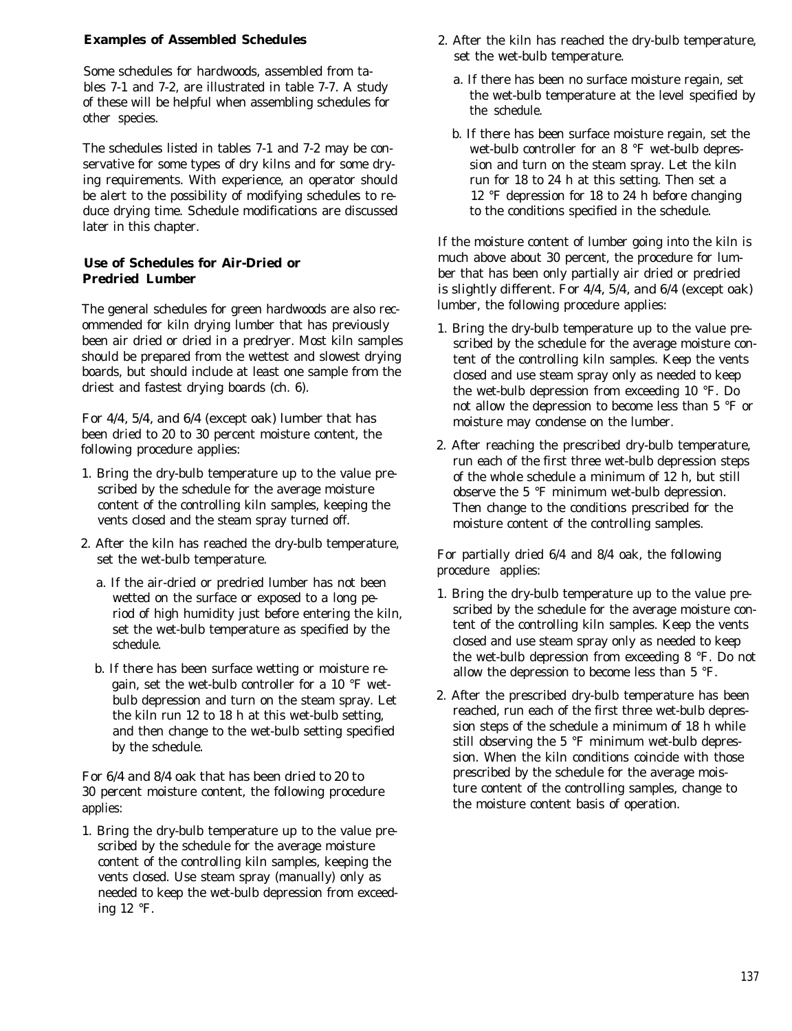#### **Examples of Assembled Schedules**

Some schedules for hardwoods, assembled from tables 7-1 and 7-2, are illustrated in table 7-7. A study of these will be helpful when assembling schedules for other species.

The schedules listed in tables 7-1 and 7-2 may be conservative for some types of dry kilns and for some drying requirements. With experience, an operator should be alert to the possibility of modifying schedules to reduce drying time. Schedule modifications are discussed later in this chapter.

### **Use of Schedules for Air-Dried or Predried Lumber**

The general schedules for green hardwoods are also recommended for kiln drying lumber that has previously been air dried or dried in a predryer. Most kiln samples should be prepared from the wettest and slowest drying boards, but should include at least one sample from the driest and fastest drying boards (ch. 6).

For 4/4, 5/4, and 6/4 (except oak) lumber that has been dried to 20 to 30 percent moisture content, the following procedure applies:

- 1. Bring the dry-bulb temperature up to the value prescribed by the schedule for the average moisture content of the controlling kiln samples, keeping the vents closed and the steam spray turned off.
- 2. After the kiln has reached the dry-bulb temperature, set the wet-bulb temperature.
	- a. If the air-dried or predried lumber has not been wetted on the surface or exposed to a long period of high humidity just before entering the kiln, set the wet-bulb temperature as specified by the schedule.
	- b. If there has been surface wetting or moisture regain, set the wet-bulb controller for a 10 °F wetbulb depression and turn on the steam spray. Let the kiln run 12 to 18 h at this wet-bulb setting, and then change to the wet-bulb setting specified by the schedule.

For 6/4 and 8/4 oak that has been dried to 20 to 30 percent moisture content, the following procedure applies:

1. Bring the dry-bulb temperature up to the value prescribed by the schedule for the average moisture content of the controlling kiln samples, keeping the vents closed. Use steam spray (manually) only as needed to keep the wet-bulb depression from exceeding 12 °F.

- 2. After the kiln has reached the dry-bulb temperature, set the wet-bulb temperature.
	- a. If there has been no surface moisture regain, set the wet-bulb temperature at the level specified by the schedule.
	- b. If there has been surface moisture regain, set the wet-bulb controller for an 8 °F wet-bulb depression and turn on the steam spray. Let the kiln run for 18 to 24 h at this setting. Then set a 12 °F depression for 18 to 24 h before changing to the conditions specified in the schedule.

If the moisture content of lumber going into the kiln is much above about 30 percent, the procedure for lumber that has been only partially air dried or predried is slightly different. For 4/4, 5/4, and 6/4 (except oak) lumber, the following procedure applies:

- 1. Bring the dry-bulb temperature up to the value prescribed by the schedule for the average moisture content of the controlling kiln samples. Keep the vents closed and use steam spray only as needed to keep the wet-bulb depression from exceeding 10 °F. Do not allow the depression to become less than 5 °F or moisture may condense on the lumber.
- 2. After reaching the prescribed dry-bulb temperature, run each of the first three wet-bulb depression steps of the whole schedule a minimum of 12 h, but still observe the 5 °F minimum wet-bulb depression. Then change to the conditions prescribed for the moisture content of the controlling samples.

For partially dried 6/4 and 8/4 oak, the following procedure applies:

- 1. Bring the dry-bulb temperature up to the value prescribed by the schedule for the average moisture content of the controlling kiln samples. Keep the vents closed and use steam spray only as needed to keep the wet-bulb depression from exceeding 8 °F. Do not allow the depression to become less than 5 °F.
- 2. After the prescribed dry-bulb temperature has been reached, run each of the first three wet-bulb depression steps of the schedule a minimum of 18 h while still observing the 5 °F minimum wet-bulb depression. When the kiln conditions coincide with those prescribed by the schedule for the average moisture content of the controlling samples, change to the moisture content basis of operation.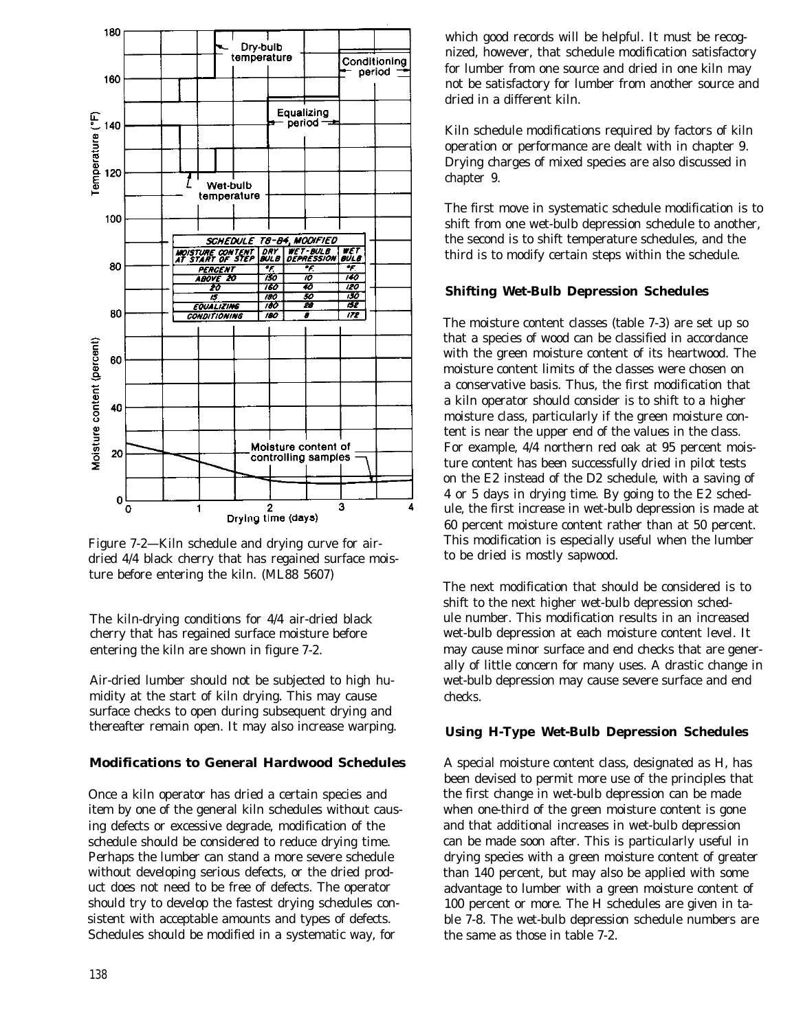

Figure 7-2—Kiln schedule and drying curve for airdried 4/4 black cherry that has regained surface moisture before entering the kiln. (ML88 5607)

The kiln-drying conditions for 4/4 air-dried black cherry that has regained surface moisture before entering the kiln are shown in figure 7-2.

Air-dried lumber should not be subjected to high humidity at the start of kiln drying. This may cause surface checks to open during subsequent drying and thereafter remain open. It may also increase warping.

#### **Modifications to General Hardwood Schedules**

Once a kiln operator has dried a certain species and item by one of the general kiln schedules without causing defects or excessive degrade, modification of the schedule should be considered to reduce drying time. Perhaps the lumber can stand a more severe schedule without developing serious defects, or the dried product does not need to be free of defects. The operator should try to develop the fastest drying schedules consistent with acceptable amounts and types of defects. Schedules should be modified in a systematic way, for

138

which good records will be helpful. It must be recognized, however, that schedule modification satisfactory for lumber from one source and dried in one kiln may not be satisfactory for lumber from another source and dried in a different kiln.

Kiln schedule modifications required by factors of kiln operation or performance are dealt with in chapter 9. Drying charges of mixed species are also discussed in chapter 9.

The first move in systematic schedule modification is to shift from one wet-bulb depression schedule to another, the second is to shift temperature schedules, and the third is to modify certain steps within the schedule.

# **Shifting Wet-Bulb Depression Schedules**

The moisture content classes (table 7-3) are set up so that a species of wood can be classified in accordance with the green moisture content of its heartwood. The moisture content limits of the classes were chosen on a conservative basis. Thus, the first modification that a kiln operator should consider is to shift to a higher moisture class, particularly if the green moisture content is near the upper end of the values in the class. For example, 4/4 northern red oak at 95 percent moisture content has been successfully dried in pilot tests on the E2 instead of the D2 schedule, with a saving of 4 or 5 days in drying time. By going to the E2 schedule, the first increase in wet-bulb depression is made at 60 percent moisture content rather than at 50 percent. This modification is especially useful when the lumber to be dried is mostly sapwood.

The next modification that should be considered is to shift to the next higher wet-bulb depression schedule number. This modification results in an increased wet-bulb depression at each moisture content level. It may cause minor surface and end checks that are generally of little concern for many uses. A drastic change in wet-bulb depression may cause severe surface and end checks.

#### **Using H-Type Wet-Bulb Depression Schedules**

A special moisture content class, designated as H, has been devised to permit more use of the principles that the first change in wet-bulb depression can be made when one-third of the green moisture content is gone and that additional increases in wet-bulb depression can be made soon after. This is particularly useful in drying species with a green moisture content of greater than 140 percent, but may also be applied with some advantage to lumber with a green moisture content of 100 percent or more. The H schedules are given in table 7-8. The wet-bulb depression schedule numbers are the same as those in table 7-2.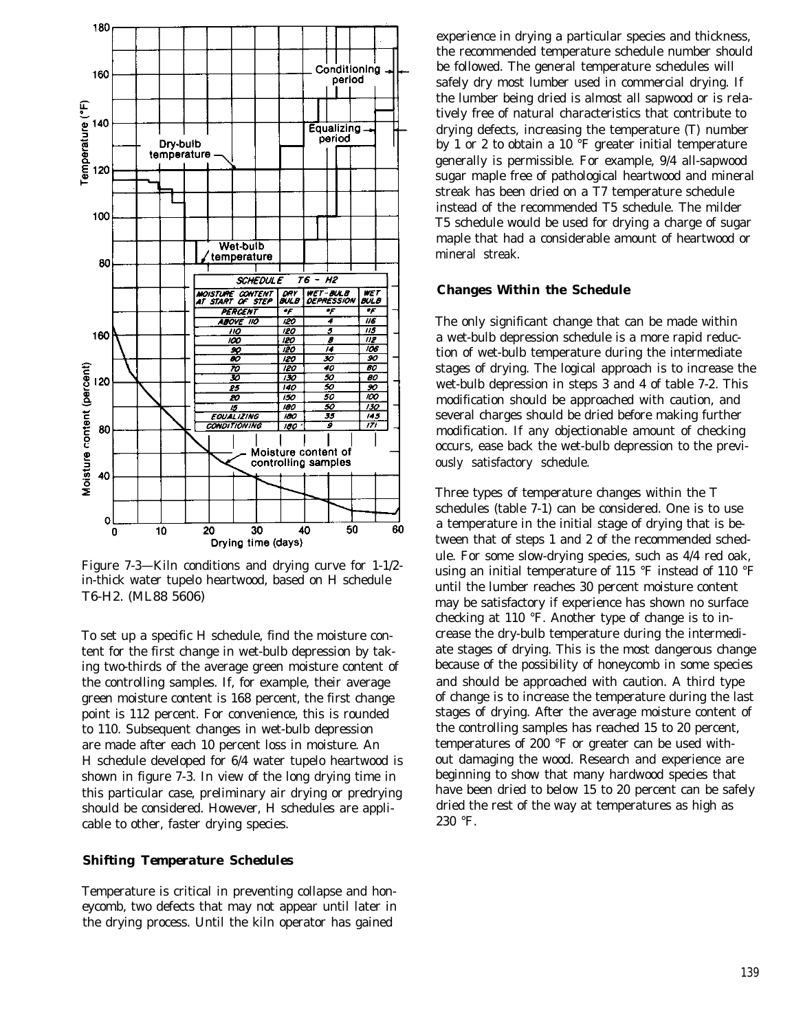

Figure 7-3—Kiln conditions and drying curve for 1-1/2 in-thick water tupelo heartwood, based on H schedule T6-H2. (ML88 5606)

To set up a specific H schedule, find the moisture content for the first change in wet-bulb depression by taking two-thirds of the average green moisture content of the controlling samples. If, for example, their average green moisture content is 168 percent, the first change point is 112 percent. For convenience, this is rounded to 110. Subsequent changes in wet-bulb depression are made after each 10 percent loss in moisture. An H schedule developed for 6/4 water tupelo heartwood is shown in figure 7-3. In view of the long drying time in this particular case, preliminary air drying or predrying should be considered. However, H schedules are applicable to other, faster drying species.

#### *Shifting Temperature Schedules*

Temperature is critical in preventing collapse and honeycomb, two defects that may not appear until later in the drying process. Until the kiln operator has gained

experience in drying a particular species and thickness, the recommended temperature schedule number should be followed. The general temperature schedules will safely dry most lumber used in commercial drying. If the lumber being dried is almost all sapwood or is relatively free of natural characteristics that contribute to drying defects, increasing the temperature (T) number by 1 or 2 to obtain a 10 °F greater initial temperature generally is permissible. For example, 9/4 all-sapwood sugar maple free of pathological heartwood and mineral streak has been dried on a T7 temperature schedule instead of the recommended T5 schedule. The milder T5 schedule would be used for drying a charge of sugar maple that had a considerable amount of heartwood or mineral streak.

#### **Changes Within the Schedule**

The only significant change that can be made within a wet-bulb depression schedule is a more rapid reduction of wet-bulb temperature during the intermediate stages of drying. The logical approach is to increase the wet-bulb depression in steps 3 and 4 of table 7-2. This modification should be approached with caution, and several charges should be dried before making further modification. If any objectionable amount of checking occurs, ease back the wet-bulb depression to the previously satisfactory schedule.

Three types of temperature changes within the T schedules (table 7-1) can be considered. One is to use a temperature in the initial stage of drying that is between that of steps 1 and 2 of the recommended schedule. For some slow-drying species, such as 4/4 red oak, using an initial temperature of 115 °F instead of 110 °F until the lumber reaches 30 percent moisture content may be satisfactory if experience has shown no surface checking at 110 °F. Another type of change is to increase the dry-bulb temperature during the intermediate stages of drying. This is the most dangerous change because of the possibility of honeycomb in some species and should be approached with caution. A third type of change is to increase the temperature during the last stages of drying. After the average moisture content of the controlling samples has reached 15 to 20 percent, temperatures of 200 °F or greater can be used without damaging the wood. Research and experience are beginning to show that many hardwood species that have been dried to below 15 to 20 percent can be safely dried the rest of the way at temperatures as high as 230 °F.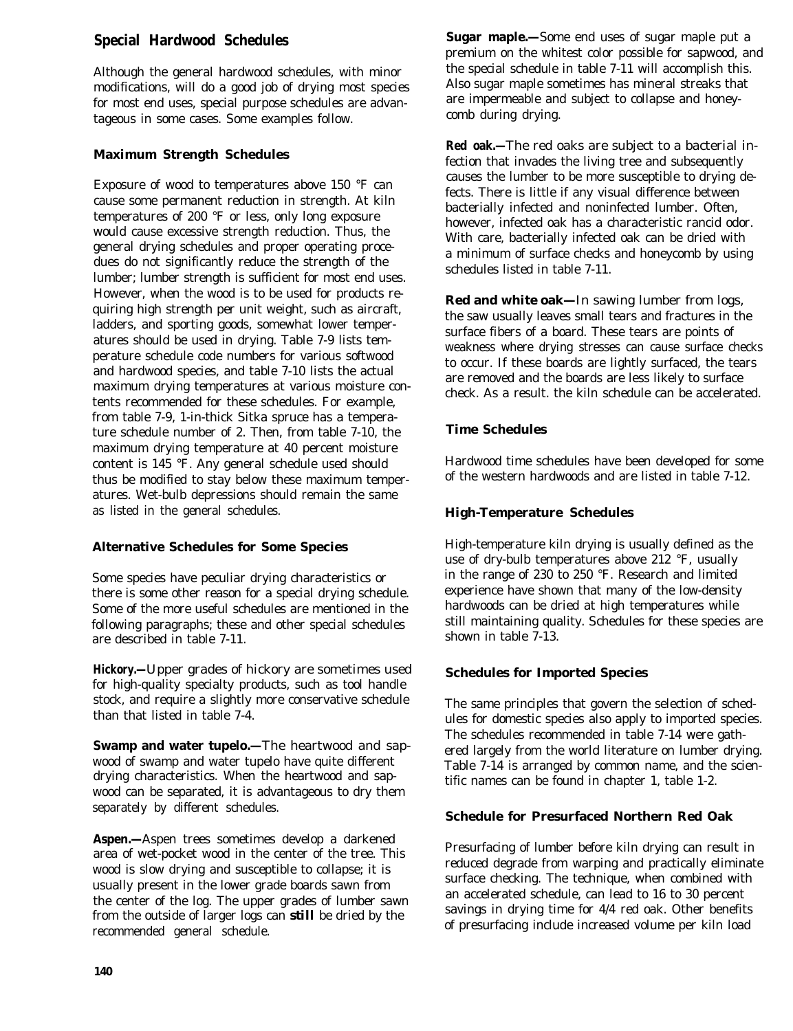# **Special Hardwood Schedules**

Although the general hardwood schedules, with minor modifications, will do a good job of drying most species for most end uses, special purpose schedules are advantageous in some cases. Some examples follow.

### **Maximum Strength Schedules**

Exposure of wood to temperatures above 150 °F can cause some permanent reduction in strength. At kiln temperatures of 200 °F or less, only long exposure would cause excessive strength reduction. Thus, the general drying schedules and proper operating procedues do not significantly reduce the strength of the lumber; lumber strength is sufficient for most end uses. However, when the wood is to be used for products requiring high strength per unit weight, such as aircraft, ladders, and sporting goods, somewhat lower temperatures should be used in drying. Table 7-9 lists temperature schedule code numbers for various softwood and hardwood species, and table 7-10 lists the actual maximum drying temperatures at various moisture contents recommended for these schedules. For example, from table 7-9, 1-in-thick Sitka spruce has a temperature schedule number of 2. Then, from table 7-10, the maximum drying temperature at 40 percent moisture content is 145 °F. Any general schedule used should thus be modified to stay below these maximum temperatures. Wet-bulb depressions should remain the same as listed in the general schedules.

# **Alternative Schedules for Some Species**

Some species have peculiar drying characteristics or there is some other reason for a special drying schedule. Some of the more useful schedules are mentioned in the following paragraphs; these and other special schedules are described in table 7-11.

**Hickory.—**Upper grades of hickory are sometimes used for high-quality specialty products, such as tool handle stock, and require a slightly more conservative schedule than that listed in table 7-4.

**Swamp and water tupelo.—**The heartwood and sapwood of swamp and water tupelo have quite different drying characteristics. When the heartwood and sapwood can be separated, it is advantageous to dry them separately by different schedules.

**Aspen.—**Aspen trees sometimes develop a darkened area of wet-pocket wood in the center of the tree. This wood is slow drying and susceptible to collapse; it is usually present in the lower grade boards sawn from the center of the log. The upper grades of lumber sawn from the outside of larger logs can *still* be dried by the recommended general schedule.

**Sugar maple.—**Some end uses of sugar maple put a premium on the whitest color possible for sapwood, and the special schedule in table 7-11 will accomplish this. Also sugar maple sometimes has mineral streaks that are impermeable and subject to collapse and honeycomb during drying.

**Red oak.—**The red oaks are subject to a bacterial infection that invades the living tree and subsequently causes the lumber to be more susceptible to drying defects. There is little if any visual difference between bacterially infected and noninfected lumber. Often, however, infected oak has a characteristic rancid odor. With care, bacterially infected oak can be dried with a minimum of surface checks and honeycomb by using schedules listed in table 7-11.

**Red and white oak—**In sawing lumber from logs, the saw usually leaves small tears and fractures in the surface fibers of a board. These tears are points of weakness where drying stresses can cause surface checks to occur. If these boards are lightly surfaced, the tears are removed and the boards are less likely to surface check. As a result. the kiln schedule can be accelerated.

### **Time Schedules**

Hardwood time schedules have been developed for some of the western hardwoods and are listed in table 7-12.

# **High-Temperature Schedules**

High-temperature kiln drying is usually defined as the use of dry-bulb temperatures above 212 °F, usually in the range of 230 to 250 °F. Research and limited experience have shown that many of the low-density hardwoods can be dried at high temperatures while still maintaining quality. Schedules for these species are shown in table 7-13.

#### **Schedules for Imported Species**

The same principles that govern the selection of schedules for domestic species also apply to imported species. The schedules recommended in table 7-14 were gathered largely from the world literature on lumber drying. Table 7-14 is arranged by common name, and the scientific names can be found in chapter 1, table 1-2.

#### **Schedule for Presurfaced Northern Red Oak**

Presurfacing of lumber before kiln drying can result in reduced degrade from warping and practically eliminate surface checking. The technique, when combined with an accelerated schedule, can lead to 16 to 30 percent savings in drying time for 4/4 red oak. Other benefits of presurfacing include increased volume per kiln load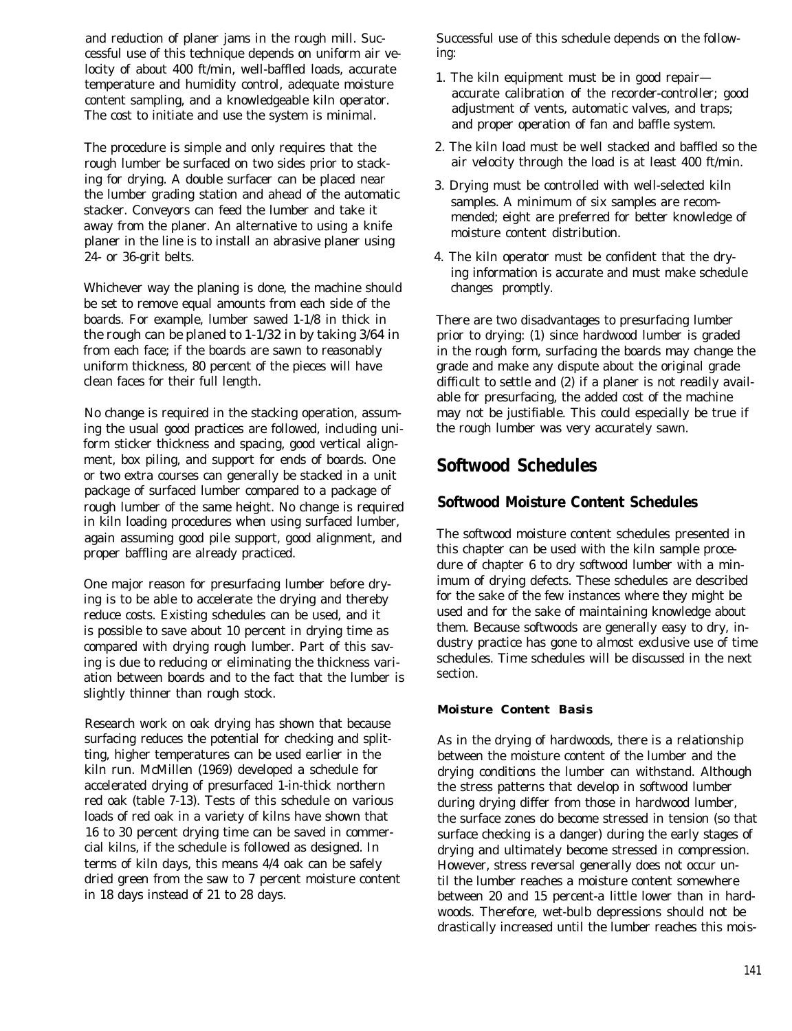and reduction of planer jams in the rough mill. Successful use of this technique depends on uniform air velocity of about 400 ft/min, well-baffled loads, accurate temperature and humidity control, adequate moisture content sampling, and a knowledgeable kiln operator. The cost to initiate and use the system is minimal.

The procedure is simple and only requires that the rough lumber be surfaced on two sides prior to stacking for drying. A double surfacer can be placed near the lumber grading station and ahead of the automatic stacker. Conveyors can feed the lumber and take it away from the planer. An alternative to using a knife planer in the line is to install an abrasive planer using 24- or 36-grit belts.

Whichever way the planing is done, the machine should be set to remove equal amounts from each side of the boards. For example, lumber sawed 1-1/8 in thick in the rough can be planed to 1-1/32 in by taking 3/64 in from each face; if the boards are sawn to reasonably uniform thickness, 80 percent of the pieces will have clean faces for their full length.

No change is required in the stacking operation, assuming the usual good practices are followed, including uniform sticker thickness and spacing, good vertical alignment, box piling, and support for ends of boards. One or two extra courses can generally be stacked in a unit package of surfaced lumber compared to a package of rough lumber of the same height. No change is required in kiln loading procedures when using surfaced lumber, again assuming good pile support, good alignment, and proper baffling are already practiced.

One major reason for presurfacing lumber before drying is to be able to accelerate the drying and thereby reduce costs. Existing schedules can be used, and it is possible to save about 10 percent in drying time as compared with drying rough lumber. Part of this saving is due to reducing or eliminating the thickness variation between boards and to the fact that the lumber is slightly thinner than rough stock.

Research work on oak drying has shown that because surfacing reduces the potential for checking and splitting, higher temperatures can be used earlier in the kiln run. McMillen (1969) developed a schedule for accelerated drying of presurfaced 1-in-thick northern red oak (table 7-13). Tests of this schedule on various loads of red oak in a variety of kilns have shown that 16 to 30 percent drying time can be saved in commercial kilns, if the schedule is followed as designed. In terms of kiln days, this means 4/4 oak can be safely dried green from the saw to 7 percent moisture content in 18 days instead of 21 to 28 days.

Successful use of this schedule depends on the following:

- 1. The kiln equipment must be in good repair accurate calibration of the recorder-controller; good adjustment of vents, automatic valves, and traps; and proper operation of fan and baffle system.
- 2. The kiln load must be well stacked and baffled so the air velocity through the load is at least 400 ft/min.
- 3. Drying must be controlled with well-selected kiln samples. A minimum of six samples are recommended; eight are preferred for better knowledge of moisture content distribution.
- 4. The kiln operator must be confident that the drying information is accurate and must make schedule changes promptly.

There are two disadvantages to presurfacing lumber prior to drying: (1) since hardwood lumber is graded in the rough form, surfacing the boards may change the grade and make any dispute about the original grade difficult to settle and (2) if a planer is not readily available for presurfacing, the added cost of the machine may not be justifiable. This could especially be true if the rough lumber was very accurately sawn.

# **Softwood Schedules**

# **Softwood Moisture Content Schedules**

The softwood moisture content schedules presented in this chapter can be used with the kiln sample procedure of chapter 6 to dry softwood lumber with a minimum of drying defects. These schedules are described for the sake of the few instances where they might be used and for the sake of maintaining knowledge about them. Because softwoods are generally easy to dry, industry practice has gone to almost exclusive use of time schedules. Time schedules will be discussed in the next section.

# *Moisture Content Basis*

As in the drying of hardwoods, there is a relationship between the moisture content of the lumber and the drying conditions the lumber can withstand. Although the stress patterns that develop in softwood lumber during drying differ from those in hardwood lumber, the surface zones do become stressed in tension (so that surface checking is a danger) during the early stages of drying and ultimately become stressed in compression. However, stress reversal generally does not occur until the lumber reaches a moisture content somewhere between 20 and 15 percent-a little lower than in hardwoods. Therefore, wet-bulb depressions should not be drastically increased until the lumber reaches this mois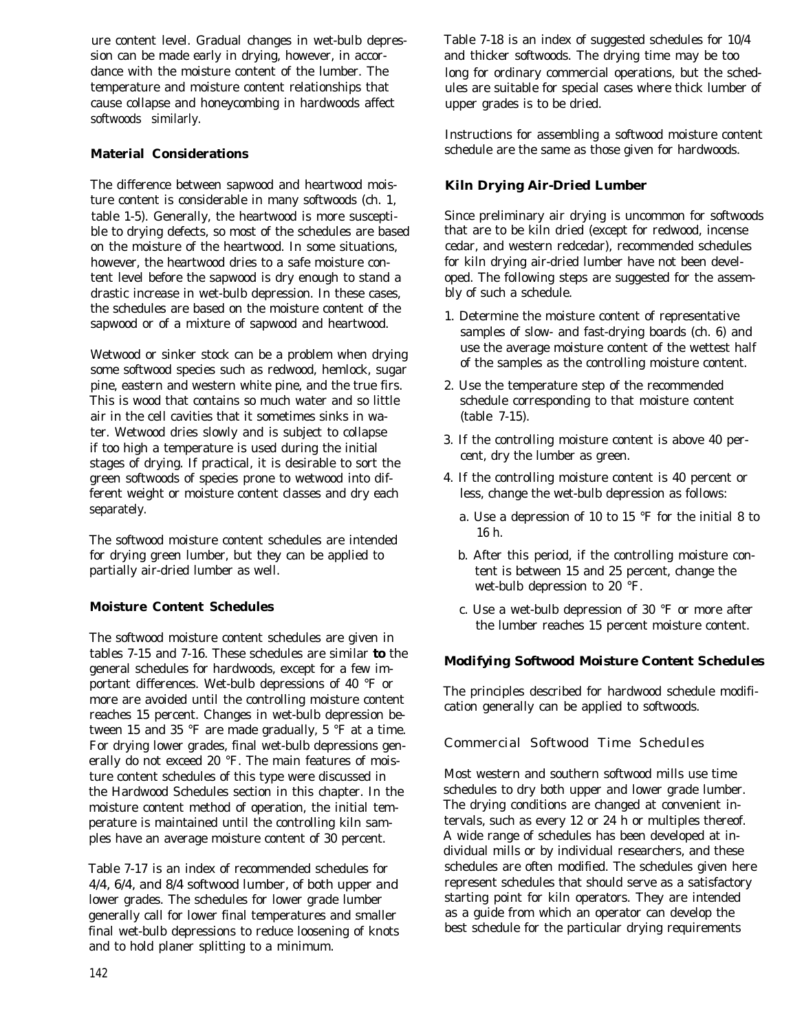ure content level. Gradual changes in wet-bulb depression can be made early in drying, however, in accordance with the moisture content of the lumber. The temperature and moisture content relationships that cause collapse and honeycombing in hardwoods affect softwoods similarly.

# **Material Considerations**

The difference between sapwood and heartwood moisture content is considerable in many softwoods (ch. 1, table 1-5). Generally, the heartwood is more susceptible to drying defects, so most of the schedules are based on the moisture of the heartwood. In some situations, however, the heartwood dries to a safe moisture content level before the sapwood is dry enough to stand a drastic increase in wet-bulb depression. In these cases, the schedules are based on the moisture content of the sapwood or of a mixture of sapwood and heartwood.

Wetwood or sinker stock can be a problem when drying some softwood species such as redwood, hemlock, sugar pine, eastern and western white pine, and the true firs. This is wood that contains so much water and so little air in the cell cavities that it sometimes sinks in water. Wetwood dries slowly and is subject to collapse if too high a temperature is used during the initial stages of drying. If practical, it is desirable to sort the green softwoods of species prone to wetwood into different weight or moisture content classes and dry each separately.

The softwood moisture content schedules are intended for drying green lumber, but they can be applied to partially air-dried lumber as well.

# **Moisture Content Schedules**

The softwood moisture content schedules are given in tables 7-15 and 7-16. These schedules are similar *to* the general schedules for hardwoods, except for a few important differences. Wet-bulb depressions of 40 °F or more are avoided until the controlling moisture content reaches 15 percent. Changes in wet-bulb depression between 15 and 35 °F are made gradually, 5 °F at a time. For drying lower grades, final wet-bulb depressions generally do not exceed 20 °F. The main features of moisture content schedules of this type were discussed in the Hardwood Schedules section in this chapter. In the moisture content method of operation, the initial temperature is maintained until the controlling kiln samples have an average moisture content of 30 percent.

Table 7-17 is an index of recommended schedules for 4/4, 6/4, and 8/4 softwood lumber, of both upper and lower grades. The schedules for lower grade lumber generally call for lower final temperatures and smaller final wet-bulb depressions to reduce loosening of knots and to hold planer splitting to a minimum.

Table 7-18 is an index of suggested schedules for 10/4 and thicker softwoods. The drying time may be too long for ordinary commercial operations, but the schedules are suitable for special cases where thick lumber of upper grades is to be dried.

Instructions for assembling a softwood moisture content schedule are the same as those given for hardwoods.

# **Kiln Drying Air-Dried Lumber**

Since preliminary air drying is uncommon for softwoods that are to be kiln dried (except for redwood, incense cedar, and western redcedar), recommended schedules for kiln drying air-dried lumber have not been developed. The following steps are suggested for the assembly of such a schedule.

- 1. Determine the moisture content of representative samples of slow- and fast-drying boards (ch. 6) and use the average moisture content of the wettest half of the samples as the controlling moisture content.
- 2. Use the temperature step of the recommended schedule corresponding to that moisture content (table 7-15).
- 3. If the controlling moisture content is above 40 percent, dry the lumber as green.
- 4. If the controlling moisture content is 40 percent or less, change the wet-bulb depression as follows:
	- a. Use a depression of 10 to 15 °F for the initial 8 to 16 h.
	- b. After this period, if the controlling moisture content is between 15 and 25 percent, change the wet-bulb depression to 20 °F.
	- c. Use a wet-bulb depression of 30 °F or more after the lumber reaches 15 percent moisture content.

# *Modifying Softwood Moisture Content Schedules*

The principles described for hardwood schedule modification generally can be applied to softwoods.

# Commercial Softwood Time Schedules

Most western and southern softwood mills use time schedules to dry both upper and lower grade lumber. The drying conditions are changed at convenient intervals, such as every 12 or 24 h or multiples thereof. A wide range of schedules has been developed at individual mills or by individual researchers, and these schedules are often modified. The schedules given here represent schedules that should serve as a satisfactory starting point for kiln operators. They are intended as a guide from which an operator can develop the best schedule for the particular drying requirements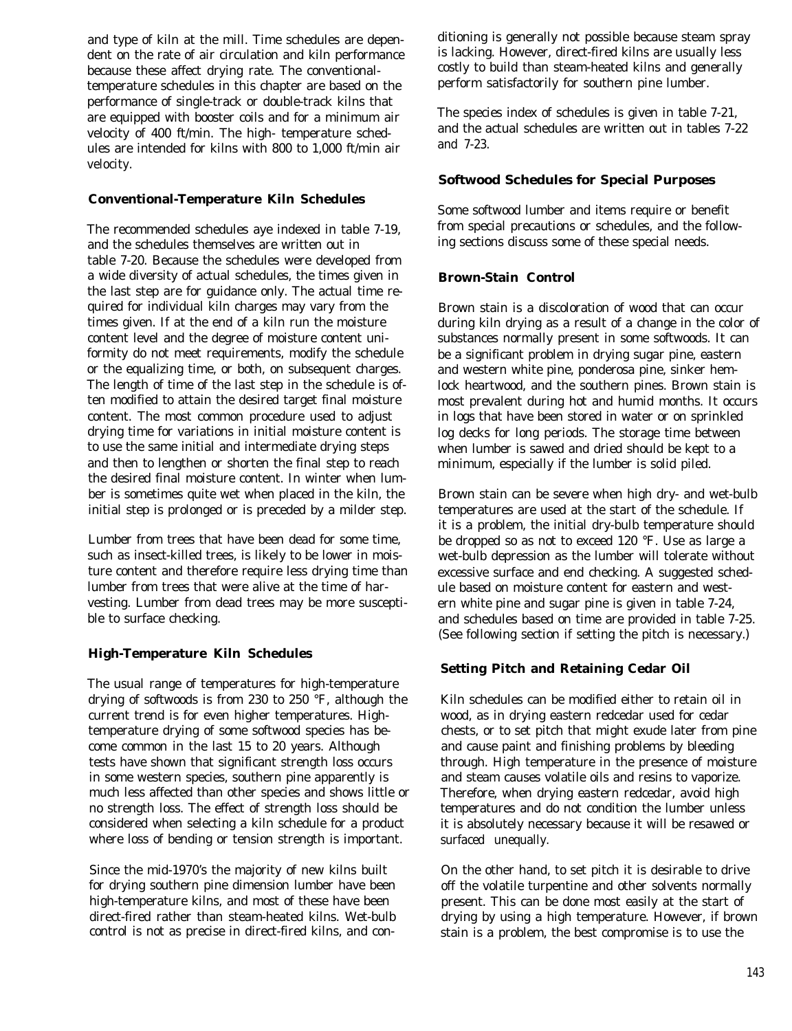and type of kiln at the mill. Time schedules are dependent on the rate of air circulation and kiln performance because these affect drying rate. The conventionaltemperature schedules in this chapter are based on the performance of single-track or double-track kilns that are equipped with booster coils and for a minimum air velocity of 400 ft/min. The high- temperature schedules are intended for kilns with 800 to 1,000 ft/min air velocity.

#### **Conventional-Temperature Kiln Schedules**

The recommended schedules aye indexed in table 7-19, and the schedules themselves are written out in table 7-20. Because the schedules were developed from a wide diversity of actual schedules, the times given in the last step are for guidance only. The actual time required for individual kiln charges may vary from the times given. If at the end of a kiln run the moisture content level and the degree of moisture content uniformity do not meet requirements, modify the schedule or the equalizing time, or both, on subsequent charges. The length of time of the last step in the schedule is often modified to attain the desired target final moisture content. The most common procedure used to adjust drying time for variations in initial moisture content is to use the same initial and intermediate drying steps and then to lengthen or shorten the final step to reach the desired final moisture content. In winter when lumber is sometimes quite wet when placed in the kiln, the initial step is prolonged or is preceded by a milder step.

Lumber from trees that have been dead for some time, such as insect-killed trees, is likely to be lower in moisture content and therefore require less drying time than lumber from trees that were alive at the time of harvesting. Lumber from dead trees may be more susceptible to surface checking.

# **High-Temperature Kiln Schedules**

The usual range of temperatures for high-temperature drying of softwoods is from 230 to 250 °F, although the current trend is for even higher temperatures. Hightemperature drying of some softwood species has become common in the last 15 to 20 years. Although tests have shown that significant strength loss occurs in some western species, southern pine apparently is much less affected than other species and shows little or no strength loss. The effect of strength loss should be considered when selecting a kiln schedule for a product where loss of bending or tension strength is important.

Since the mid-1970's the majority of new kilns built for drying southern pine dimension lumber have been high-temperature kilns, and most of these have been direct-fired rather than steam-heated kilns. Wet-bulb control is not as precise in direct-fired kilns, and con-

ditioning is generally not possible because steam spray is lacking. However, direct-fired kilns are usually less costly to build than steam-heated kilns and generally perform satisfactorily for southern pine lumber.

The species index of schedules is given in table 7-21, and the actual schedules are written out in tables 7-22 and 7-23.

### **Softwood Schedules for Special Purposes**

Some softwood lumber and items require or benefit from special precautions or schedules, and the following sections discuss some of these special needs.

### **Brown-Stain Control**

Brown stain is a discoloration of wood that can occur during kiln drying as a result of a change in the color of substances normally present in some softwoods. It can be a significant problem in drying sugar pine, eastern and western white pine, ponderosa pine, sinker hemlock heartwood, and the southern pines. Brown stain is most prevalent during hot and humid months. It occurs in logs that have been stored in water or on sprinkled log decks for long periods. The storage time between when lumber is sawed and dried should be kept to a minimum, especially if the lumber is solid piled.

Brown stain can be severe when high dry- and wet-bulb temperatures are used at the start of the schedule. If it is a problem, the initial dry-bulb temperature should be dropped so as not to exceed 120 °F. Use as large a wet-bulb depression as the lumber will tolerate without excessive surface and end checking. A suggested schedule based on moisture content for eastern and western white pine and sugar pine is given in table 7-24, and schedules based on time are provided in table 7-25. (See following section if setting the pitch is necessary.)

# **Setting Pitch and Retaining Cedar Oil**

Kiln schedules can be modified either to retain oil in wood, as in drying eastern redcedar used for cedar chests, or to set pitch that might exude later from pine and cause paint and finishing problems by bleeding through. High temperature in the presence of moisture and steam causes volatile oils and resins to vaporize. Therefore, when drying eastern redcedar, avoid high temperatures and do not condition the lumber unless it is absolutely necessary because it will be resawed or surfaced unequally.

On the other hand, to set pitch it is desirable to drive off the volatile turpentine and other solvents normally present. This can be done most easily at the start of drying by using a high temperature. However, if brown stain is a problem, the best compromise is to use the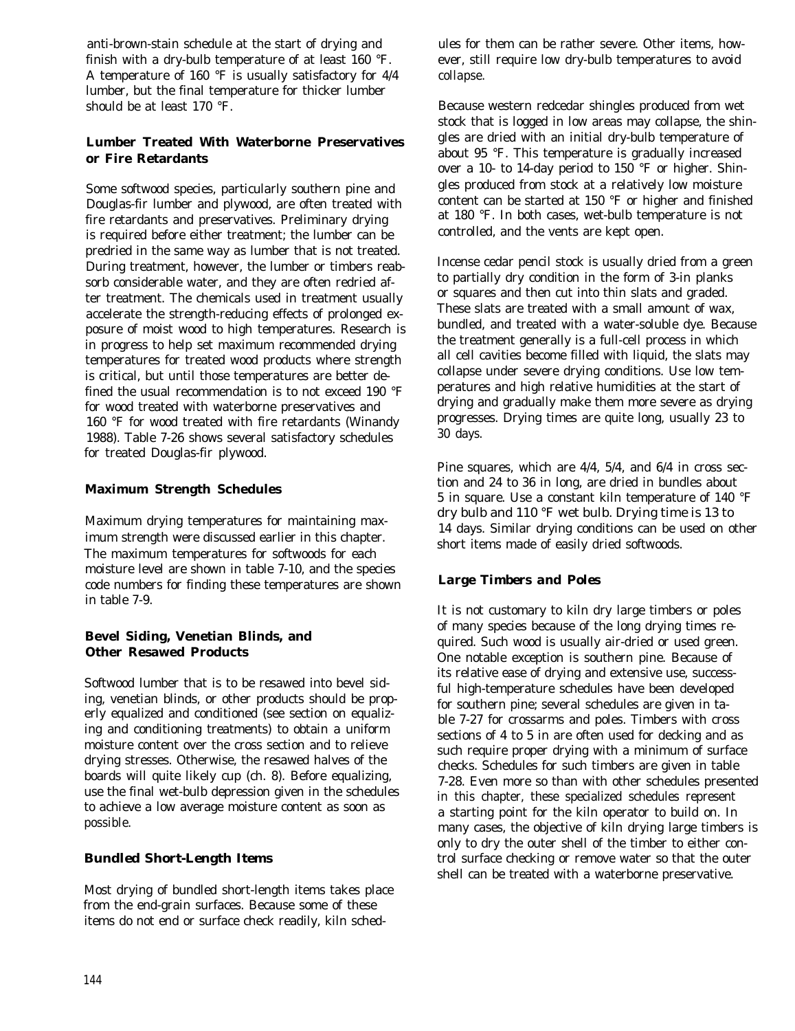anti-brown-stain schedule at the start of drying and finish with a dry-bulb temperature of at least 160 °F. A temperature of 160 °F is usually satisfactory for 4/4 lumber, but the final temperature for thicker lumber should be at least 170 °F.

# **Lumber Treated With Waterborne Preservatives or Fire Retardants**

Some softwood species, particularly southern pine and Douglas-fir lumber and plywood, are often treated with fire retardants and preservatives. Preliminary drying is required before either treatment; the lumber can be predried in the same way as lumber that is not treated. During treatment, however, the lumber or timbers reabsorb considerable water, and they are often redried after treatment. The chemicals used in treatment usually accelerate the strength-reducing effects of prolonged exposure of moist wood to high temperatures. Research is in progress to help set maximum recommended drying temperatures for treated wood products where strength is critical, but until those temperatures are better defined the usual recommendation is to not exceed 190 °F for wood treated with waterborne preservatives and 160 °F for wood treated with fire retardants (Winandy 1988). Table 7-26 shows several satisfactory schedules for treated Douglas-fir plywood.

# **Maximum Strength Schedules**

Maximum drying temperatures for maintaining maximum strength were discussed earlier in this chapter. The maximum temperatures for softwoods for each moisture level are shown in table 7-10, and the species code numbers for finding these temperatures are shown in table 7-9.

# **Bevel Siding, Venetian Blinds, and Other Resawed Products**

Softwood lumber that is to be resawed into bevel siding, venetian blinds, or other products should be properly equalized and conditioned (see section on equalizing and conditioning treatments) to obtain a uniform moisture content over the cross section and to relieve drying stresses. Otherwise, the resawed halves of the boards will quite likely cup (ch. 8). Before equalizing, use the final wet-bulb depression given in the schedules to achieve a low average moisture content as soon as possible.

# *Bundled Short-Length Items*

Most drying of bundled short-length items takes place from the end-grain surfaces. Because some of these items do not end or surface check readily, kiln schedules for them can be rather severe. Other items, however, still require low dry-bulb temperatures to avoid collapse.

Because western redcedar shingles produced from wet stock that is logged in low areas may collapse, the shingles are dried with an initial dry-bulb temperature of about 95 °F. This temperature is gradually increased over a 10- to 14-day period to 150 °F or higher. Shingles produced from stock at a relatively low moisture content can be started at 150 °F or higher and finished at 180 °F. In both cases, wet-bulb temperature is not controlled, and the vents are kept open.

Incense cedar pencil stock is usually dried from a green to partially dry condition in the form of 3-in planks or squares and then cut into thin slats and graded. These slats are treated with a small amount of wax, bundled, and treated with a water-soluble dye. Because the treatment generally is a full-cell process in which all cell cavities become filled with liquid, the slats may collapse under severe drying conditions. Use low temperatures and high relative humidities at the start of drying and gradually make them more severe as drying progresses. Drying times are quite long, usually 23 to 30 days.

Pine squares, which are 4/4, 5/4, and 6/4 in cross section and 24 to 36 in long, are dried in bundles about 5 in square. Use a constant kiln temperature of 140 °F dry bulb and 110 °F wet bulb. Drying time is 13 to 14 days. Similar drying conditions can be used on other short items made of easily dried softwoods.

# *Large Timbers and Poles*

It is not customary to kiln dry large timbers or poles of many species because of the long drying times required. Such wood is usually air-dried or used green. One notable exception is southern pine. Because of its relative ease of drying and extensive use, successful high-temperature schedules have been developed for southern pine; several schedules are given in table 7-27 for crossarms and poles. Timbers with cross sections of 4 to 5 in are often used for decking and as such require proper drying with a minimum of surface checks. Schedules for such timbers are given in table 7-28. Even more so than with other schedules presented in this chapter, these specialized schedules represent a starting point for the kiln operator to build on. In many cases, the objective of kiln drying large timbers is only to dry the outer shell of the timber to either control surface checking or remove water so that the outer shell can be treated with a waterborne preservative.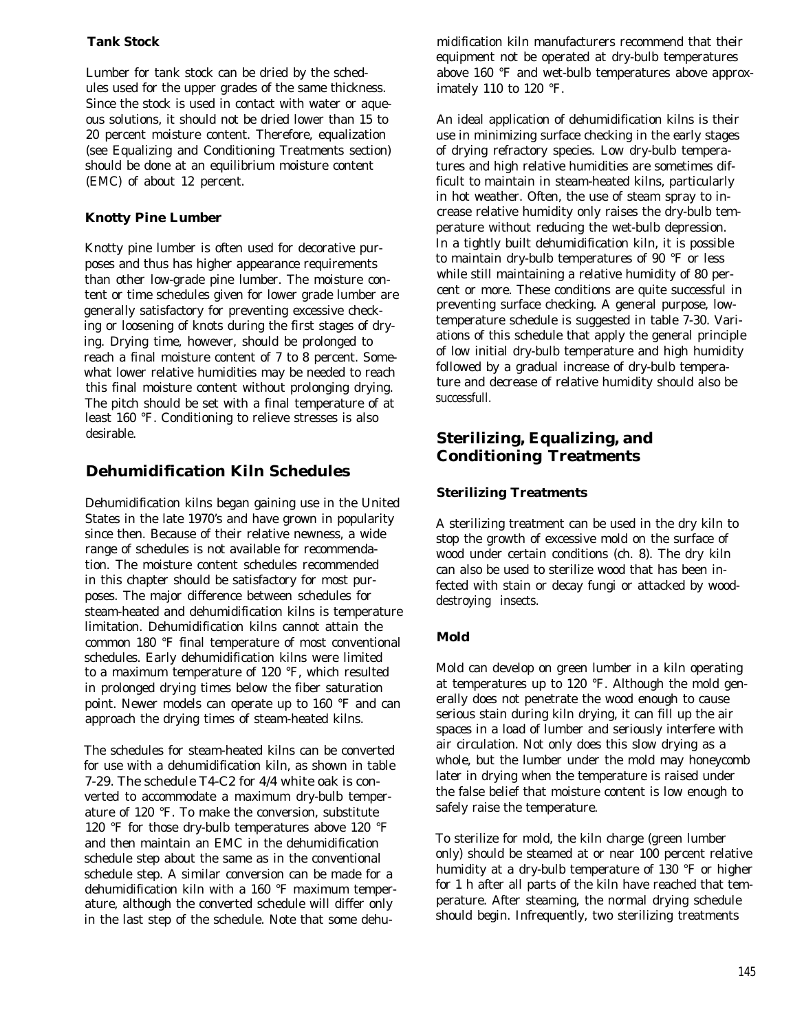# **Tank Stock**

Lumber for tank stock can be dried by the schedules used for the upper grades of the same thickness. Since the stock is used in contact with water or aqueous solutions, it should not be dried lower than 15 to 20 percent moisture content. Therefore, equalization (see Equalizing and Conditioning Treatments section) should be done at an equilibrium moisture content (EMC) of about 12 percent.

#### **Knotty Pine Lumber**

Knotty pine lumber is often used for decorative purposes and thus has higher appearance requirements than other low-grade pine lumber. The moisture content or time schedules given for lower grade lumber are generally satisfactory for preventing excessive checking or loosening of knots during the first stages of drying. Drying time, however, should be prolonged to reach a final moisture content of 7 to 8 percent. Somewhat lower relative humidities may be needed to reach this final moisture content without prolonging drying. The pitch should be set with a final temperature of at least 160 °F. Conditioning to relieve stresses is also desirable.

# **Dehumidification Kiln Schedules**

Dehumidification kilns began gaining use in the United States in the late 1970's and have grown in popularity since then. Because of their relative newness, a wide range of schedules is not available for recommendation. The moisture content schedules recommended in this chapter should be satisfactory for most purposes. The major difference between schedules for steam-heated and dehumidification kilns is temperature limitation. Dehumidification kilns cannot attain the common 180 °F final temperature of most conventional schedules. Early dehumidification kilns were limited to a maximum temperature of 120 °F, which resulted in prolonged drying times below the fiber saturation point. Newer models can operate up to 160 °F and can approach the drying times of steam-heated kilns.

The schedules for steam-heated kilns can be converted for use with a dehumidification kiln, as shown in table 7-29. The schedule T4-C2 for 4/4 white oak is converted to accommodate a maximum dry-bulb temperature of 120 °F. To make the conversion, substitute 120 °F for those dry-bulb temperatures above 120 °F and then maintain an EMC in the dehumidification schedule step about the same as in the conventional schedule step. A similar conversion can be made for a dehumidification kiln with a 160 °F maximum temperature, although the converted schedule will differ only in the last step of the schedule. Note that some dehumidification kiln manufacturers recommend that their equipment not be operated at dry-bulb temperatures above 160 °F and wet-bulb temperatures above approximately 110 to 120 °F.

An ideal application of dehumidification kilns is their use in minimizing surface checking in the early stages of drying refractory species. Low dry-bulb temperatures and high relative humidities are sometimes difficult to maintain in steam-heated kilns, particularly in hot weather. Often, the use of steam spray to increase relative humidity only raises the dry-bulb temperature without reducing the wet-bulb depression. In a tightly built dehumidification kiln, it is possible to maintain dry-bulb temperatures of 90 °F or less while still maintaining a relative humidity of 80 percent or more. These conditions are quite successful in preventing surface checking. A general purpose, lowtemperature schedule is suggested in table 7-30. Variations of this schedule that apply the general principle of low initial dry-bulb temperature and high humidity followed by a gradual increase of dry-bulb temperature and decrease of relative humidity should also be successfull.

# **Sterilizing, Equalizing, and Conditioning Treatments**

# **Sterilizing Treatments**

A sterilizing treatment can be used in the dry kiln to stop the growth of excessive mold on the surface of wood under certain conditions (ch. 8). The dry kiln can also be used to sterilize wood that has been infected with stain or decay fungi or attacked by wooddestroying insects.

# **Mold**

Mold can develop on green lumber in a kiln operating at temperatures up to 120 °F. Although the mold generally does not penetrate the wood enough to cause serious stain during kiln drying, it can fill up the air spaces in a load of lumber and seriously interfere with air circulation. Not only does this slow drying as a whole, but the lumber under the mold may honeycomb later in drying when the temperature is raised under the false belief that moisture content is low enough to safely raise the temperature.

To sterilize for mold, the kiln charge (green lumber only) should be steamed at or near 100 percent relative humidity at a dry-bulb temperature of 130 °F or higher for 1 h after all parts of the kiln have reached that temperature. After steaming, the normal drying schedule should begin. Infrequently, two sterilizing treatments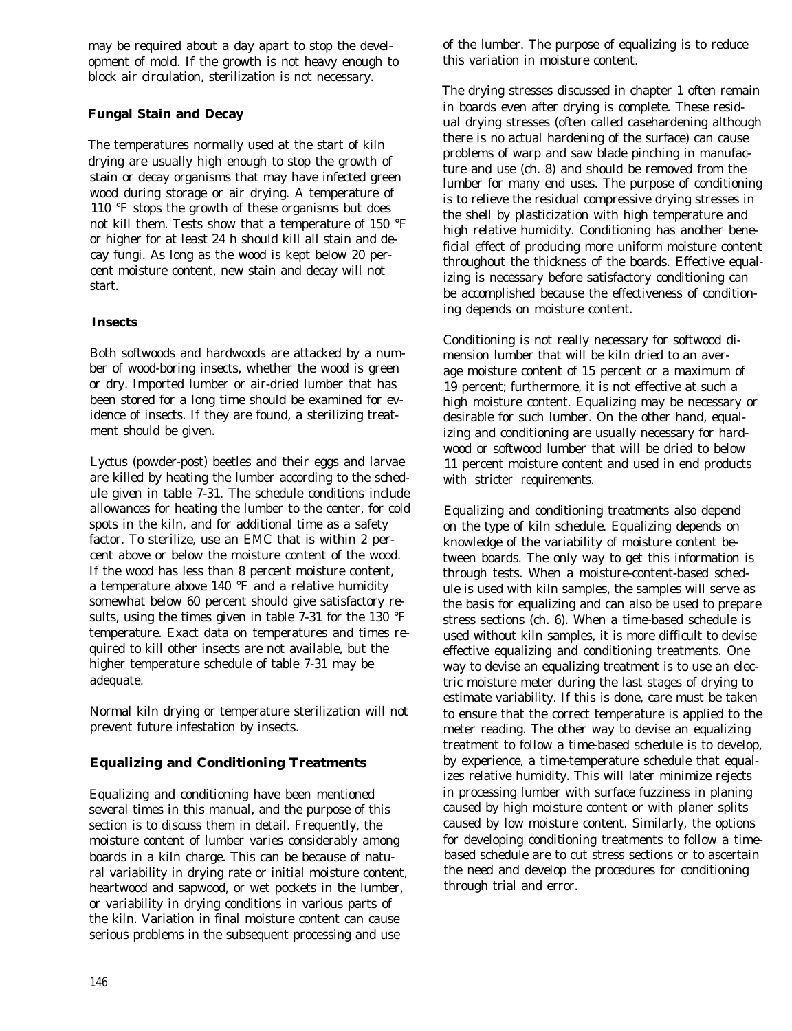may be required about a day apart to stop the development of mold. If the growth is not heavy enough to block air circulation, sterilization is not necessary.

# **Fungal Stain and Decay**

The temperatures normally used at the start of kiln drying are usually high enough to stop the growth of stain or decay organisms that may have infected green wood during storage or air drying. A temperature of 110 °F stops the growth of these organisms but does not kill them. Tests show that a temperature of 150 °F or higher for at least 24 h should kill all stain and decay fungi. As long as the wood is kept below 20 percent moisture content, new stain and decay will not start.

### **Insects**

Both softwoods and hardwoods are attacked by a number of wood-boring insects, whether the wood is green or dry. Imported lumber or air-dried lumber that has been stored for a long time should be examined for evidence of insects. If they are found, a sterilizing treatment should be given.

Lyctus (powder-post) beetles and their eggs and larvae are killed by heating the lumber according to the schedule given in table 7-31. The schedule conditions include allowances for heating the lumber to the center, for cold spots in the kiln, and for additional time as a safety factor. To sterilize, use an EMC that is within 2 percent above or below the moisture content of the wood. If the wood has less than 8 percent moisture content, a temperature above 140 °F and a relative humidity somewhat below 60 percent should give satisfactory results, using the times given in table 7-31 for the 130 °F temperature. Exact data on temperatures and times required to kill other insects are not available, but the higher temperature schedule of table 7-31 may be adequate.

Normal kiln drying or temperature sterilization will not prevent future infestation by insects.

# **Equalizing and Conditioning Treatments**

Equalizing and conditioning have been mentioned several times in this manual, and the purpose of this section is to discuss them in detail. Frequently, the moisture content of lumber varies considerably among boards in a kiln charge. This can be because of natural variability in drying rate or initial moisture content, heartwood and sapwood, or wet pockets in the lumber, or variability in drying conditions in various parts of the kiln. Variation in final moisture content can cause serious problems in the subsequent processing and use

of the lumber. The purpose of equalizing is to reduce this variation in moisture content.

The drying stresses discussed in chapter 1 often remain in boards even after drying is complete. These residual drying stresses (often called casehardening although there is no actual hardening of the surface) can cause problems of warp and saw blade pinching in manufacture and use (ch. 8) and should be removed from the lumber for many end uses. The purpose of conditioning is to relieve the residual compressive drying stresses in the shell by plasticization with high temperature and high relative humidity. Conditioning has another beneficial effect of producing more uniform moisture content throughout the thickness of the boards. Effective equalizing is necessary before satisfactory conditioning can be accomplished because the effectiveness of conditioning depends on moisture content.

Conditioning is not really necessary for softwood dimension lumber that will be kiln dried to an average moisture content of 15 percent or a maximum of 19 percent; furthermore, it is not effective at such a high moisture content. Equalizing may be necessary or desirable for such lumber. On the other hand, equalizing and conditioning are usually necessary for hardwood or softwood lumber that will be dried to below 11 percent moisture content and used in end products with stricter requirements.

Equalizing and conditioning treatments also depend on the type of kiln schedule. Equalizing depends on knowledge of the variability of moisture content between boards. The only way to get this information is through tests. When a moisture-content-based schedule is used with kiln samples, the samples will serve as the basis for equalizing and can also be used to prepare stress sections (ch. 6). When a time-based schedule is used without kiln samples, it is more difficult to devise effective equalizing and conditioning treatments. One way to devise an equalizing treatment is to use an electric moisture meter during the last stages of drying to estimate variability. If this is done, care must be taken to ensure that the correct temperature is applied to the meter reading. The other way to devise an equalizing treatment to follow a time-based schedule is to develop, by experience, a time-temperature schedule that equalizes relative humidity. This will later minimize rejects in processing lumber with surface fuzziness in planing caused by high moisture content or with planer splits caused by low moisture content. Similarly, the options for developing conditioning treatments to follow a timebased schedule are to cut stress sections or to ascertain the need and develop the procedures for conditioning through trial and error.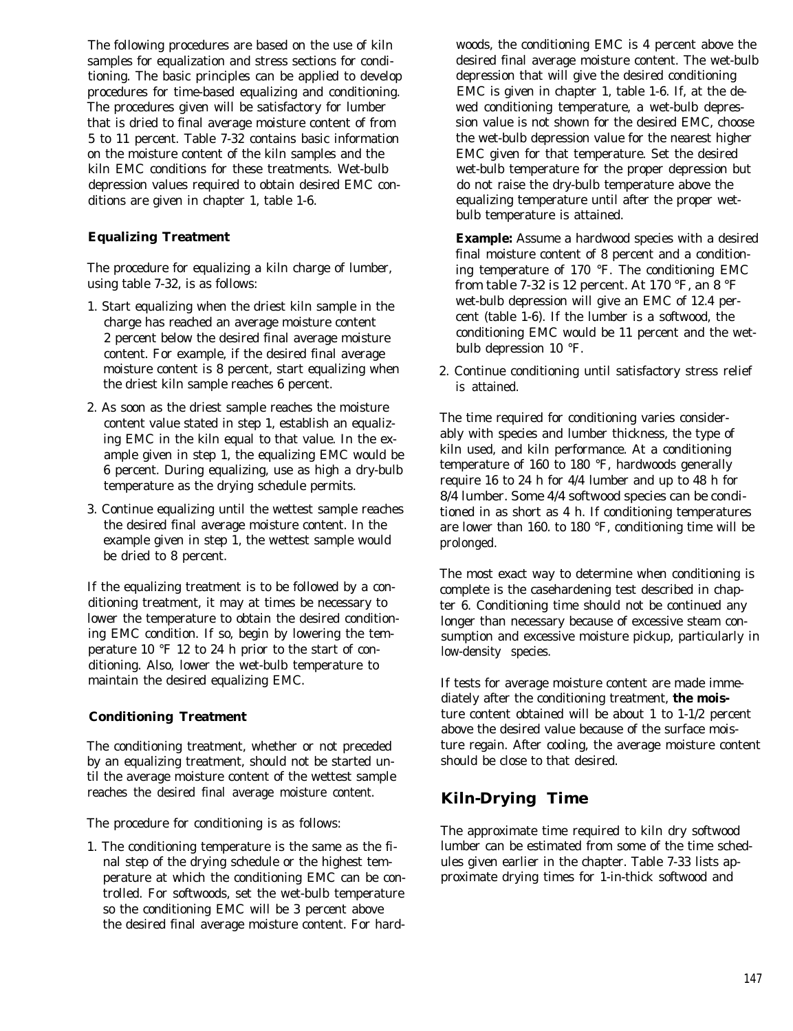The following procedures are based on the use of kiln samples for equalization and stress sections for conditioning. The basic principles can be applied to develop procedures for time-based equalizing and conditioning. The procedures given will be satisfactory for lumber that is dried to final average moisture content of from 5 to 11 percent. Table 7-32 contains basic information on the moisture content of the kiln samples and the kiln EMC conditions for these treatments. Wet-bulb depression values required to obtain desired EMC conditions are given in chapter 1, table 1-6.

#### **Equalizing Treatment**

The procedure for equalizing a kiln charge of lumber, using table 7-32, is as follows:

- 1. Start equalizing when the driest kiln sample in the charge has reached an average moisture content 2 percent below the desired final average moisture content. For example, if the desired final average moisture content is 8 percent, start equalizing when the driest kiln sample reaches 6 percent.
- 2. As soon as the driest sample reaches the moisture content value stated in step 1, establish an equalizing EMC in the kiln equal to that value. In the example given in step 1, the equalizing EMC would be 6 percent. During equalizing, use as high a dry-bulb temperature as the drying schedule permits.
- 3. Continue equalizing until the wettest sample reaches the desired final average moisture content. In the example given in step 1, the wettest sample would be dried to 8 percent.

If the equalizing treatment is to be followed by a conditioning treatment, it may at times be necessary to lower the temperature to obtain the desired conditioning EMC condition. If so, begin by lowering the temperature 10 °F 12 to 24 h prior to the start of conditioning. Also, lower the wet-bulb temperature to maintain the desired equalizing EMC.

#### **Conditioning Treatment**

The conditioning treatment, whether or not preceded by an equalizing treatment, should not be started until the average moisture content of the wettest sample reaches the desired final average moisture content.

The procedure for conditioning is as follows:

1. The conditioning temperature is the same as the final step of the drying schedule or the highest temperature at which the conditioning EMC can be controlled. For softwoods, set the wet-bulb temperature so the conditioning EMC will be 3 percent above the desired final average moisture content. For hardwoods, the conditioning EMC is 4 percent above the desired final average moisture content. The wet-bulb depression that will give the desired conditioning EMC is given in chapter 1, table 1-6. If, at the dewed conditioning temperature, a wet-bulb depression value is not shown for the desired EMC, choose the wet-bulb depression value for the nearest higher EMC given for that temperature. Set the desired wet-bulb temperature for the proper depression but do not raise the dry-bulb temperature above the equalizing temperature until after the proper wetbulb temperature is attained.

**Example:** Assume a hardwood species with a desired final moisture content of 8 percent and a conditioning temperature of 170 °F. The conditioning EMC from table 7-32 is 12 percent. At 170 °F, an 8 °F wet-bulb depression will give an EMC of 12.4 percent (table 1-6). If the lumber is a softwood, the conditioning EMC would be 11 percent and the wetbulb depression 10 °F.

2. Continue conditioning until satisfactory stress relief is attained.

The time required for conditioning varies considerably with species and lumber thickness, the type of kiln used, and kiln performance. At a conditioning temperature of 160 to 180 °F, hardwoods generally require 16 to 24 h for 4/4 lumber and up to 48 h for 8/4 lumber. Some 4/4 softwood species can be conditioned in as short as 4 h. If conditioning temperatures are lower than 160. to 180 °F, conditioning time will be prolonged.

The most exact way to determine when conditioning is complete is the casehardening test described in chapter 6. Conditioning time should not be continued any longer than necessary because of excessive steam consumption and excessive moisture pickup, particularly in low-density species.

If tests for average moisture content are made immediately after the conditioning treatment, **the mois**ture content obtained will be about 1 to 1-1/2 percent above the desired value because of the surface moisture regain. After cooling, the average moisture content should be close to that desired.

# **Kiln-Drying Time**

The approximate time required to kiln dry softwood lumber can be estimated from some of the time schedules given earlier in the chapter. Table 7-33 lists approximate drying times for 1-in-thick softwood and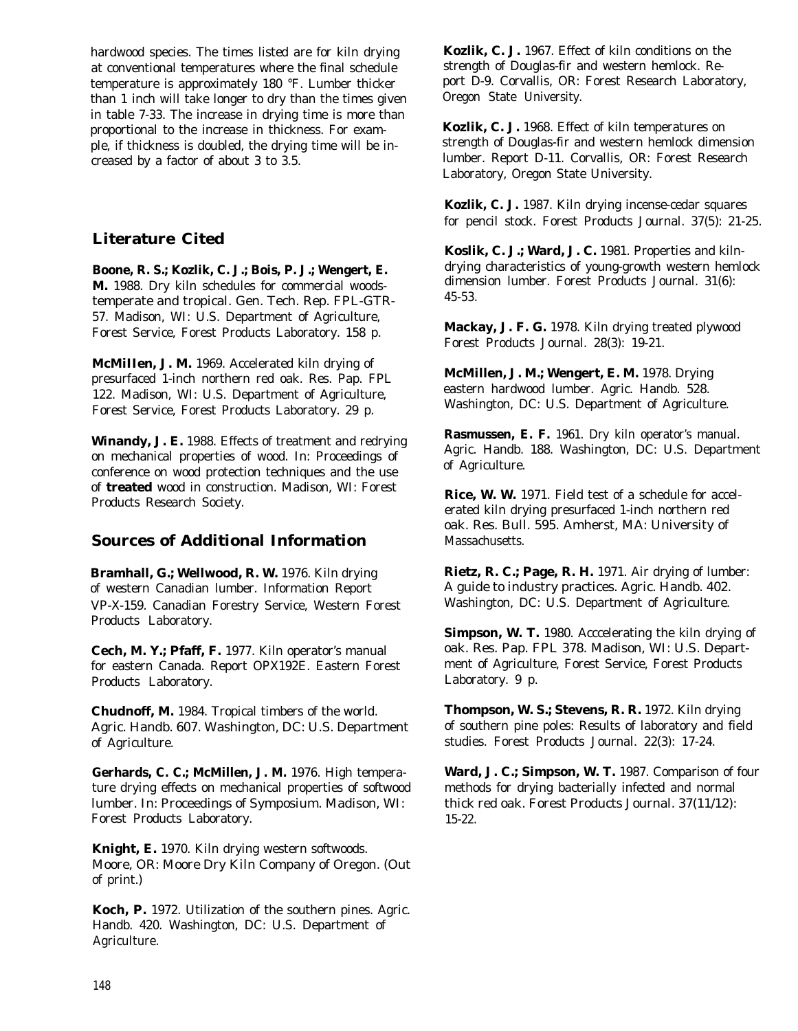hardwood species. The times listed are for kiln drying at conventional temperatures where the final schedule temperature is approximately 180 °F. Lumber thicker than 1 inch will take longer to dry than the times given in table 7-33. The increase in drying time is more than proportional to the increase in thickness. For example, if thickness is doubled, the drying time will be increased by a factor of about 3 to 3.5.

# **Literature Cited**

**Boone, R. S.; Kozlik, C. J.; Bois, P. J.; Wengert, E. M.** 1988. Dry kiln schedules for commercial woodstemperate and tropical. Gen. Tech. Rep. FPL-GTR-57. Madison, WI: U.S. Department of Agriculture, Forest Service, Forest Products Laboratory. 158 p.

**McMiIIen, J. M.** 1969. Accelerated kiln drying of presurfaced 1-inch northern red oak. Res. Pap. FPL 122. Madison, WI: U.S. Department of Agriculture, Forest Service, Forest Products Laboratory. 29 p.

**Winandy, J. E.** 1988. Effects of treatment and redrying on mechanical properties of wood. In: Proceedings of conference on wood protection techniques and the use of **treated** wood in construction. Madison, WI: Forest Products Research Society.

# **Sources of Additional Information**

**Bramhall, G.; Wellwood, R. W.** 1976. Kiln drying of western Canadian lumber. Information Report VP-X-159. Canadian Forestry Service, Western Forest Products Laboratory.

**Cech, M. Y.; Pfaff, F.** 1977. Kiln operator's manual for eastern Canada. Report OPX192E. Eastern Forest Products Laboratory.

**Chudnoff, M.** 1984. Tropical timbers of the world. Agric. Handb. 607. Washington, DC: U.S. Department of Agriculture.

**Gerhards, C. C.; McMillen, J. M.** 1976. High temperature drying effects on mechanical properties of softwood lumber. In: Proceedings of Symposium. Madison, WI: Forest Products Laboratory.

**Knight, E.** 1970. Kiln drying western softwoods. Moore, OR: Moore Dry Kiln Company of Oregon. (Out of print.)

**Koch, P.** 1972. Utilization of the southern pines. Agric. Handb. 420. Washington, DC: U.S. Department of Agriculture.

**Kozlik, C. J.** 1967. Effect of kiln conditions on the strength of Douglas-fir and western hemlock. Report D-9. Corvallis, OR: Forest Research Laboratory, Oregon State University.

**Kozlik, C. J.** 1968. Effect of kiln temperatures on strength of Douglas-fir and western hemlock dimension lumber. Report D-11. Corvallis, OR: Forest Research Laboratory, Oregon State University.

**Kozlik, C. J.** 1987. Kiln drying incense-cedar squares for pencil stock. Forest Products Journal. 37(5): 21-25.

**Koslik, C. J.; Ward, J. C.** 1981. Properties and kilndrying characteristics of young-growth western hemlock dimension lumber. Forest Products Journal. 31(6): 45-53.

**Mackay, J. F. G.** 1978. Kiln drying treated plywood Forest Products Journal. 28(3): 19-21.

**McMillen, J. M.; Wengert, E. M.** 1978. Drying eastern hardwood lumber. Agric. Handb. 528. Washington, DC: U.S. Department of Agriculture.

**Rasmussen, E. F.** 1961. Dry kiln operator's manual. Agric. Handb. 188. Washington, DC: U.S. Department of Agriculture.

**Rice, W. W.** 1971. Field test of a schedule for accelerated kiln drying presurfaced 1-inch northern red oak. Res. Bull. 595. Amherst, MA: University of Massachusetts.

**Rietz, R. C.; Page, R. H.** 1971. Air drying of lumber: A guide to industry practices. Agric. Handb. 402. Washington, DC: U.S. Department of Agriculture.

**Simpson, W. T.** 1980. Acccelerating the kiln drying of oak. Res. Pap. FPL 378. Madison, WI: U.S. Department of Agriculture, Forest Service, Forest Products Laboratory. 9 p.

**Thompson, W. S.; Stevens, R. R.** 1972. Kiln drying of southern pine poles: Results of laboratory and field studies. Forest Products Journal. 22(3): 17-24.

Ward, J. C.; Simpson, W. T. 1987. Comparison of four methods for drying bacterially infected and normal thick red oak. Forest Products Journal. 37(11/12): 15-22.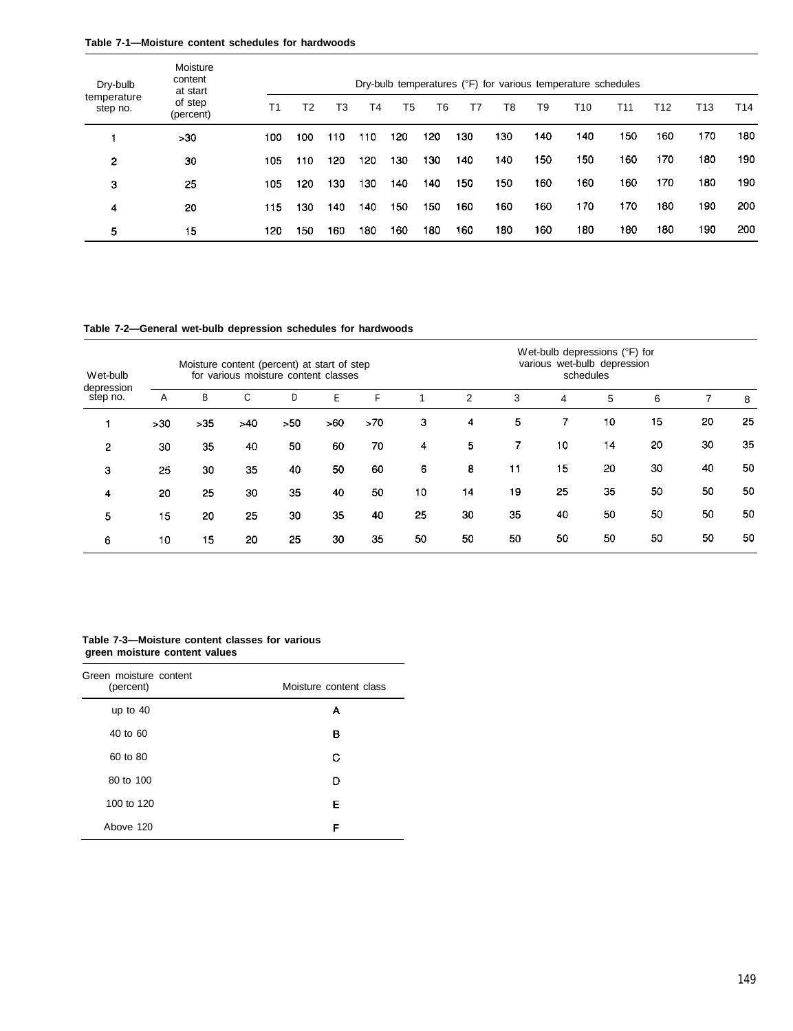#### **Table 7-1—Moisture content schedules for hardwoods**

| Dry-bulb                | Moisture<br>content<br>at start |     |     |     |     |     |     |     |     |     | Dry-bulb temperatures (°F) for various temperature schedules |     |     |     |     |
|-------------------------|---------------------------------|-----|-----|-----|-----|-----|-----|-----|-----|-----|--------------------------------------------------------------|-----|-----|-----|-----|
| temperature<br>step no. | of step<br>(percent)            | T1  | T2  | T3  | T4  | T5  | T6  | T7  | T8  | Τ9  | T10                                                          | T11 | T12 | T13 | T14 |
|                         | >30                             | 100 | 100 | 110 | 110 | 120 | 120 | 130 | 130 | 140 | 140                                                          | 150 | 160 | 170 | 180 |
| 2                       | 30                              | 105 | 110 | 120 | 120 | 130 | 130 | 140 | 140 | 150 | 150                                                          | 160 | 170 | 180 | 190 |
| 3                       | 25                              | 105 | 120 | 130 | 130 | 140 | 140 | 150 | 150 | 160 | 160                                                          | 160 | 170 | 180 | 190 |
| 4                       | 20                              | 115 | 130 | 140 | 140 | 150 | 150 | 160 | 160 | 160 | 170                                                          | 170 | 180 | 190 | 200 |
| 5                       | 15                              | 120 | 150 | 160 | 180 | 160 | 180 | 160 | 180 | 160 | 180                                                          | 180 | 180 | 190 | 200 |

**Table 7-2—General wet-bulb depression schedules for hardwoods**

| Wet-bulb               | Moisture content (percent) at start of step<br>for various moisture content classes |       |     |     |     |     |    |    | Wet-bulb depressions (°F) for<br>various wet-bulb depression<br>schedules |                |    |    |    |    |
|------------------------|-------------------------------------------------------------------------------------|-------|-----|-----|-----|-----|----|----|---------------------------------------------------------------------------|----------------|----|----|----|----|
| depression<br>step no. | A                                                                                   | В     | С   | D   | Ε   | F   |    | 2  | 3                                                                         | 4              | 5  | 6  | 7  | 8  |
|                        | >30                                                                                 | $>35$ | >40 | >50 | >60 | >70 | 3  | 4  | 5                                                                         | $\overline{7}$ | 10 | 15 | 20 | 25 |
| $\overline{2}$         | 30                                                                                  | 35    | 40  | 50  | 60  | 70  | 4  | 5. | 7                                                                         | 10             | 14 | 20 | 30 | 35 |
| 3                      | 25                                                                                  | 30    | 35  | 40  | 50  | 60  | 6  | 8  | 11                                                                        | 15             | 20 | 30 | 40 | 50 |
| 4                      | 20                                                                                  | 25    | 30  | 35  | 40  | 50  | 10 | 14 | 19                                                                        | 25             | 35 | 50 | 50 | 50 |
| 5                      | 15                                                                                  | 20    | 25  | 30  | 35  | 40  | 25 | 30 | 35                                                                        | 40             | 50 | 50 | 50 | 50 |
| 6                      | 10                                                                                  | 15    | 20  | 25  | 30  | 35  | 50 | 50 | 50                                                                        | 50             | 50 | 50 | 50 | 50 |
|                        |                                                                                     |       |     |     |     |     |    |    |                                                                           |                |    |    |    |    |

#### **Table 7-3—Moisture content classes for various green moisture content values**

| Green moisture content<br>(percent) | Moisture content class |
|-------------------------------------|------------------------|
| up to $40$                          | А                      |
| 40 to 60                            | в                      |
| 60 to 80                            | С                      |
| 80 to 100                           | D                      |
| 100 to 120                          | Е                      |
| Above 120                           | F                      |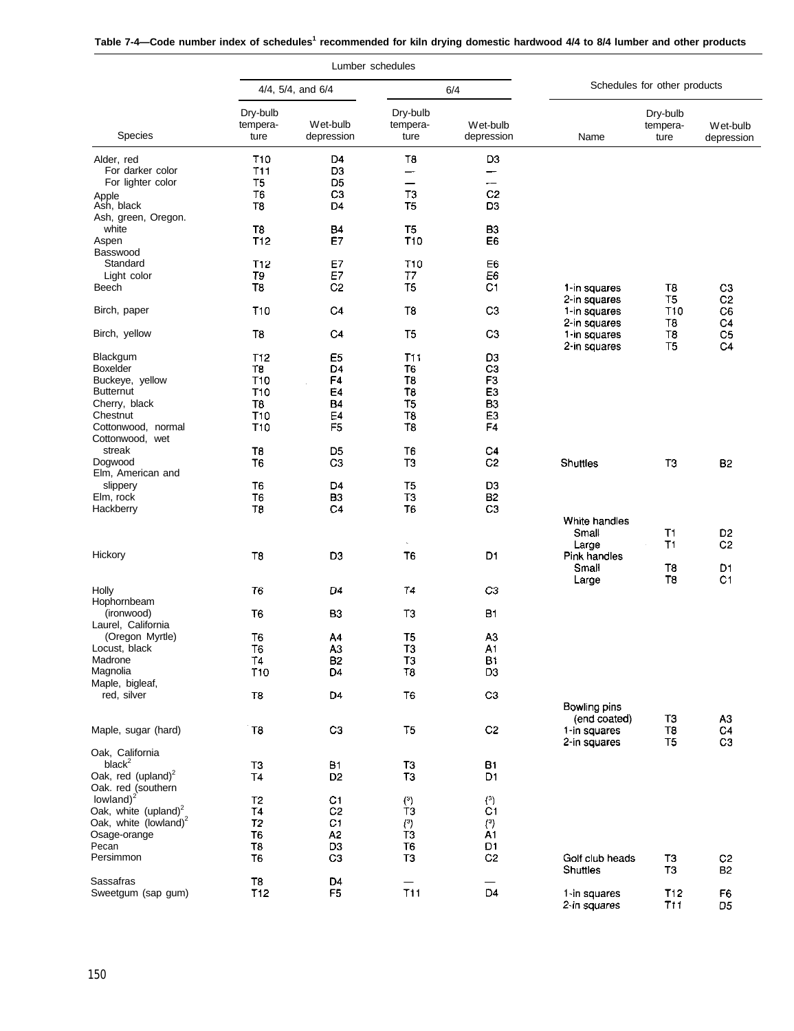|  | Table 7-4—Code number index of schedules <sup>1</sup> recommended for kiln drying domestic hardwood 4/4 to 8/4 lumber and other products |  |
|--|------------------------------------------------------------------------------------------------------------------------------------------|--|
|--|------------------------------------------------------------------------------------------------------------------------------------------|--|

|                                                                                                                                             |                                                                                             |                                                                                              | Lumber schedules                                                                                    |                                                                                                                       |                                                          |                               |                                        |  |  |
|---------------------------------------------------------------------------------------------------------------------------------------------|---------------------------------------------------------------------------------------------|----------------------------------------------------------------------------------------------|-----------------------------------------------------------------------------------------------------|-----------------------------------------------------------------------------------------------------------------------|----------------------------------------------------------|-------------------------------|----------------------------------------|--|--|
|                                                                                                                                             |                                                                                             | 4/4, 5/4, and 6/4                                                                            |                                                                                                     | 6/4                                                                                                                   |                                                          | Schedules for other products  |                                        |  |  |
| <b>Species</b>                                                                                                                              | Dry-bulb<br>tempera-<br>ture                                                                | Wet-bulb<br>depression                                                                       | Dry-bulb<br>tempera-<br>ture                                                                        | Wet-bulb<br>depression                                                                                                | Name                                                     | Dry-bulb<br>tempera-<br>ture  | Wet-bulb<br>depression                 |  |  |
| Alder, red<br>For darker color<br>For lighter color                                                                                         | T <sub>10</sub><br>T11<br>T5                                                                | D <sub>4</sub><br>D <sub>3</sub><br>D <sub>5</sub>                                           | T8<br>—⊶<br>—                                                                                       | D <sub>3</sub><br>—<br>--                                                                                             |                                                          |                               |                                        |  |  |
| Apple<br>Ash, black<br>Ash, green, Oregon.                                                                                                  | T6<br>T8                                                                                    | C <sub>3</sub><br>D4                                                                         | T3<br>T <sub>5</sub>                                                                                | C <sub>2</sub><br>D <sub>3</sub>                                                                                      |                                                          |                               |                                        |  |  |
| white<br>Aspen<br>Basswood                                                                                                                  | T <sub>8</sub><br><b>T12</b>                                                                | <b>B4</b><br>E7                                                                              | T <sub>5</sub><br>T <sub>10</sub>                                                                   | B <sub>3</sub><br>E <sub>6</sub>                                                                                      |                                                          |                               |                                        |  |  |
| Standard                                                                                                                                    | <b>T12</b>                                                                                  | E7                                                                                           | T <sub>10</sub>                                                                                     | E6                                                                                                                    |                                                          |                               |                                        |  |  |
| Light color<br>Beech                                                                                                                        | T9<br>T8                                                                                    | E7<br>C <sub>2</sub>                                                                         | T <sub>7</sub><br>T <sub>5</sub>                                                                    | E6<br>C1                                                                                                              | 1-in squares<br>2-in squares                             | T8<br>T <sub>5</sub>          | C <sub>3</sub><br>C <sub>2</sub>       |  |  |
| Birch, paper                                                                                                                                | <b>T10</b>                                                                                  | C <sub>4</sub>                                                                               | T <sub>8</sub>                                                                                      | C <sub>3</sub>                                                                                                        | 1-in squares<br>2-in squares                             | T10<br>T8                     | C <sub>6</sub><br>C4                   |  |  |
| Birch, yellow                                                                                                                               | T8                                                                                          | C4                                                                                           | T <sub>5</sub>                                                                                      | C <sub>3</sub>                                                                                                        | 1-in squares<br>2-in squares                             | T8<br>T <sub>5</sub>          | C5<br>C4                               |  |  |
| Blackgum<br><b>Boxelder</b><br>Buckeye, yellow<br><b>Butternut</b><br>Cherry, black<br>Chestnut<br>Cottonwood, normal                       | T12<br>T8<br>T <sub>10</sub><br>T <sub>10</sub><br>T8<br>T <sub>10</sub><br>T <sub>10</sub> | E <sub>5</sub><br>D <sub>4</sub><br>F4<br>E4<br><b>B4</b><br>E4<br>F <sub>5</sub>            | T11<br>T <sub>6</sub><br>T <sub>8</sub><br>T8<br>T <sub>5</sub><br>T <sub>8</sub><br>T <sub>8</sub> | D <sub>3</sub><br>C <sub>3</sub><br>F <sub>3</sub><br>E <sub>3</sub><br><b>B3</b><br>E <sub>3</sub><br>F <sub>4</sub> |                                                          |                               |                                        |  |  |
| Cottonwood, wet<br>streak<br>Dogwood                                                                                                        | T <sub>8</sub><br>T6                                                                        | D <sub>5</sub><br>C <sub>3</sub>                                                             | T <sub>6</sub><br>T <sub>3</sub>                                                                    | C <sub>4</sub><br>C <sub>2</sub>                                                                                      | Shuttles                                                 | T3                            | <b>B2</b>                              |  |  |
| Elm, American and<br>slippery<br>Elm, rock<br>Hackberry                                                                                     | T6<br>T <sub>6</sub><br>T8                                                                  | D <sub>4</sub><br>B <sub>3</sub><br>C <sub>4</sub>                                           | T <sub>5</sub><br>T3<br>T <sub>6</sub>                                                              | D <sub>3</sub><br><b>B2</b><br>C3                                                                                     |                                                          |                               |                                        |  |  |
| Hickory                                                                                                                                     | T <sub>8</sub>                                                                              | D <sub>3</sub>                                                                               | $\omega$<br>T <sub>6</sub>                                                                          | D <sub>1</sub>                                                                                                        | White handles<br>Small<br>Large<br>Pink handles<br>Small | T1<br>T1<br>T8                | D <sub>2</sub><br>C <sub>2</sub><br>D1 |  |  |
| Holly<br>Hophornbeam                                                                                                                        | T6                                                                                          | D4                                                                                           | T <sub>4</sub>                                                                                      | CЗ                                                                                                                    | Large                                                    | T <sub>8</sub>                | C <sub>1</sub>                         |  |  |
| (ironwood)<br>Laurel, California                                                                                                            | T <sub>6</sub>                                                                              | B3                                                                                           | T3                                                                                                  | B1                                                                                                                    |                                                          |                               |                                        |  |  |
| (Oregon Myrtle)<br>Locust, black<br>Madrone<br>Magnolia                                                                                     | T <sub>6</sub><br>T <sub>6</sub><br>T <sub>4</sub><br>T <sub>10</sub>                       | A4<br>A3<br>B <sub>2</sub><br>D4                                                             | T <sub>5</sub><br>T <sub>3</sub><br>T3<br>T <sub>8</sub>                                            | A <sub>3</sub><br>A <sub>1</sub><br>B1<br>D3                                                                          |                                                          |                               |                                        |  |  |
| Maple, bigleaf,<br>red, silver                                                                                                              | T <sub>8</sub>                                                                              | D <sub>4</sub>                                                                               | T <sub>6</sub>                                                                                      | C <sub>3</sub>                                                                                                        | Bowling pins                                             |                               |                                        |  |  |
| Maple, sugar (hard)                                                                                                                         | T <sub>8</sub>                                                                              | C <sub>3</sub>                                                                               | T <sub>5</sub>                                                                                      | C <sub>2</sub>                                                                                                        | (end coated)<br>1-in squares<br>2-in squares             | TЗ<br>T8<br>T <sub>5</sub>    | A3<br>C4<br>C <sub>3</sub>             |  |  |
| Oak, California<br>$black^2$<br>Oak, red (upland) $^{2}$                                                                                    | T <sub>3</sub><br>T <sub>4</sub>                                                            | <b>B1</b><br>D <sub>2</sub>                                                                  | T3<br>T <sub>3</sub>                                                                                | <b>B1</b><br>D <sub>1</sub>                                                                                           |                                                          |                               |                                        |  |  |
| Oak. red (southern<br>lowland) $2^{2}$<br>Oak, white $(\text{upland})^2$<br>Oak, white (lowland) $^2$<br>Osage-orange<br>Pecan<br>Persimmon | T <sub>2</sub><br>T4<br>T <sub>2</sub><br>T <sub>6</sub><br>T8<br>T <sub>6</sub>            | C1<br>C <sub>2</sub><br>C <sub>1</sub><br>A <sub>2</sub><br>D <sub>3</sub><br>C <sub>3</sub> | $^{(3)}$<br>T <sub>3</sub><br>(3)<br>T3<br>T <sub>6</sub><br>T3                                     | (3)<br>C1<br>(3)<br>A1<br>D <sub>1</sub><br>C <sub>2</sub>                                                            | Golf club heads<br>Shuttles                              | TЗ<br>T3                      | C <sub>2</sub><br><b>B2</b>            |  |  |
| Sassafras<br>Sweetgum (sap gum)                                                                                                             | T8<br><b>T12</b>                                                                            | D <sub>4</sub><br>F5                                                                         | <b>T11</b>                                                                                          | D <sub>4</sub>                                                                                                        | 1-in squares<br>2-in squares                             | T <sub>12</sub><br><b>T11</b> | F6<br>D5                               |  |  |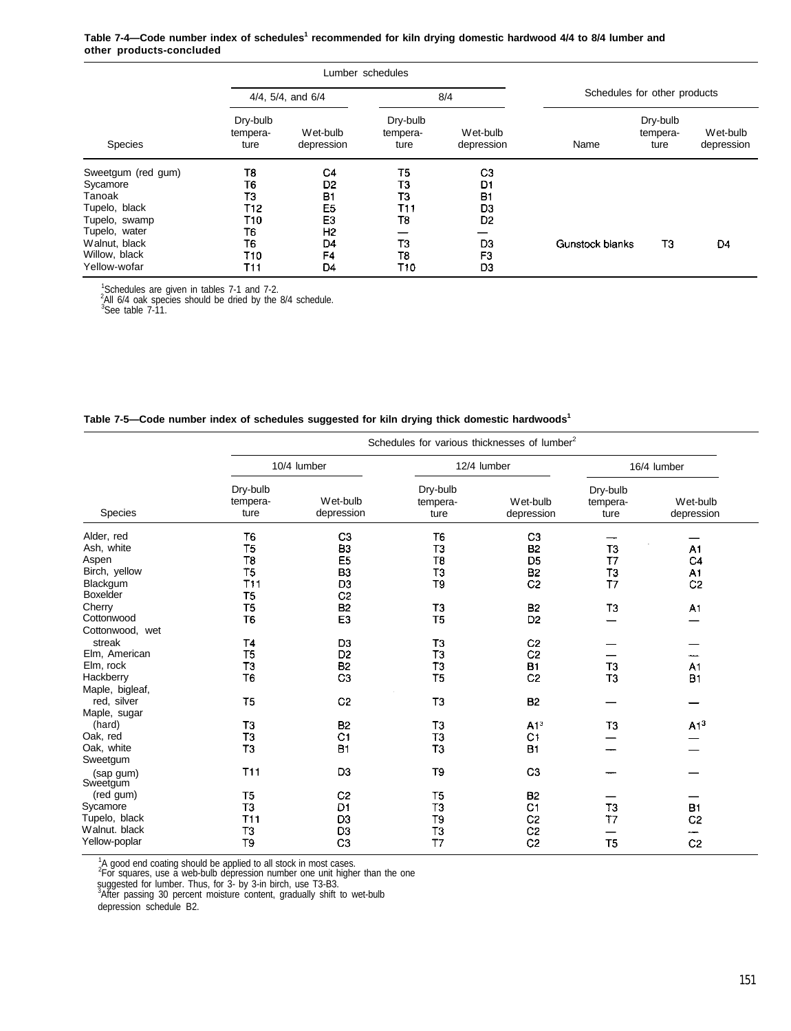**Table 7-4—Code number index of schedules<sup>1</sup> recommended for kiln drying domestic hardwood 4/4 to 8/4 lumber and other products-concluded**

|                    |                              |                        | Lumber schedules             |                        |                              |                              |                        |  |
|--------------------|------------------------------|------------------------|------------------------------|------------------------|------------------------------|------------------------------|------------------------|--|
|                    |                              | 4/4, 5/4, and 6/4      |                              | 8/4                    | Schedules for other products |                              |                        |  |
| <b>Species</b>     | Dry-bulb<br>tempera-<br>ture | Wet-bulb<br>depression | Dry-bulb<br>tempera-<br>ture | Wet-bulb<br>depression | Name                         | Dry-bulb<br>tempera-<br>ture | Wet-bulb<br>depression |  |
| Sweetgum (red gum) | T8                           | C <sub>4</sub>         | T <sub>5</sub>               | C <sub>3</sub>         |                              |                              |                        |  |
| Sycamore           | T6                           | D <sub>2</sub>         | TЗ                           | D1                     |                              |                              |                        |  |
| Tanoak             | TЗ                           | Β1                     | TЗ                           | <b>B1</b>              |                              |                              |                        |  |
| Tupelo, black      | T12                          | E <sub>5</sub>         | T11                          | D3                     |                              |                              |                        |  |
| Tupelo, swamp      | T10                          | E3                     | T8                           | D <sub>2</sub>         |                              |                              |                        |  |
| Tupelo, water      | T6                           | Η2                     |                              |                        |                              |                              |                        |  |
| Walnut, black      | T6                           | D <sub>4</sub>         | ТЗ                           | D3                     | <b>Gunstock blanks</b>       | ТЗ                           | D4                     |  |
| Willow, black      | T10                          | F4                     | T8                           | F3                     |                              |                              |                        |  |
| Yellow-wofar       | T11                          | D4                     | T10                          | D3                     |                              |                              |                        |  |

<sup>1</sup>Schedules are given in tables 7-1 and 7-2.<br><sup>2</sup>All 6/4 oak species should be dried by the 8/4 schedule.

 $3$ See table 7-11.

| Table 7-5-Code number index of schedules suggested for kiln drying thick domestic hardwoods <sup>1</sup> |  |
|----------------------------------------------------------------------------------------------------------|--|
|----------------------------------------------------------------------------------------------------------|--|

|                 |                              | Schedules for various thicknesses of lumber <sup>2</sup> |                              |                        |                              |                        |  |  |  |  |  |
|-----------------|------------------------------|----------------------------------------------------------|------------------------------|------------------------|------------------------------|------------------------|--|--|--|--|--|
|                 |                              | 10/4 lumber                                              |                              | 12/4 lumber            | 16/4 lumber                  |                        |  |  |  |  |  |
| Species         | Dry-bulb<br>tempera-<br>ture | Wet-bulb<br>depression                                   | Dry-bulb<br>tempera-<br>ture | Wet-bulb<br>depression | Dry-bulb<br>tempera-<br>ture | Wet-bulb<br>depression |  |  |  |  |  |
| Alder, red      | T <sub>6</sub>               | C <sub>3</sub>                                           | T <sub>6</sub>               | C <sub>3</sub>         |                              |                        |  |  |  |  |  |
| Ash, white      | T5                           | B <sub>3</sub>                                           | T3                           | <b>B2</b>              | T <sub>3</sub>               | A1                     |  |  |  |  |  |
| Aspen           | T8                           | E <sub>5</sub>                                           | T8                           | D <sub>5</sub>         | T7                           | C <sub>4</sub>         |  |  |  |  |  |
| Birch, yellow   | <b>T5</b>                    | <b>B3</b>                                                | T3                           | B <sub>2</sub>         | T3                           | A1                     |  |  |  |  |  |
| Blackgum        | <b>T11</b>                   | D <sub>3</sub>                                           | T9                           | C <sub>2</sub>         | T7                           | C <sub>2</sub>         |  |  |  |  |  |
| Boxelder        | T5                           | C <sub>2</sub>                                           |                              |                        |                              |                        |  |  |  |  |  |
| Cherry          | T <sub>5</sub>               | <b>B2</b>                                                | T <sub>3</sub>               | B <sub>2</sub>         | T <sub>3</sub>               | A1                     |  |  |  |  |  |
| Cottonwood      | T <sub>6</sub>               | E <sub>3</sub>                                           | T <sub>5</sub>               | D <sub>2</sub>         |                              |                        |  |  |  |  |  |
| Cottonwood, wet |                              |                                                          |                              |                        |                              |                        |  |  |  |  |  |
| streak          | T4                           | D <sub>3</sub>                                           | T <sub>3</sub>               | C <sub>2</sub>         |                              |                        |  |  |  |  |  |
| Elm, American   | T <sub>5</sub>               | D <sub>2</sub>                                           | T3                           | C <sub>2</sub>         |                              |                        |  |  |  |  |  |
| Elm, rock       | T3                           | <b>B2</b>                                                | T <sub>3</sub>               | <b>B1</b>              | T <sub>3</sub>               | A <sub>1</sub>         |  |  |  |  |  |
| Hackberry       | T6                           | C <sub>3</sub>                                           | T <sub>5</sub>               | C <sub>2</sub>         | T <sub>3</sub>               | <b>B1</b>              |  |  |  |  |  |
| Maple, bigleaf, |                              |                                                          |                              |                        |                              |                        |  |  |  |  |  |
| red, silver     | T <sub>5</sub>               | C <sub>2</sub>                                           | T <sub>3</sub>               | <b>B2</b>              |                              |                        |  |  |  |  |  |
| Maple, sugar    |                              |                                                          |                              |                        |                              |                        |  |  |  |  |  |
| (hard)          | T <sub>3</sub>               | <b>B2</b>                                                | T3                           | A1 <sup>3</sup>        | T3                           | A1 <sup>3</sup>        |  |  |  |  |  |
| Oak, red        | TЗ                           | C <sub>1</sub>                                           | T3                           | C1                     |                              |                        |  |  |  |  |  |
| Oak, white      | T <sub>3</sub>               | <b>B1</b>                                                | T <sub>3</sub>               | <b>B1</b>              |                              |                        |  |  |  |  |  |
| Sweetgum        |                              |                                                          |                              |                        |                              |                        |  |  |  |  |  |
| (sap gum)       | <b>T11</b>                   | D <sub>3</sub>                                           | T9                           | C <sub>3</sub>         |                              |                        |  |  |  |  |  |
| Sweetgum        |                              |                                                          |                              |                        |                              |                        |  |  |  |  |  |
| (red gum)       | T <sub>5</sub>               | C <sub>2</sub>                                           | T <sub>5</sub>               | <b>B2</b>              |                              |                        |  |  |  |  |  |
| Sycamore        | T <sub>3</sub>               | D1                                                       | T <sub>3</sub>               | C <sub>1</sub>         | T3                           | <b>B1</b>              |  |  |  |  |  |
| Tupelo, black   | <b>T11</b>                   | D <sub>3</sub>                                           | T <sub>9</sub>               | C <sub>2</sub>         | T <sub>7</sub>               | C <sub>2</sub>         |  |  |  |  |  |
| Walnut, black   | T3                           | D <sub>3</sub>                                           | TЗ                           | C <sub>2</sub>         |                              | ∽                      |  |  |  |  |  |
| Yellow-poplar   | T9                           | C <sub>3</sub>                                           | T <sub>7</sub>               | C <sub>2</sub>         | T <sub>5</sub>               | C <sub>2</sub>         |  |  |  |  |  |
|                 |                              |                                                          |                              |                        |                              |                        |  |  |  |  |  |

<sup>1</sup>A good end coating should be applied to all stock in most cases.<br><sup>2</sup>For squares, use a web-bulb depression number one unit higher than the one

suggested for lumber. Thus, for 3- by 3-in birch, use T3-B3. <sup>3</sup>After passing 30 percent moisture content, gradually shift to wet-bulb

depression schedule B2.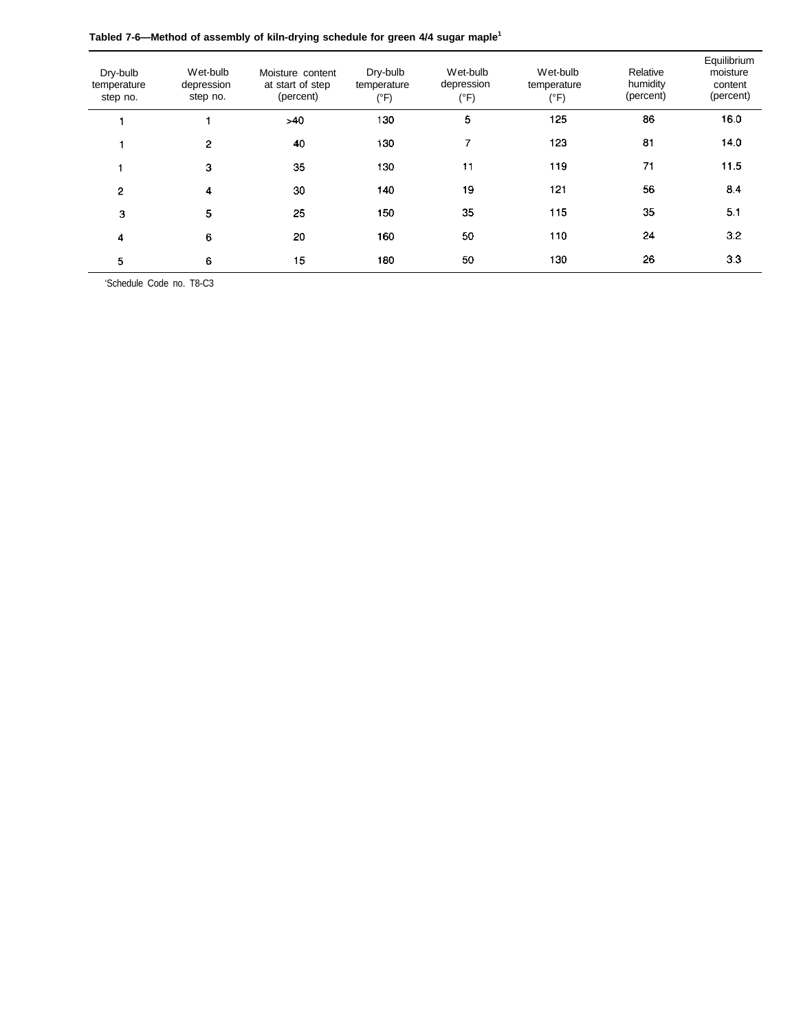| Tabled 7-6—Method of assembly of kiln-drying schedule for green 4/4 sugar maple <sup>1</sup> |  |  |
|----------------------------------------------------------------------------------------------|--|--|
|                                                                                              |  |  |

| Dry-bulb<br>temperature<br>step no. | Wet-bulb<br>depression<br>step no. | Moisture content<br>at start of step<br>(percent) | Dry-bulb<br>temperature<br>(°F) | Wet-bulb<br>depression<br>(°F) | Wet-bulb<br>temperature<br>$(^{\circ}F)$ | Relative<br>humidity<br>(percent) | Equilibrium<br>moisture<br>content<br>(percent) |
|-------------------------------------|------------------------------------|---------------------------------------------------|---------------------------------|--------------------------------|------------------------------------------|-----------------------------------|-------------------------------------------------|
|                                     |                                    | $-40$                                             | 130                             | 5                              | 125                                      | 86                                | 16.0                                            |
|                                     | 2                                  | 40                                                | 130                             | 7                              | 123                                      | 81                                | 14.0                                            |
|                                     | 3                                  | 35                                                | 130                             | 11                             | 119                                      | 71                                | 11.5                                            |
| $\overline{2}$                      | 4                                  | 30                                                | 140                             | 19                             | 121                                      | 56                                | 8.4                                             |
| 3                                   | 5                                  | 25                                                | 150                             | 35                             | 115                                      | 35                                | 5.1                                             |
| 4                                   | 6                                  | 20                                                | 160                             | 50                             | 110                                      | 24                                | 3.2                                             |
| 5                                   | 6                                  | 15                                                | 180                             | 50                             | 130                                      | 26                                | 3.3                                             |

'Schedule Code no. T8-C3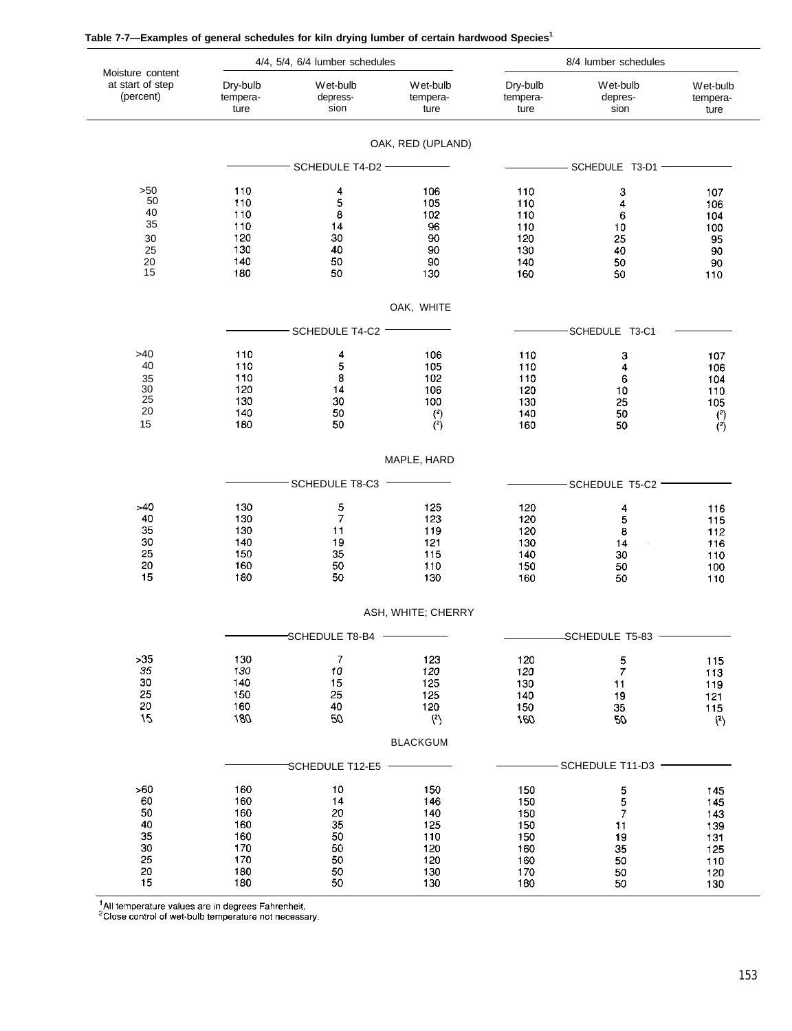| Moisture content                                    |                                                             | 4/4, 5/4, 6/4 lumber schedules                     |                                                             | 8/4 lumber schedules                                        |                                                                     |                                                             |
|-----------------------------------------------------|-------------------------------------------------------------|----------------------------------------------------|-------------------------------------------------------------|-------------------------------------------------------------|---------------------------------------------------------------------|-------------------------------------------------------------|
| at start of step<br>(percent)                       | Dry-bulb<br>tempera-<br>ture                                | Wet-bulb<br>depress-<br>sion                       | Wet-bulb<br>tempera-<br>ture                                | Dry-bulb<br>tempera-<br>ture                                | Wet-bulb<br>depres-<br>sion                                         | Wet-bulb<br>tempera-<br>ture                                |
|                                                     |                                                             |                                                    | OAK, RED (UPLAND)                                           |                                                             |                                                                     |                                                             |
|                                                     |                                                             | SCHEDULE T4-D2 -                                   |                                                             |                                                             | SCHEDULE T3-D1 -                                                    |                                                             |
| >50<br>50<br>40<br>35<br>30<br>25<br>20<br>15       | 110<br>110<br>110<br>110<br>120<br>130<br>140<br>180        | 4<br>5<br>8<br>14<br>30<br>40<br>50<br>50          | 106<br>105<br>102<br>96<br>90<br>90<br>90<br>130            | 110<br>110<br>110<br>110<br>120<br>130<br>140<br>160        | 3<br>4<br>6<br>10<br>25<br>40<br>50<br>50                           | 107<br>106<br>104<br>100<br>95<br>90<br>90<br>110           |
|                                                     |                                                             |                                                    | OAK, WHITE                                                  |                                                             |                                                                     |                                                             |
|                                                     |                                                             | SCHEDULE T4-C2                                     |                                                             |                                                             | SCHEDULE T3-C1                                                      |                                                             |
| >40<br>40<br>35<br>30<br>25<br>$20\,$<br>15         | 110<br>110<br>110<br>120<br>130<br>140<br>180               | 4<br>5<br>8<br>14<br>30<br>50<br>50                | 106<br>105<br>102<br>106<br>100<br>$\binom{2}{2}$           | 110<br>110<br>110<br>120<br>130<br>140<br>160               | 3<br>4<br>6<br>10<br>25<br>50<br>50                                 | 107<br>106<br>104<br>110<br>105<br>$\binom{2}{2}$           |
|                                                     |                                                             |                                                    | MAPLE, HARD                                                 |                                                             |                                                                     |                                                             |
|                                                     |                                                             | SCHEDULE T8-C3                                     |                                                             |                                                             | SCHEDULE T5-C2                                                      |                                                             |
| >40<br>40<br>35<br>30<br>25<br>20<br>15             | 130<br>130<br>130<br>140<br>150<br>160<br>180               | 5<br>7<br>11<br>19<br>35<br>50<br>50               | 125<br>123<br>119<br>121<br>115<br>110<br>130               | 120<br>120<br>120<br>130<br>140<br>150<br>160               | 4<br>5<br>8<br>14<br>30<br>50<br>50                                 | 116<br>115<br>112<br>116<br>110<br>100<br>110               |
|                                                     |                                                             |                                                    | ASH, WHITE; CHERRY                                          |                                                             |                                                                     |                                                             |
|                                                     |                                                             | SCHEDULE T8-B4                                     |                                                             |                                                             | SCHEDULE T5-83                                                      |                                                             |
| $>35$<br>35<br>30<br>25<br>20<br>15                 | 130<br>130<br>140<br>150<br>160<br>180                      | 7<br>10<br>15<br>25<br>40<br>50                    | 123<br>120<br>125<br>125<br>120<br>$\binom{2}{ }$           | 120<br>120<br>130<br>140<br>150<br>160                      | $\frac{5}{7}$<br>11<br>19<br>35<br>$\infty$                         | 115<br>113<br>119<br>121<br>115<br>(2)                      |
|                                                     |                                                             |                                                    | <b>BLACKGUM</b>                                             |                                                             |                                                                     |                                                             |
|                                                     |                                                             | SCHEDULE T12-E5                                    |                                                             |                                                             | -SCHEDULE T11-D3 -                                                  |                                                             |
| >60<br>60<br>50<br>40<br>35<br>30<br>25<br>20<br>15 | 160<br>160<br>160<br>160<br>160<br>170<br>170<br>180<br>180 | 10<br>14<br>20<br>35<br>50<br>50<br>50<br>50<br>50 | 150<br>146<br>140<br>125<br>110<br>120<br>120<br>130<br>130 | 150<br>150<br>150<br>150<br>150<br>160<br>160<br>170<br>180 | $\frac{5}{5}$<br>$\overline{7}$<br>11<br>19<br>35<br>50<br>50<br>50 | 145<br>145<br>143<br>139<br>131<br>125<br>110<br>120<br>130 |

| Table 7-7-Examples of general schedules for kiln drying lumber of certain hardwood Species <sup>1</sup> |  |
|---------------------------------------------------------------------------------------------------------|--|
|---------------------------------------------------------------------------------------------------------|--|

 $^4$ All temperature values are in degrees Fahrenheit.<br><sup>2</sup>Close control of wet-bulb temperature not necessary.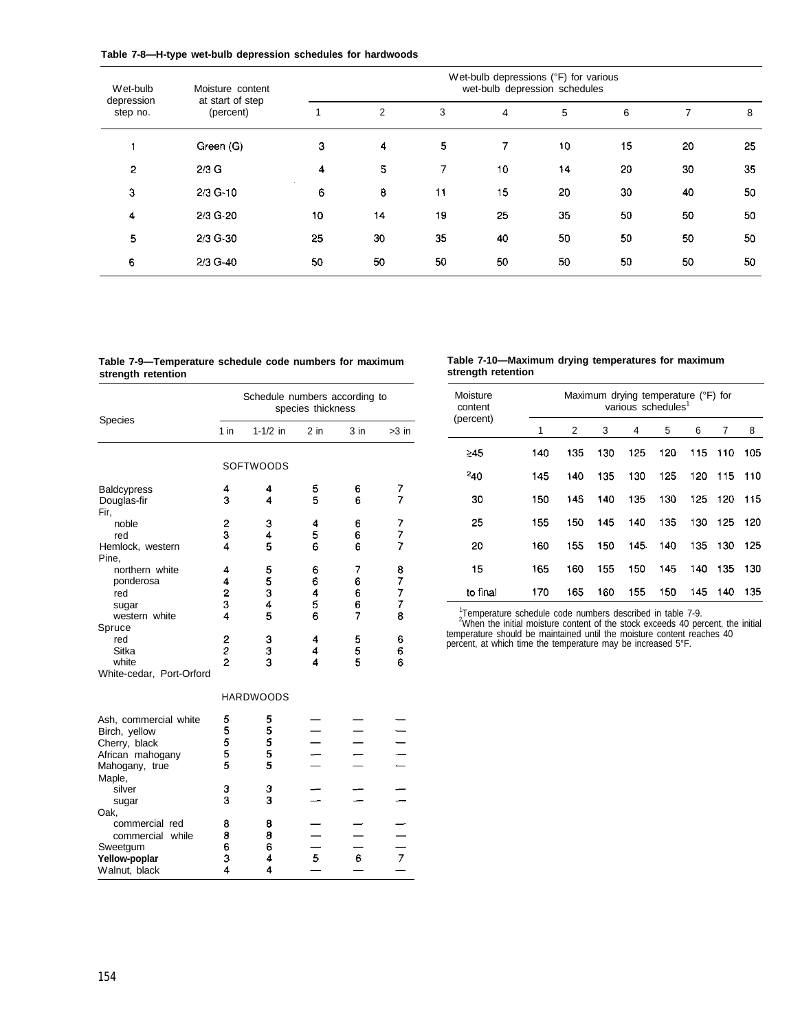| Table 7-8-H-type wet-bulb depression schedules for hardwoods |  |  |  |  |  |  |  |  |
|--------------------------------------------------------------|--|--|--|--|--|--|--|--|
|--------------------------------------------------------------|--|--|--|--|--|--|--|--|

| Wet-bulb               | Moisture content              | Wet-bulb depressions (°F) for various<br>wet-bulb depression schedules |    |    |    |    |    |    |    |
|------------------------|-------------------------------|------------------------------------------------------------------------|----|----|----|----|----|----|----|
| depression<br>step no. | at start of step<br>(percent) |                                                                        | 2  | 3  | 4  | 5  | 6  |    | 8  |
|                        | Green (G)                     | 3                                                                      | 4  | 5  | 7. | 10 | 15 | 20 | 25 |
| 2                      | $2/3$ G                       | 4                                                                      | 5  | 7  | 10 | 14 | 20 | 30 | 35 |
| 3                      | $2/3$ G-10                    | 6                                                                      | 8  | 11 | 15 | 20 | 30 | 40 | 50 |
| 4                      | 2/3 G-20                      | 10                                                                     | 14 | 19 | 25 | 35 | 50 | 50 | 50 |
| 5                      | 2/3 G-30                      | 25                                                                     | 30 | 35 | 40 | 50 | 50 | 50 | 50 |
| 6                      | 2/3 G-40                      | 50                                                                     | 50 | 50 | 50 | 50 | 50 | 50 | 50 |

**strength retention strength retention**

# **Table 7-9—Temperature schedule code numbers for maximum Table 7-10—Maximum drying temperatures for maximum**

| Species                                                                                       | Schedule numbers according to<br>species thickness |                       |                       |                       |                          |  |  |
|-----------------------------------------------------------------------------------------------|----------------------------------------------------|-----------------------|-----------------------|-----------------------|--------------------------|--|--|
|                                                                                               | 1 in                                               | $1 - 1/2$ in          | $2$ in                | $3$ in                | $>3$ in                  |  |  |
|                                                                                               |                                                    | <b>SOFTWOODS</b>      |                       |                       |                          |  |  |
| <b>Baldcypress</b><br>Douglas-fir<br>Fir,                                                     | 4<br>3                                             | 4<br>4                | 5<br>5                | 6<br>6                | 7<br>7                   |  |  |
| noble<br>red<br>Hemlock, western<br>Pine,                                                     | 2<br>3<br>4                                        | 3<br>4<br>5           | 4<br>5<br>6           | 6<br>6<br>6           | 7<br>7<br>$\overline{7}$ |  |  |
| northern white<br>ponderosa<br>red<br>sugar<br>western white                                  | 4<br>4<br>2<br>3<br>4                              | 5<br>5<br>3<br>4<br>5 | 6<br>6<br>4<br>5<br>6 | 7<br>6<br>6<br>6<br>7 | 8<br>7<br>7<br>7<br>8    |  |  |
| Spruce<br>red<br>Sitka<br>white<br>White-cedar, Port-Orford                                   | 2<br>2<br>2                                        | 3<br>3<br>3           | 4<br>4<br>4           | 5<br>5<br>5           | 6<br>6<br>6              |  |  |
|                                                                                               |                                                    | <b>HARDWOODS</b>      |                       |                       |                          |  |  |
| Ash, commercial white<br>Birch, yellow<br>Cherry, black<br>African mahogany<br>Mahogany, true | 5<br>5<br>5<br>5<br>5                              | 5<br>5<br>5<br>5<br>5 |                       |                       |                          |  |  |
| Maple,<br>silver<br>sugar                                                                     | з<br>3                                             | 3<br>3                |                       |                       |                          |  |  |
| Oak,<br>commercial red<br>commercial while<br>Sweetgum<br>Yellow-poplar<br>Walnut, black      | 8<br>8<br>6<br>3<br>4                              | 8<br>8<br>6<br>4<br>4 | 5                     | 6                     | $\overline{7}$           |  |  |

| Moisture<br>content |     |     |     | Maximum drying temperature (°F) for<br>various schedules <sup>1</sup> |     |     |     |     |
|---------------------|-----|-----|-----|-----------------------------------------------------------------------|-----|-----|-----|-----|
| (percent)           | 1   | 2   | 3   | 4                                                                     | 5   | 6   | 7   | 8   |
| ≥45                 | 140 | 135 | 130 | 125                                                                   | 120 | 115 | 110 | 105 |
| $^{2}40$            | 145 | 140 | 135 | 130                                                                   | 125 | 120 | 115 | 110 |
| 30                  | 150 | 145 | 140 | 135                                                                   | 130 | 125 | 120 | 115 |
| 25                  | 155 | 150 | 145 | 140                                                                   | 135 | 130 | 125 | 120 |
| 20                  | 160 | 155 | 150 | 145                                                                   | 140 | 135 | 130 | 125 |
| 15                  | 165 | 160 | 155 | 150                                                                   | 145 | 140 | 135 | 130 |
| to final            | 170 | 165 | 160 | 155                                                                   | 150 | 145 | 140 | 135 |

<sup>1</sup>Temperature schedule code numbers described in table 7-9. <sup>2</sup>When the initial moisture content of the stock exceeds 40 percent, the initial temperature should be maintained until the moisture content reaches 40 percent, at which time the temperature may be increased 5°F.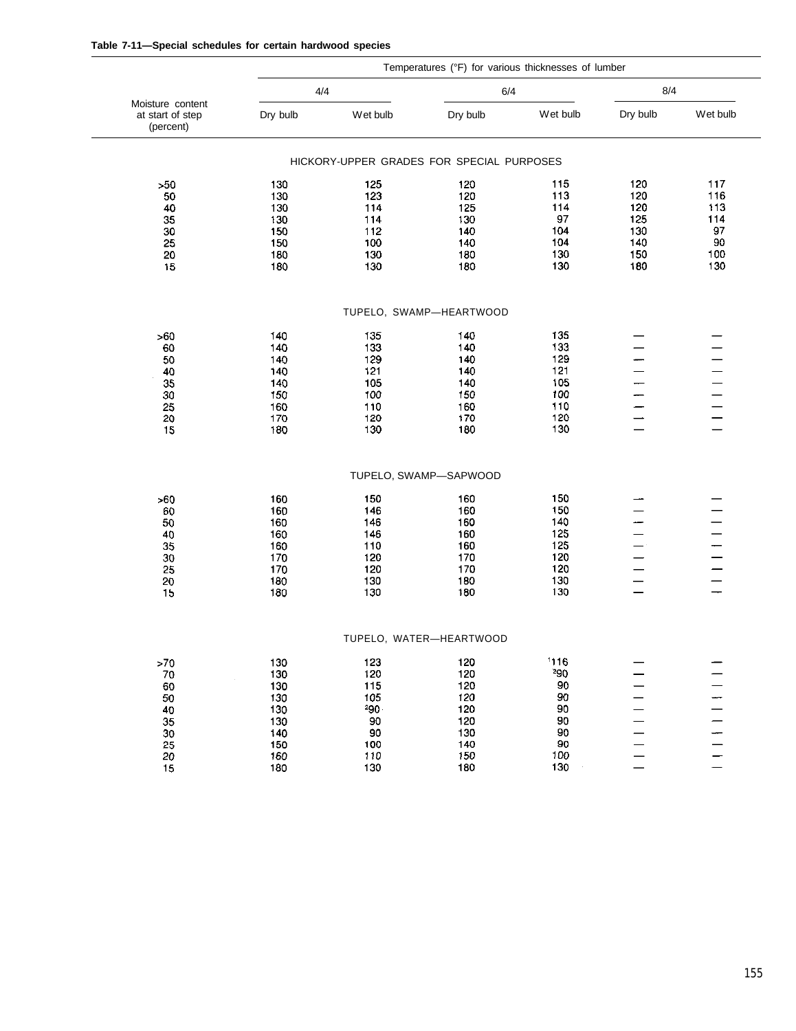| Table 7-11-Special schedules for certain hardwood species |  |  |  |
|-----------------------------------------------------------|--|--|--|
|-----------------------------------------------------------|--|--|--|

|                                                   |            |                                           | Temperatures (°F) for various thicknesses of lumber |            |          |          |
|---------------------------------------------------|------------|-------------------------------------------|-----------------------------------------------------|------------|----------|----------|
|                                                   | 4/4        |                                           |                                                     | 6/4        |          | 8/4      |
| Moisture content<br>at start of step<br>(percent) | Dry bulb   | Wet bulb                                  | Dry bulb                                            | Wet bulb   | Dry bulb | Wet bulb |
|                                                   |            | HICKORY-UPPER GRADES FOR SPECIAL PURPOSES |                                                     |            |          |          |
| >50                                               | 130        | 125                                       | 120                                                 | 115        | 120      | 117      |
| 50                                                | 130        | 123                                       | 120                                                 | 113        | 120      | 116      |
| 40                                                | 130        | 114                                       | 125                                                 | 114        | 120      | 113      |
| 35                                                | 130        | 114                                       | 130                                                 | 97         | 125      | 114      |
| 30                                                | 150        | 112                                       | 140                                                 | 104        | 130      | 97       |
| 25                                                | 150        | 100                                       | 140                                                 | 104        | 140      | 90       |
| 20                                                | 180        | 130                                       | 180                                                 | 130        | 150      | 100      |
| 15                                                | 180        | 130                                       | 180                                                 | 130        | 180      | 130      |
|                                                   |            |                                           | TUPELO, SWAMP-HEARTWOOD                             |            |          |          |
|                                                   |            |                                           |                                                     |            |          |          |
| >60                                               | 140        | 135                                       | 140                                                 | 135        |          |          |
| 60                                                | 140        | 133                                       | 140                                                 | 133<br>129 |          |          |
| 50<br>40                                          | 140<br>140 | 129<br>121                                | 140<br>140                                          | 121        |          |          |
| 35                                                | 140        | 105                                       | 140                                                 | 105        |          |          |
| 30                                                | 150        | 100                                       | 150                                                 | 100        |          |          |
| 25                                                | 160        | 110                                       | 160                                                 | 110        |          |          |
| 20                                                | 170        | 120                                       | 170                                                 | 120        |          |          |
| 15                                                | 180        | 130                                       | 180                                                 | 130        |          |          |
|                                                   |            |                                           | TUPELO, SWAMP-SAPWOOD                               |            |          |          |
|                                                   |            |                                           |                                                     |            |          |          |
| >60                                               | 160        | 150                                       | 160                                                 | 150        |          |          |
| 60                                                | 160        | 146                                       | 160                                                 | 150        |          |          |
| 50                                                | 160        | 146                                       | 160                                                 | 140        |          |          |
| 40                                                | 160        | 146                                       | 160                                                 | 125        |          |          |
| 35                                                | 160        | 110                                       | 160                                                 | 125        |          |          |
| 30                                                | 170        | 120                                       | 170                                                 | 120        |          |          |
| 25                                                | 170        | 120                                       | 170                                                 | 120        |          |          |
| 20<br>15                                          | 180<br>180 | 130<br>130                                | 180<br>180                                          | 130<br>130 |          |          |
|                                                   |            |                                           |                                                     |            |          |          |
|                                                   |            |                                           | TUPELO, WATER—HEARTWOOD                             |            |          |          |
| ${>}70$                                           | 130        | 123                                       | 120                                                 | 1116       |          |          |
| ${\bf 70}$                                        | 130        | 120                                       | 120                                                 | 290        |          |          |
| 60                                                | 130        | 115                                       | 120                                                 | 90         |          |          |
| 50                                                | 130        | 105                                       | 120                                                 | 90         |          |          |
| 40                                                | 130        | $290 -$                                   | 120                                                 | 90         |          |          |
| 35                                                | 130        | $90\,$                                    | 120                                                 | 90         |          |          |
| $30\,$                                            | 140        | 90                                        | 130                                                 | 90         |          |          |
| 25                                                | 150        | 100                                       | 140                                                 | 90         |          |          |
| 20                                                | 160        | 110<br>130                                | 150                                                 | 100<br>130 |          |          |
| 15                                                | 180        |                                           | 180                                                 |            |          |          |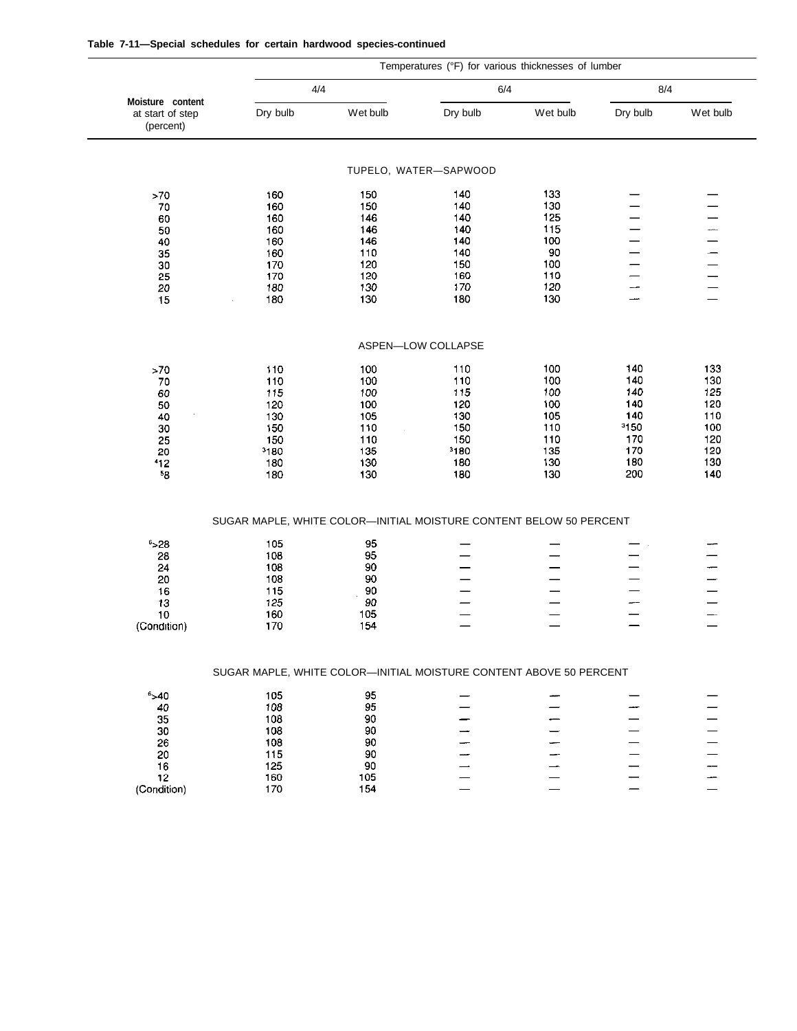|  |  |  |  |  |  | Table 7-11—Special schedules for certain hardwood species-continued |
|--|--|--|--|--|--|---------------------------------------------------------------------|
|--|--|--|--|--|--|---------------------------------------------------------------------|

|                                                   | Temperatures (°F) for various thicknesses of lumber |                                                                    |                       |          |          |                          |
|---------------------------------------------------|-----------------------------------------------------|--------------------------------------------------------------------|-----------------------|----------|----------|--------------------------|
|                                                   |                                                     | 4/4                                                                |                       | 6/4      | 8/4      |                          |
| Moisture content<br>at start of step<br>(percent) | Dry bulb                                            | Wet bulb                                                           | Dry bulb              | Wet bulb | Dry bulb | Wet bulb                 |
|                                                   |                                                     |                                                                    | TUPELO, WATER-SAPWOOD |          |          |                          |
|                                                   |                                                     |                                                                    | 140                   | 133      |          |                          |
| $>70$<br>$70\,$                                   | 160<br>160                                          | 150<br>150                                                         | 140                   | 130      |          |                          |
| 60                                                | 160                                                 | 146                                                                | 140                   | 125      |          | $\overline{\phantom{0}}$ |
| 50                                                | 160                                                 | 146                                                                | 140                   | 115      |          |                          |
| 40                                                | 160                                                 | 146                                                                | 140                   | 100      |          | $\frac{1}{1}$            |
| 35                                                | 160                                                 | 110                                                                | 140                   | 90       |          |                          |
| 30                                                | 170                                                 | 120                                                                | 150                   | 100      |          | $\overline{\phantom{0}}$ |
| 25                                                | 170                                                 | 120                                                                | 160                   | 110      |          | $\equiv$                 |
| 20                                                | 180                                                 | 130                                                                | 170                   | 120      | ---      |                          |
| 15                                                | 180                                                 | 130                                                                | 180                   | 130      |          | $\overline{\phantom{0}}$ |
|                                                   |                                                     |                                                                    | ASPEN-LOW COLLAPSE    |          |          |                          |
|                                                   |                                                     |                                                                    |                       |          |          |                          |
| >70                                               | 110                                                 | 100                                                                | 110                   | 100      | 140      | 133                      |
| 70                                                | 110                                                 | 100                                                                | 110                   | 100      | 140      | 130                      |
| 60                                                | 115                                                 | 100                                                                | 115                   | 100      | 140      | 125                      |
| 50                                                | 120                                                 | 100                                                                | 120                   | 100      | 140      | 120                      |
| 40                                                | 130                                                 | 105                                                                | 130                   | 105      | 140      | 110                      |
| $30\,$                                            | 150                                                 | 110                                                                | 150                   | 110      | 3150     | 100                      |
| 25                                                | 150                                                 | 110                                                                | 150                   | 110      | 170      | 120                      |
| 20                                                | 3180                                                | 135                                                                | 3180                  | 135      | 170      | 120                      |
| 112                                               | 180                                                 | 130                                                                | 180                   | 130      | 180      | 130                      |
| -8                                                | 180                                                 | 130                                                                | 180                   | 130      | 200      | 140                      |
|                                                   |                                                     | SUGAR MAPLE, WHITE COLOR-INITIAL MOISTURE CONTENT BELOW 50 PERCENT |                       |          |          |                          |
| 6,28                                              | 105                                                 | 95                                                                 |                       |          |          |                          |
| 28                                                | 108                                                 | 95                                                                 |                       |          |          |                          |
| 24                                                | 108                                                 | 90                                                                 |                       |          |          | -                        |
| 20                                                | 108                                                 | 90                                                                 |                       |          |          | ÷                        |
| 16                                                | 115                                                 | 90                                                                 |                       |          |          | $\overline{\phantom{0}}$ |
| 13                                                | 125                                                 | 90                                                                 |                       |          |          |                          |
| 10                                                | 160                                                 | 105                                                                |                       |          |          |                          |
| (Condition)                                       | 170                                                 | 154                                                                |                       |          | —        | $\equiv$                 |
|                                                   |                                                     | SUGAR MAPLE, WHITE COLOR-INITIAL MOISTURE CONTENT ABOVE 50 PERCENT |                       |          |          |                          |
|                                                   |                                                     |                                                                    |                       |          |          |                          |
| $6 - 40$                                          | 105                                                 | 95                                                                 |                       |          |          |                          |
| 40<br>35                                          | 108                                                 | 95<br>90                                                           |                       |          |          |                          |
|                                                   | 108                                                 | 90                                                                 |                       |          |          |                          |
|                                                   | 108                                                 | 90                                                                 |                       |          |          |                          |
| 30                                                |                                                     |                                                                    |                       |          |          |                          |
| 26                                                | 108                                                 |                                                                    |                       |          |          |                          |
| 20                                                | 115                                                 | 90                                                                 |                       |          |          |                          |
| 16                                                | 125                                                 | 90                                                                 |                       |          |          |                          |
| 12<br>(Condition)                                 | 160<br>170                                          | 105<br>154                                                         |                       |          |          |                          |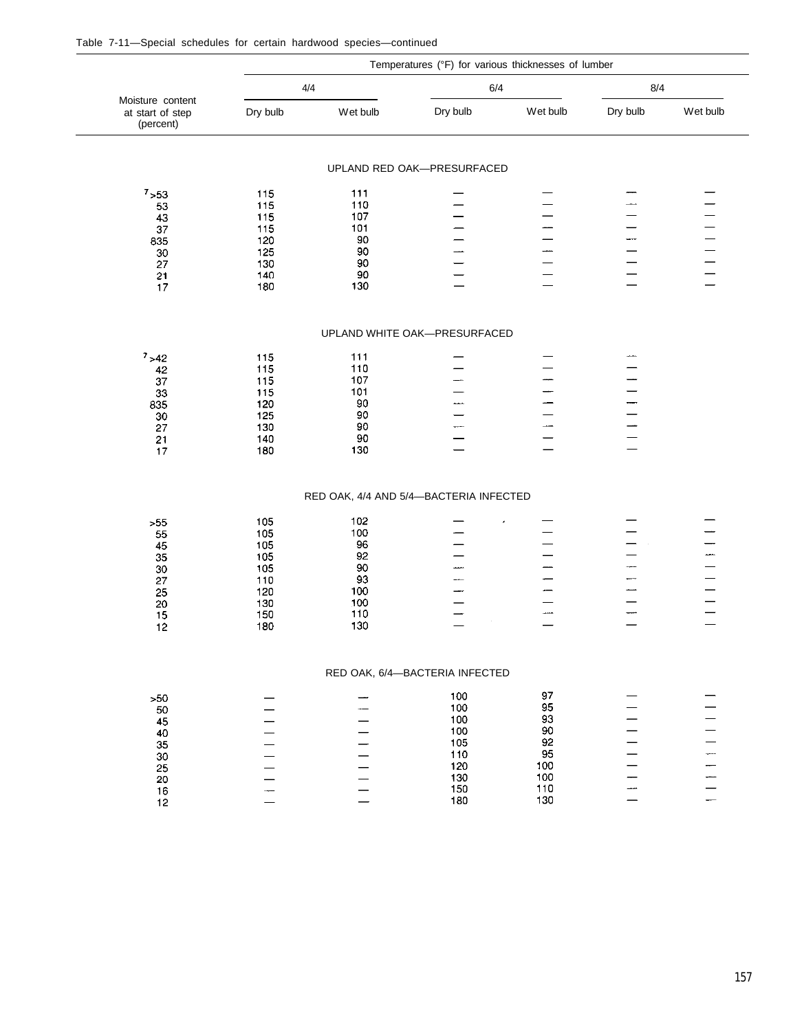| Table 7-11—Special schedules for certain hardwood species—continued |
|---------------------------------------------------------------------|
|---------------------------------------------------------------------|

|                                                   |            |                                        | Temperatures (°F) for various thicknesses of lumber |            |                          |          |
|---------------------------------------------------|------------|----------------------------------------|-----------------------------------------------------|------------|--------------------------|----------|
|                                                   | 4/4        |                                        | 6/4                                                 |            | 8/4                      |          |
| Moisture content<br>at start of step<br>(percent) | Dry bulb   | Wet bulb                               | Dry bulb                                            | Wet bulb   | Dry bulb                 | Wet bulb |
|                                                   |            |                                        | UPLAND RED OAK-PRESURFACED                          |            |                          |          |
|                                                   |            |                                        |                                                     |            |                          |          |
| $7 - 53$                                          | 115        | 111                                    |                                                     |            |                          |          |
| 53                                                | 115<br>115 | 110<br>107                             |                                                     |            |                          |          |
| 43<br>37                                          | 115        | 101                                    |                                                     |            |                          |          |
| 835                                               | 120        | 90                                     |                                                     |            | ---                      |          |
| 30                                                | 125        | 90                                     |                                                     |            |                          |          |
| 27                                                | 130        | 90                                     |                                                     |            |                          |          |
| 21                                                | 140        | 90                                     |                                                     |            |                          |          |
| 17                                                | 180        | 130                                    |                                                     |            |                          |          |
|                                                   |            |                                        | UPLAND WHITE OAK-PRESURFACED                        |            |                          |          |
| $7 - 42$                                          | 115        | 111                                    |                                                     |            |                          |          |
| 42                                                | 115        | 110                                    |                                                     |            |                          |          |
| $37\,$                                            | 115        | 107                                    |                                                     |            |                          |          |
| $33\,$                                            | 115        | 101                                    |                                                     |            |                          |          |
| 835                                               | 120        | 90                                     |                                                     |            |                          |          |
| $30\,$                                            | 125        | 90                                     |                                                     |            |                          |          |
| 27                                                | 130        | 90                                     |                                                     |            |                          |          |
| 21<br>$17$                                        | 140<br>180 | 90<br>130                              |                                                     |            | $\overline{\phantom{0}}$ |          |
|                                                   |            |                                        |                                                     |            |                          |          |
|                                                   |            | RED OAK, 4/4 AND 5/4-BACTERIA INFECTED |                                                     |            |                          |          |
| $>55$                                             | 105        | 102                                    |                                                     |            |                          |          |
| 55                                                | 105        | 100                                    |                                                     |            |                          |          |
| 45                                                | 105        | 96                                     |                                                     |            |                          |          |
| 35                                                | 105        | 92                                     |                                                     |            |                          |          |
| 30                                                | 105        | 90                                     |                                                     |            |                          |          |
| 27                                                | 110        | 93                                     |                                                     |            |                          |          |
| 25                                                | 120        | 100<br>100                             |                                                     |            |                          |          |
| 20<br>15                                          | 130<br>150 | 110                                    |                                                     |            |                          |          |
| 12                                                | 180        | 130                                    |                                                     |            |                          |          |
|                                                   |            |                                        | RED OAK, 6/4-BACTERIA INFECTED                      |            |                          |          |
| >50                                               |            |                                        | 100                                                 | 97         |                          |          |
| 50                                                |            |                                        | 100                                                 | 95         |                          |          |
| 45                                                |            |                                        | 100                                                 | 93         |                          |          |
| 40                                                |            |                                        | 100                                                 | 90         |                          |          |
| 35                                                |            |                                        | 105                                                 | 92         |                          |          |
| 30                                                |            |                                        | 110                                                 | 95         |                          |          |
| 25                                                |            |                                        | 120                                                 | 100        |                          |          |
| 20                                                |            |                                        | 130                                                 | 100        |                          |          |
|                                                   |            |                                        |                                                     |            |                          |          |
| 16<br>12                                          |            |                                        | 150<br>180                                          | 110<br>130 |                          |          |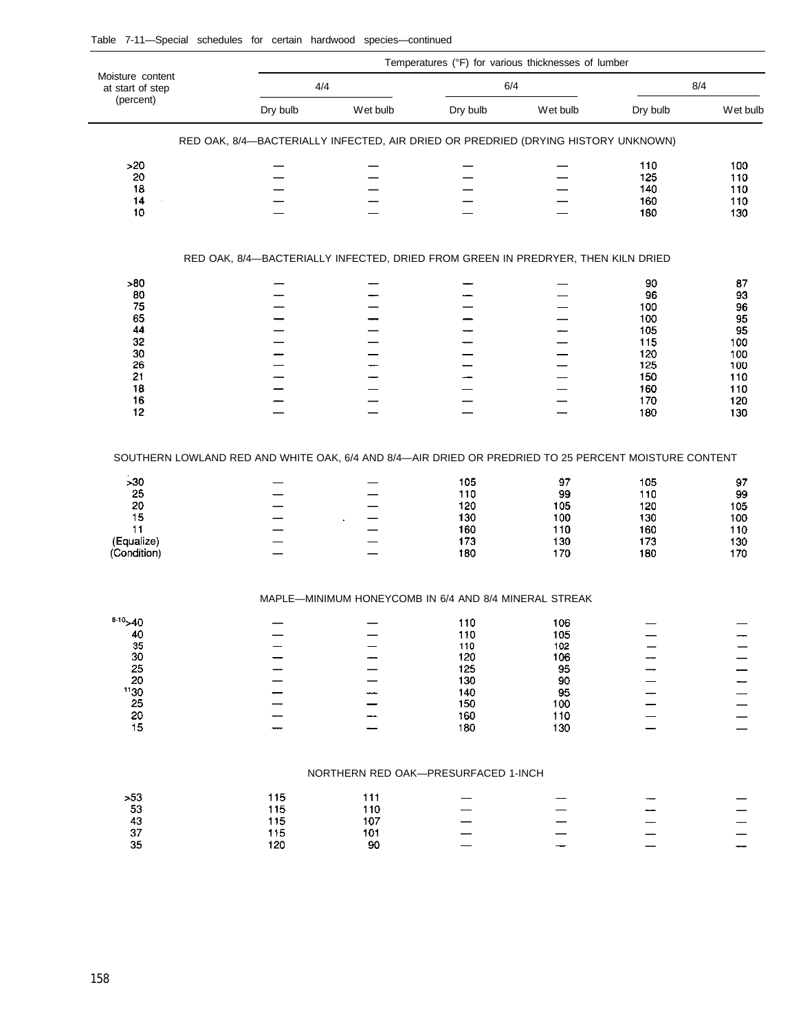|                                                          |                                                                                                      | Temperatures (°F) for various thicknesses of lumber   |                                               |                                             |                                               |                                             |  |  |  |
|----------------------------------------------------------|------------------------------------------------------------------------------------------------------|-------------------------------------------------------|-----------------------------------------------|---------------------------------------------|-----------------------------------------------|---------------------------------------------|--|--|--|
| Moisture content<br>at start of step                     | 4/4                                                                                                  |                                                       | 6/4                                           |                                             | 8/4                                           |                                             |  |  |  |
| (percent)                                                | Dry bulb                                                                                             | Wet bulb                                              | Dry bulb                                      | Wet bulb                                    | Dry bulb                                      | Wet bulb                                    |  |  |  |
|                                                          | RED OAK, 8/4-BACTERIALLY INFECTED, AIR DRIED OR PREDRIED (DRYING HISTORY UNKNOWN)                    |                                                       |                                               |                                             |                                               |                                             |  |  |  |
| >20                                                      |                                                                                                      |                                                       |                                               |                                             | 110                                           | 100                                         |  |  |  |
| 20                                                       |                                                                                                      |                                                       |                                               |                                             | 125                                           | 110                                         |  |  |  |
| 18<br>14                                                 |                                                                                                      |                                                       |                                               |                                             | 140<br>160                                    | 110<br>110                                  |  |  |  |
| 10                                                       |                                                                                                      |                                                       |                                               |                                             | 180                                           | 130                                         |  |  |  |
|                                                          | RED OAK, 8/4-BACTERIALLY INFECTED, DRIED FROM GREEN IN PREDRYER, THEN KILN DRIED                     |                                                       |                                               |                                             |                                               |                                             |  |  |  |
| >80                                                      |                                                                                                      |                                                       |                                               |                                             | 90                                            | 87                                          |  |  |  |
| 80                                                       |                                                                                                      |                                                       |                                               |                                             | 96                                            | 93                                          |  |  |  |
| 75                                                       |                                                                                                      |                                                       |                                               |                                             | 100                                           | 96                                          |  |  |  |
| 65                                                       |                                                                                                      |                                                       |                                               |                                             | 100                                           | 95                                          |  |  |  |
| 44                                                       |                                                                                                      |                                                       |                                               |                                             | 105                                           | 95                                          |  |  |  |
| 32                                                       |                                                                                                      |                                                       |                                               |                                             | 115                                           | 100                                         |  |  |  |
| 30<br>26                                                 | —                                                                                                    |                                                       |                                               |                                             | 120<br>125                                    | 100<br>100                                  |  |  |  |
| 21                                                       |                                                                                                      |                                                       |                                               |                                             | 150                                           | 110                                         |  |  |  |
| 18                                                       |                                                                                                      |                                                       |                                               |                                             | 160                                           | 110                                         |  |  |  |
| 16                                                       |                                                                                                      |                                                       |                                               |                                             | 170                                           | 120                                         |  |  |  |
| 12                                                       |                                                                                                      |                                                       |                                               |                                             | 180                                           | 130                                         |  |  |  |
| >30<br>25<br>20<br>15<br>11<br>(Equalize)<br>(Condition) | SOUTHERN LOWLAND RED AND WHITE OAK, 6/4 AND 8/4-AIR DRIED OR PREDRIED TO 25 PERCENT MOISTURE CONTENT |                                                       | 105<br>110<br>120<br>130<br>160<br>173<br>180 | 97<br>99<br>105<br>100<br>110<br>130<br>170 | 105<br>110<br>120<br>130<br>160<br>173<br>180 | 97<br>99<br>105<br>100<br>110<br>130<br>170 |  |  |  |
|                                                          |                                                                                                      | MAPLE-MINIMUM HONEYCOMB IN 6/4 AND 8/4 MINERAL STREAK |                                               |                                             |                                               |                                             |  |  |  |
| $8-10$ > 40                                              |                                                                                                      |                                                       | 110                                           | 106                                         |                                               |                                             |  |  |  |
| 40                                                       |                                                                                                      |                                                       | 110                                           | 105                                         |                                               |                                             |  |  |  |
| 35                                                       |                                                                                                      |                                                       | 110                                           | 102                                         |                                               |                                             |  |  |  |
| 30                                                       |                                                                                                      |                                                       | 120                                           | 106                                         |                                               |                                             |  |  |  |
| 25<br>20                                                 |                                                                                                      |                                                       | 125<br>130                                    | 95<br>90                                    |                                               |                                             |  |  |  |
| 1130                                                     |                                                                                                      |                                                       | 140                                           | 95                                          |                                               |                                             |  |  |  |
| 25                                                       |                                                                                                      |                                                       | 150                                           | 100                                         |                                               |                                             |  |  |  |
| 20                                                       |                                                                                                      |                                                       | 160                                           | 110                                         |                                               |                                             |  |  |  |
| 15                                                       |                                                                                                      |                                                       | 180                                           | 130                                         |                                               |                                             |  |  |  |
|                                                          |                                                                                                      | NORTHERN RED OAK-PRESURFACED 1-INCH                   |                                               |                                             |                                               |                                             |  |  |  |
| >53                                                      | 115                                                                                                  | 111                                                   |                                               |                                             |                                               |                                             |  |  |  |
| 53                                                       | 115                                                                                                  | 110                                                   |                                               |                                             |                                               |                                             |  |  |  |
| 43                                                       | 115                                                                                                  | 107                                                   |                                               |                                             |                                               |                                             |  |  |  |
| 37                                                       | 115                                                                                                  | 101                                                   |                                               |                                             |                                               |                                             |  |  |  |
| 35                                                       | 120                                                                                                  | 90                                                    |                                               |                                             |                                               |                                             |  |  |  |

#### Table 7-11—Special schedules for certain hardwood species—continued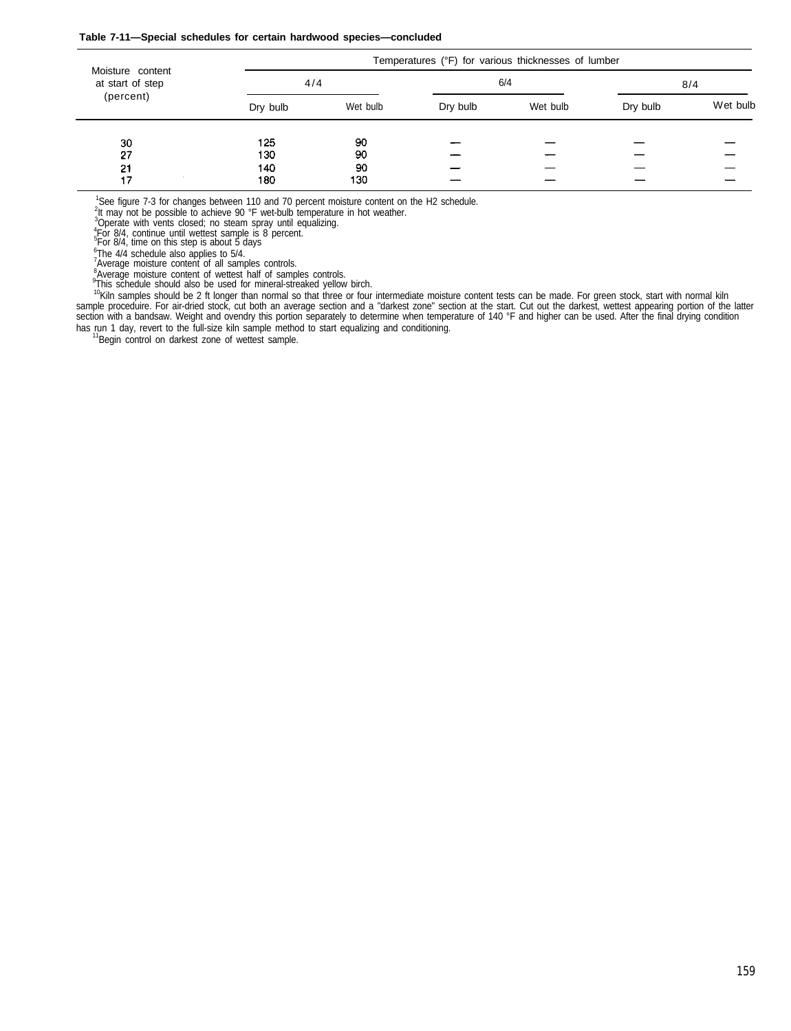#### **Table 7-11—Special schedules for certain hardwood species—concluded**

|                                      |          | Temperatures (°F) for various thicknesses of lumber |          |          |          |          |  |  |  |
|--------------------------------------|----------|-----------------------------------------------------|----------|----------|----------|----------|--|--|--|
| Moisture content<br>at start of step | 4/4      |                                                     | 6/4      |          | 8/4      |          |  |  |  |
| (percent)                            | Dry bulb | Wet bulb                                            | Dry bulb | Wet bulb | Dry bulb | Wet bulb |  |  |  |
| 30                                   | 125      | 90                                                  |          |          |          |          |  |  |  |
| 27                                   | 130      | 90                                                  |          |          |          |          |  |  |  |
| -21                                  | 140      | 90                                                  |          |          |          |          |  |  |  |
|                                      | 180      | 130                                                 |          |          |          |          |  |  |  |

<sup>1</sup>See figure 7-3 for changes between 110 and 70 percent moisture content on the H2 schedule.<br><sup>2</sup>It may not be possible to achieve 90 °F wet-bulb temperature in hot weather.<br><sup>3</sup>Operate with vents closed; no steam spray un

<sup>6</sup>The 4/4 schedule also applies to 5/4.<br><sup>7</sup>Average moisture content of all samples controls.

<sup>8</sup>Average moisture content of wettest half of samples controls. <sup>9</sup>This schedule should also be used for mineral-streaked yellow birch.

<sup>10</sup>Kiln samples should be 2 ft longer than normal so that three or four intermediate moisture content tests can be made. For green stock, start with normal kiln<br>sample proceduire. For air-dried stock, cut both an average has run 1 day, revert to the full-size kiln sample method to start equalizing and conditioning.

<sup>1</sup>Begin control on darkest zone of wettest sample.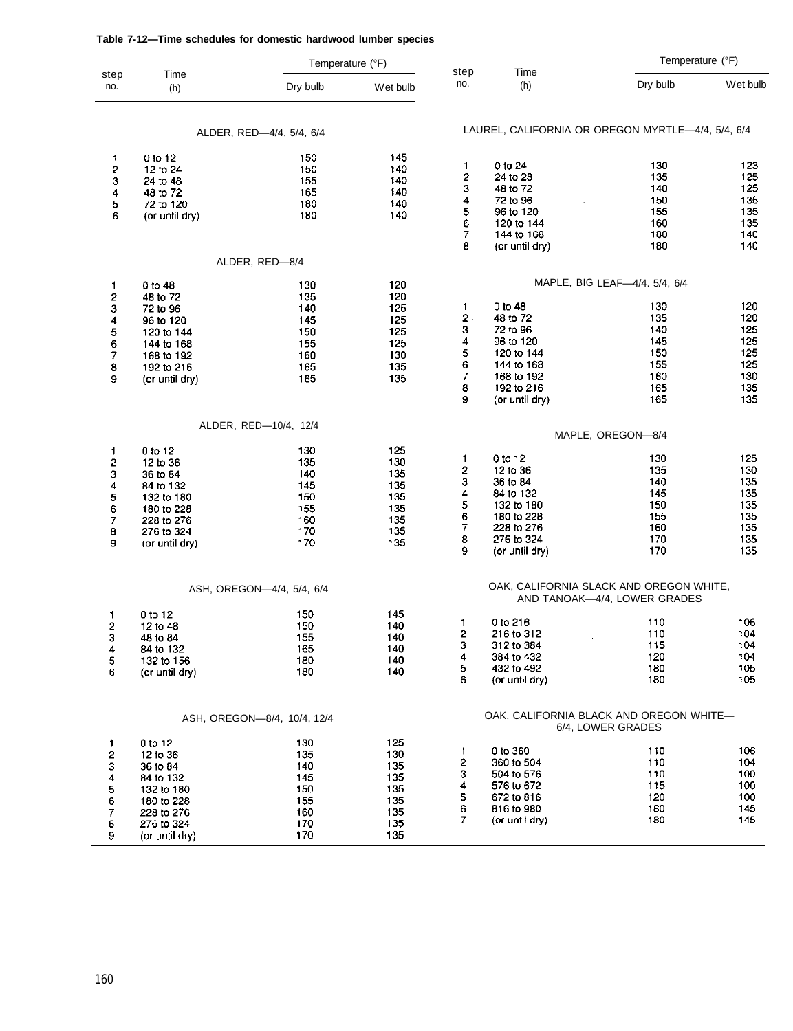|                     |                          | Temperature (°F)            |            | step           | Time                                              |                                         | Temperature (°F) |
|---------------------|--------------------------|-----------------------------|------------|----------------|---------------------------------------------------|-----------------------------------------|------------------|
| step<br>no.         | Time<br>(h)              | Dry bulb                    | Wet bulb   | no.            | (h)                                               | Dry bulb                                | Wet bulb         |
|                     |                          | ALDER, RED-4/4, 5/4, 6/4    |            |                | LAUREL, CALIFORNIA OR OREGON MYRTLE-4/4, 5/4, 6/4 |                                         |                  |
| 1                   | 0 to 12                  | 150                         | 145        |                |                                                   |                                         |                  |
| 2                   | 12 to 24                 | 150                         | 140        | 1              | $0$ to $24$                                       | 130                                     | 123              |
| 3                   | 24 to 48                 | 155                         | 140        | 2              | 24 to 28<br>48 to 72                              | 135<br>140                              | 125<br>125       |
| 4                   | 48 to 72                 | 165                         | 140        | 3<br>4         | 72 to 96                                          | 150                                     | 135              |
| 5<br>6              | 72 to 120                | 180                         | 140<br>140 | 5              | 96 to 120                                         | 155                                     | 135              |
|                     | (or until dry)           | 180                         |            | 6              | 120 to 144                                        | 160                                     | 135              |
|                     |                          |                             |            | 7              | 144 to 168                                        | 180                                     | 140              |
|                     |                          |                             |            | 8              | (or until dry)                                    | 180                                     | 140              |
|                     |                          | ALDER, RED-8/4              |            |                |                                                   |                                         |                  |
| $\mathbf{1}$        | 0 to 48                  | 130                         | 120        |                |                                                   | MAPLE, BIG LEAF-4/4. 5/4, 6/4           |                  |
| $\mathbf{c}$        | 48 to 72                 | 135                         | 120        |                |                                                   |                                         | 120              |
| 3                   | 72 to 96                 | 140                         | 125        | 1<br>2         | 0 to 48<br>48 to 72                               | 130<br>135                              | 120              |
| 4                   | 96 to 120                | 145                         | 125<br>125 | з              | 72 to 96                                          | 140                                     | 125              |
| 5<br>6              | 120 to 144<br>144 to 168 | 150<br>155                  | 125        | 4              | 96 to 120                                         | 145                                     | 125              |
| 7                   | 168 to 192               | 160                         | 130        | 5              | 120 to 144                                        | 150                                     | 125              |
| 8                   | 192 to 216               | 165                         | 135        | 6              | 144 to 168                                        | 155                                     | 125              |
| 9                   | (or until dry)           | 165                         | 135        | 7              | 168 to 192                                        | 160                                     | 130              |
|                     |                          |                             |            | 8              | 192 to 216                                        | 165                                     | 135              |
|                     |                          |                             |            | 9              | (or until dry)                                    | 165                                     | 135              |
|                     |                          | ALDER, RED-10/4, 12/4       |            |                |                                                   | MAPLE, OREGON-8/4                       |                  |
| $\mathbf{1}$        | 0 to 12                  | 130                         | 125        |                |                                                   |                                         |                  |
| 2                   | 12 to 36                 | 135                         | 130        | 1              | 0 to 12                                           | 130                                     | 125              |
| 3                   | 36 to 84                 | 140                         | 135        | 2              | 12 to 36                                          | 135                                     | 130              |
| 4                   | 84 to 132                | 145                         | 135        | з<br>4         | 36 to 84                                          | 140                                     | 135              |
| 5                   | 132 to 180               | 150                         | 135        | 5              | 84 to 132<br>132 to 180                           | 145<br>150                              | 135<br>135       |
| 6<br>$\overline{7}$ | 180 to 228               | 155                         | 135<br>135 | 6              | 180 to 228                                        | 155                                     | 135              |
| 8                   | 228 to 276<br>276 to 324 | 160<br>170                  | 135        | $\overline{7}$ | 228 to 276                                        | 160                                     | 135              |
| 9                   | (or until dry)           | 170                         | 135        | 8              | 276 to 324                                        | 170                                     | 135              |
|                     |                          |                             |            | 9              | (or until dry)                                    | 170                                     | 135              |
|                     |                          | ASH, OREGON-4/4, 5/4, 6/4   |            |                |                                                   | OAK, CALIFORNIA SLACK AND OREGON WHITE, |                  |
|                     |                          |                             |            |                |                                                   | AND TANOAK-4/4, LOWER GRADES            |                  |
| 1<br>2              | 0 to 12                  | 150<br>150                  | 145<br>140 | 1              | 0 to 216                                          | 110                                     | 106              |
| 3                   | 12 to 48<br>48 to 84     | 155                         | 140        | 2              | 216 to 312                                        | 110                                     | 104              |
| 4                   | 84 to 132                | 165                         | 140        | 3              | 312 to 384                                        | 115                                     | 104              |
| 5                   | 132 to 156               | 180                         | 140        | 4              | 384 to 432                                        | 120                                     | 104              |
| 6                   | (or until dry)           | 180                         | 140        | 5              | 432 to 492                                        | 180                                     | 105              |
|                     |                          |                             |            | 6              | (or until dry)                                    | 180                                     | 105              |
|                     |                          | ASH, OREGON-8/4, 10/4, 12/4 |            |                | OAK, CALIFORNIA BLACK AND OREGON WHITE-           | 6/4, LOWER GRADES                       |                  |
| 1                   | $0$ to 12                | 130                         | 125        |                |                                                   |                                         |                  |
| 2                   | 12 to 36                 | 135                         | 130        | 1.             | 0 to 360                                          | 110                                     | 106              |
| 3                   | 36 to 84                 | 140                         | 135        | 2              | 360 to 504                                        | 110                                     | 104              |
| 4                   | 84 to 132                | 145                         | 135        | з              | 504 to 576                                        | 110                                     | 100              |
| 5                   | 132 to 180               | 150                         | 135        | 4              | 576 to 672                                        | 115                                     | 100              |
| 6                   | 180 to 228               | 155                         | 135        | 5              | 672 to 816                                        | 120                                     | 100              |
| 7                   | 228 to 276               | 160                         | 135        | 6<br>7         | 816 to 980<br>(or until dry)                      | 180<br>180                              | 145<br>145       |
| 8                   | 276 to 324               | 170                         | 135        |                |                                                   |                                         |                  |
| 9                   | (or until dry)           | 170                         | 135        |                |                                                   |                                         |                  |

#### **Table 7-12—Time schedules for domestic hardwood lumber species**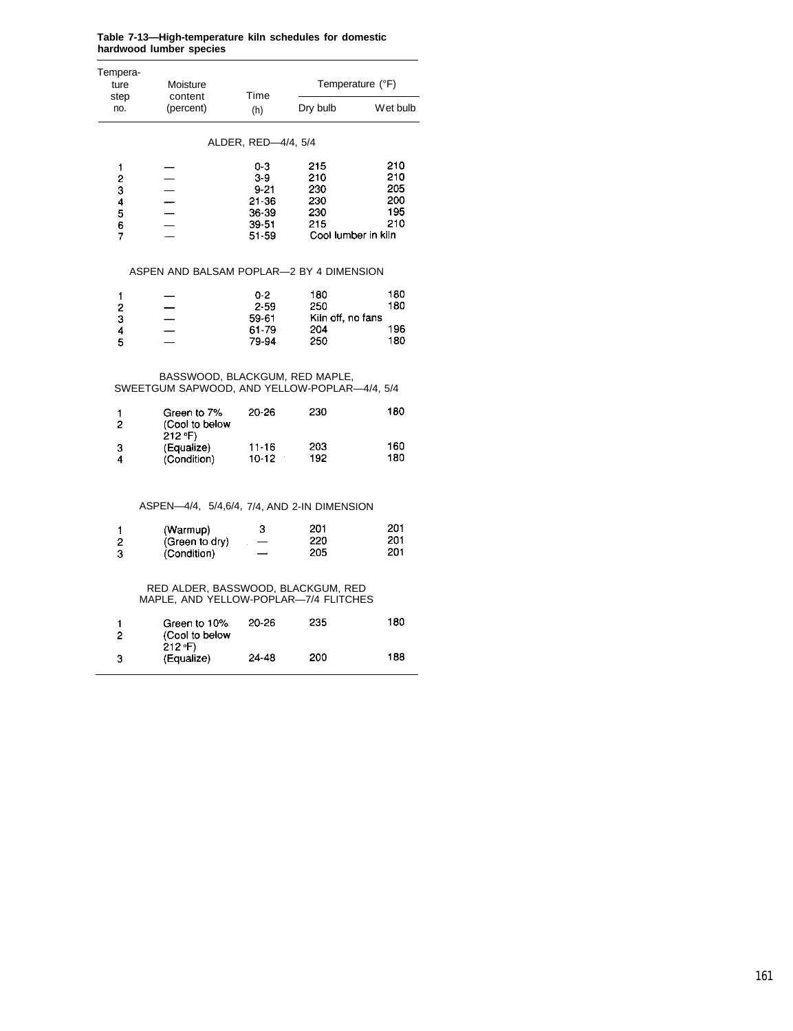| Tempera-<br>ture                                                          | Moisture                                                                       | Time                                                           |                                                               | Temperature (°F)                       |
|---------------------------------------------------------------------------|--------------------------------------------------------------------------------|----------------------------------------------------------------|---------------------------------------------------------------|----------------------------------------|
| step<br>no.                                                               | content<br>(percent)                                                           | (h)                                                            | Dry bulb                                                      | Wet bulb                               |
|                                                                           |                                                                                | ALDER, RED-4/4, 5/4                                            |                                                               |                                        |
| 1<br>$\overline{\mathbf{c}}$<br>3<br>$\frac{4}{5}$<br>6<br>$\overline{7}$ |                                                                                | 0-3<br>3-9<br>$9 - 21$<br>21-36<br>36-39<br>$39 - 51$<br>51-59 | 215<br>210<br>230<br>230<br>230<br>215<br>Cool lumber in kiln | 210<br>210<br>205<br>200<br>195<br>210 |
|                                                                           | ASPEN AND BALSAM POPLAR-2 BY 4 DIMENSION                                       |                                                                |                                                               |                                        |
| 1<br>$\overline{\mathbf{c}}$<br>3                                         |                                                                                | 0-2<br>2-59<br>59-61                                           | 180<br>250<br>Kiln off, no fans                               | 180<br>180                             |
| 4<br>5                                                                    |                                                                                | 61-79<br>79-94                                                 | 204<br>250                                                    | 196<br>180                             |
|                                                                           | BASSWOOD, BLACKGUM, RED MAPLE,<br>SWEETGUM SAPWOOD, AND YELLOW-POPLAR-4/4, 5/4 |                                                                |                                                               |                                        |
| 1<br>$\overline{c}$                                                       | Green to 7%<br>(Cool to below<br>212 °F)                                       | 20-26                                                          | 230                                                           | 180                                    |
| 3<br>4                                                                    | (Equalize)<br>(Condition)                                                      | $11 - 16$<br>$10 - 12$                                         | 203<br>192                                                    | 160<br>180                             |
|                                                                           | ASPEN-4/4, 5/4,6/4, 7/4, AND 2-IN DIMENSION                                    |                                                                |                                                               |                                        |
| 1<br>2<br>3                                                               | (Warmup)<br>(Green to dry)<br>(Condition)                                      | з                                                              | 201<br>220<br>205                                             | 201<br>201<br>201                      |
|                                                                           | RED ALDER, BASSWOOD, BLACKGUM, RED<br>MAPLE, AND YELLOW-POPLAR-7/4 FLITCHES    |                                                                |                                                               |                                        |
| 1<br>2                                                                    | Green to 10%<br>(Cool to below                                                 | 20-26                                                          | 235                                                           | 180                                    |

#### **Table 7-13—High-temperature kiln schedules for domestic hardwood lumber species**

Green to 10%<br>(Cool to below<br>212 °F)<br>(Equalize) 20-26 180 235 24-48 200 188

 $\overline{3}$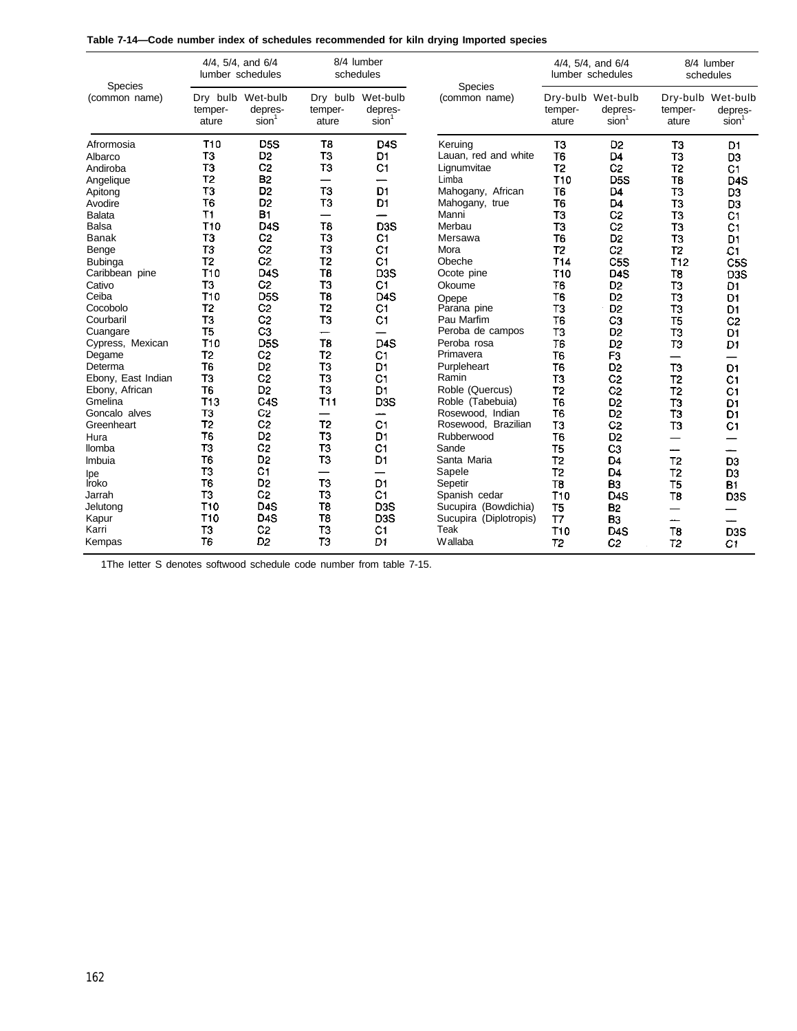| Species            | 4/4, 5/4, and 6/4<br>lumber schedules |                                                   | schedules        | 8/4 lumber                                        | <b>Species</b>         |                  | 4/4, 5/4, and 6/4<br>lumber schedules             | 8/4 lumber<br>schedules  |                                                   |  |
|--------------------|---------------------------------------|---------------------------------------------------|------------------|---------------------------------------------------|------------------------|------------------|---------------------------------------------------|--------------------------|---------------------------------------------------|--|
| (common name)      | temper-<br>ature                      | Dry bulb Wet-bulb<br>depres-<br>sion <sup>1</sup> | temper-<br>ature | Dry bulb Wet-bulb<br>depres-<br>sion <sup>1</sup> | (common name)          | temper-<br>ature | Dry-bulb Wet-bulb<br>depres-<br>sion <sup>1</sup> | temper-<br>ature         | Dry-bulb Wet-bulb<br>depres-<br>sion <sup>1</sup> |  |
| Afrormosia         | T <sub>10</sub>                       | D <sub>5</sub> S                                  | T <sub>8</sub>   | D <sub>4</sub> S                                  | Keruing                | T <sub>3</sub>   | D <sub>2</sub>                                    | T <sub>3</sub>           | D1                                                |  |
| Albarco            | T3                                    | D <sub>2</sub>                                    | T3               | D <sub>1</sub>                                    | Lauan, red and white   | T <sub>6</sub>   | D <sub>4</sub>                                    | T <sub>3</sub>           | D <sub>3</sub>                                    |  |
| Andiroba           | T <sub>3</sub>                        | C <sub>2</sub>                                    | T <sub>3</sub>   | C1                                                | Lignumvitae            | T <sub>2</sub>   | C <sub>2</sub>                                    | T <sub>2</sub>           | C <sub>1</sub>                                    |  |
| Angelique          | T <sub>2</sub>                        | <b>B2</b>                                         |                  |                                                   | Limba                  | T <sub>10</sub>  | D <sub>5</sub> S                                  | T <sub>8</sub>           | D <sub>4</sub> S                                  |  |
| Apitong            | T <sub>3</sub>                        | D <sub>2</sub>                                    | T <sub>3</sub>   | D <sub>1</sub>                                    | Mahogany, African      | T6               | D <sub>4</sub>                                    | T <sub>3</sub>           | D <sub>3</sub>                                    |  |
| Avodire            | T <sub>6</sub>                        | D <sub>2</sub>                                    | T <sub>3</sub>   | D <sub>1</sub>                                    | Mahogany, true         | T <sub>6</sub>   | D <sub>4</sub>                                    | T <sub>3</sub>           | D3                                                |  |
| <b>Balata</b>      | T1                                    | B1                                                |                  |                                                   | Manni                  | T <sub>3</sub>   | C <sub>2</sub>                                    | T <sub>3</sub>           | C <sub>1</sub>                                    |  |
| Balsa              | T10                                   | D <sub>4</sub> S                                  | T8               | D <sub>3</sub> S                                  | Merbau                 | TЗ               | C <sub>2</sub>                                    | T <sub>3</sub>           | C <sub>1</sub>                                    |  |
| <b>Banak</b>       | T <sub>3</sub>                        | C <sub>2</sub>                                    | TЗ               | C1                                                | Mersawa                | T <sub>6</sub>   | D <sub>2</sub>                                    | T <sub>3</sub>           | D <sub>1</sub>                                    |  |
| Benge              | T3                                    | C <sub>2</sub>                                    | T3               | C1                                                | Mora                   | T <sub>2</sub>   | C <sub>2</sub>                                    | T <sub>2</sub>           | C1                                                |  |
| <b>Bubinga</b>     | T <sub>2</sub>                        | C <sub>2</sub>                                    | T <sub>2</sub>   | C1                                                | Obeche                 | T <sub>14</sub>  | C <sub>5</sub> S                                  | T <sub>12</sub>          | C <sub>5</sub> S                                  |  |
| Caribbean pine     | T10                                   | D <sub>4</sub> S                                  | T8               | D <sub>3</sub> S                                  | Ocote pine             | <b>T10</b>       | D <sub>4</sub> S                                  | T8                       | D3S                                               |  |
| Cativo             | T <sub>3</sub>                        | C <sub>2</sub>                                    | T <sub>3</sub>   | C1                                                | Okoume                 | T <sub>6</sub>   | D <sub>2</sub>                                    | T3                       | D1                                                |  |
| Ceiba              | T <sub>10</sub>                       | D <sub>5</sub> S                                  | T8               | D <sub>4</sub> S                                  | Opepe                  | T <sub>6</sub>   | D <sub>2</sub>                                    | T3                       | D1                                                |  |
| Cocobolo           | T <sub>2</sub>                        | C <sub>2</sub>                                    | T <sub>2</sub>   | C1                                                | Parana pine            | TЗ               | D <sub>2</sub>                                    | T3                       | D <sub>1</sub>                                    |  |
| Courbaril          | T <sub>3</sub>                        | C <sub>2</sub>                                    | T <sub>3</sub>   | C <sub>1</sub>                                    | Pau Marfim             | T6               | CЗ                                                | T <sub>5</sub>           | C <sub>2</sub>                                    |  |
| Cuangare           | T <sub>5</sub>                        | C <sub>3</sub>                                    | —                | —                                                 | Peroba de campos       | T <sub>3</sub>   | D <sub>2</sub>                                    | T3                       | D <sub>1</sub>                                    |  |
| Cypress, Mexican   | T <sub>10</sub>                       | D <sub>5</sub> S                                  | T <sub>8</sub>   | D <sub>4</sub> S                                  | Peroba rosa            | T6               | D <sub>2</sub>                                    | T3                       | D <sub>1</sub>                                    |  |
| Degame             | T <sub>2</sub>                        | C <sub>2</sub>                                    | T <sub>2</sub>   | C <sub>1</sub>                                    | Primavera              | T <sub>6</sub>   | F <sub>3</sub>                                    | $\overline{\phantom{0}}$ |                                                   |  |
| Determa            | T <sub>6</sub>                        | D <sub>2</sub>                                    | T3               | D <sub>1</sub>                                    | Purpleheart            | <b>T6</b>        | D <sub>2</sub>                                    | T3                       | D <sub>1</sub>                                    |  |
| Ebony, East Indian | T <sub>3</sub>                        | C <sub>2</sub>                                    | T <sub>3</sub>   | C <sub>1</sub>                                    | Ramin                  | T3               | C <sub>2</sub>                                    | T <sub>2</sub>           | C <sub>1</sub>                                    |  |
| Ebony, African     | T <sub>6</sub>                        | D <sub>2</sub>                                    | T <sub>3</sub>   | D <sub>1</sub>                                    | Roble (Quercus)        | T <sub>2</sub>   | C <sub>2</sub>                                    | T <sub>2</sub>           | C <sub>1</sub>                                    |  |
| Gmelina            | <b>T13</b>                            | C <sub>4</sub> S                                  | <b>T11</b>       | D <sub>3</sub> S                                  | Roble (Tabebuia)       | T <sub>6</sub>   | D <sub>2</sub>                                    | T <sub>3</sub>           | D <sub>1</sub>                                    |  |
| Goncalo alves      | T3                                    | C <sub>2</sub>                                    |                  | --                                                | Rosewood. Indian       | T <sub>6</sub>   | D <sub>2</sub>                                    | ТЗ                       | D <sub>1</sub>                                    |  |
| Greenheart         | T <sub>2</sub>                        | C <sub>2</sub>                                    | T <sub>2</sub>   | C <sub>1</sub>                                    | Rosewood, Brazilian    | T <sub>3</sub>   | C <sub>2</sub>                                    | T3                       | C <sub>1</sub>                                    |  |
| Hura               | T <sub>6</sub>                        | D <sub>2</sub>                                    | T <sub>3</sub>   | D <sub>1</sub>                                    | Rubberwood             | T <sub>6</sub>   | D <sub>2</sub>                                    |                          |                                                   |  |
| llomba             | T3                                    | C <sub>2</sub>                                    | T <sub>3</sub>   | C <sub>1</sub>                                    | Sande                  | T5               | CЗ                                                | ----                     |                                                   |  |
| Imbuia             | T <sub>6</sub>                        | D <sub>2</sub>                                    | T <sub>3</sub>   | D <sub>1</sub>                                    | Santa Maria            | T <sub>2</sub>   | D <sub>4</sub>                                    | T <sub>2</sub>           | D <sub>3</sub>                                    |  |
| lpe                | T3                                    | C <sub>1</sub>                                    |                  |                                                   | Sapele                 | T <sub>2</sub>   | D <sub>4</sub>                                    | T <sub>2</sub>           | D <sub>3</sub>                                    |  |
| <b>Iroko</b>       | T <sub>6</sub>                        | D <sub>2</sub>                                    | T <sub>3</sub>   | D <sub>1</sub>                                    | Sepetir                | T <sub>8</sub>   | B <sub>3</sub>                                    | T <sub>5</sub>           | B1                                                |  |
| Jarrah             | T3                                    | C <sub>2</sub>                                    | T <sub>3</sub>   | C1                                                | Spanish cedar          | T <sub>10</sub>  | D <sub>4</sub> S                                  | T <sub>8</sub>           | D <sub>3</sub> S                                  |  |
| Jelutong           | T <sub>10</sub>                       | D <sub>4</sub> S                                  | T <sub>8</sub>   | D <sub>3</sub> S                                  | Sucupira (Bowdichia)   | T <sub>5</sub>   | <b>B2</b>                                         |                          |                                                   |  |
| Kapur              | T <sub>10</sub>                       | D <sub>4</sub> S                                  | T <sub>8</sub>   | D <sub>3</sub> S                                  | Sucupira (Diplotropis) | T7               | B3                                                | نسمند                    |                                                   |  |
| Karri              | T <sub>3</sub>                        | C <sub>2</sub>                                    | T <sub>3</sub>   | C <sub>1</sub>                                    | Teak                   | T <sub>10</sub>  | D <sub>4</sub> S                                  | T <sub>8</sub>           | D <sub>3</sub> S                                  |  |
| Kempas             | T <sub>6</sub>                        | D <sub>2</sub>                                    | T3               | D <sub>1</sub>                                    | Wallaba                | T <sub>2</sub>   | C <sub>2</sub>                                    | T <sub>2</sub>           | C1                                                |  |

| Table 7-14—Code number index of schedules recommended for kiln drying Imported species |  |  |  |  |  |  |  |  |  |  |
|----------------------------------------------------------------------------------------|--|--|--|--|--|--|--|--|--|--|
|----------------------------------------------------------------------------------------|--|--|--|--|--|--|--|--|--|--|

1The Ietter S denotes softwood schedule code number from table 7-15.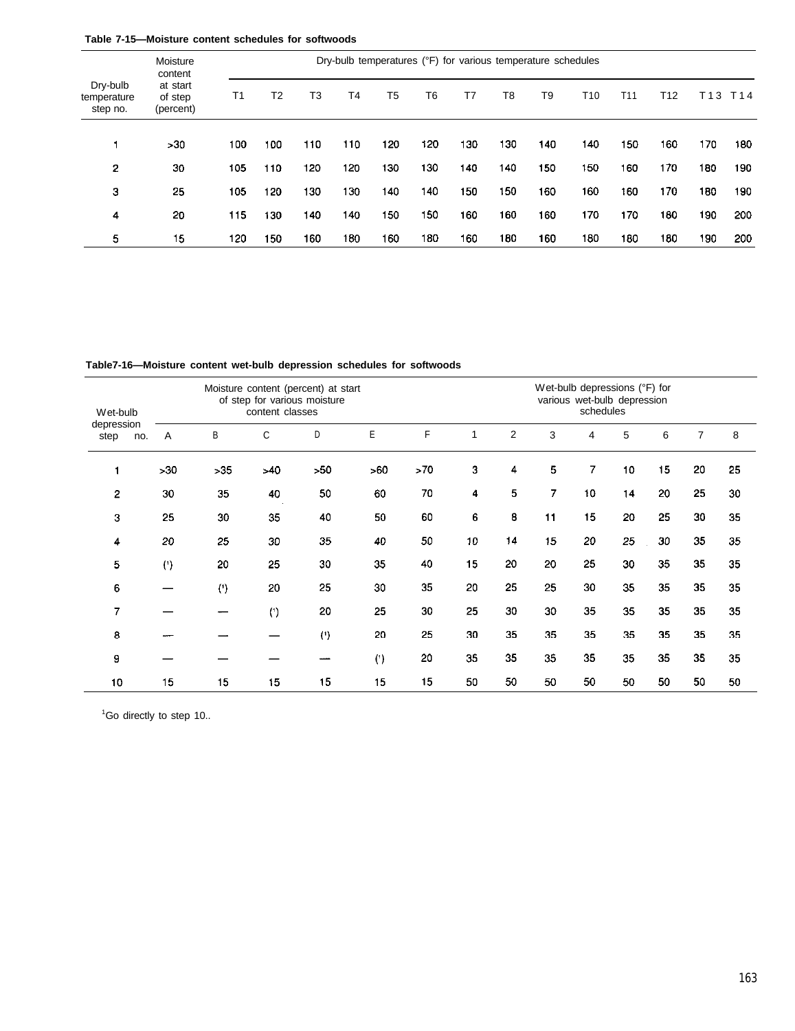|  |  | Table 7-15-Moisture content schedules for softwoods |  |
|--|--|-----------------------------------------------------|--|
|  |  |                                                     |  |

|                                     | Moisture<br>content              | Dry-bulb temperatures (°F) for various temperature schedules |     |     |                |                |     |     |     |                |                 |                 |     |                 |                 |
|-------------------------------------|----------------------------------|--------------------------------------------------------------|-----|-----|----------------|----------------|-----|-----|-----|----------------|-----------------|-----------------|-----|-----------------|-----------------|
| Dry-bulb<br>temperature<br>step no. | at start<br>of step<br>(percent) | T1                                                           | T2  | T3  | T <sub>4</sub> | T <sub>5</sub> | Т6  | T7  | T8  | T <sub>9</sub> | T <sub>10</sub> | T <sub>11</sub> | T12 | T <sub>13</sub> | T <sub>14</sub> |
|                                     | >30                              | 100                                                          | 100 | 110 | 110            | 120            | 120 | 130 | 130 | 140            | 140             | 150             | 160 | 170             | 180             |
| 2                                   | 30                               | 105                                                          | 110 | 120 | 120            | 130            | 130 | 140 | 140 | 150            | 150             | 160             | 170 | 180             | 190             |
| 3                                   | 25                               | 105                                                          | 120 | 130 | 130            | 140            | 140 | 150 | 150 | 160            | 160             | 160             | 170 | 180             | 190             |
| 4                                   | 20                               | 115                                                          | 130 | 140 | 140            | 150            | 150 | 160 | 160 | 160            | 170             | 170             | 180 | 190             | 200             |
| 5                                   | 15                               | 120                                                          | 150 | 160 | 180            | 160            | 180 | 160 | 180 | 160            | 180             | 180             | 180 | 190             | 200             |

**Table7-16—Moisture content wet-bulb depression schedules for softwoods**

| Wet-bulb                  | Moisture content (percent) at start<br>of step for various moisture<br>content classes |     |     |           |     |     |    | Wet-bulb depressions (°F) for<br>various wet-bulb depression<br>schedules |    |    |    |    |                |    |
|---------------------------|----------------------------------------------------------------------------------------|-----|-----|-----------|-----|-----|----|---------------------------------------------------------------------------|----|----|----|----|----------------|----|
| depression<br>step<br>no. | Α                                                                                      | B   | С   | D         | E   | F   | 1  | 2                                                                         | 3  | 4  | 5  | 6  | $\overline{7}$ | 8  |
| 1                         | >30                                                                                    | >35 | >40 | >50       | >60 | >70 | 3  | 4                                                                         | 5  | 7  | 10 | 15 | 20             | 25 |
| $\overline{2}$            | 30                                                                                     | 35  | 40  | 50        | 60  | 70  | 4  | 5                                                                         | 7  | 10 | 14 | 20 | 25             | 30 |
| 3                         | 25                                                                                     | 30  | 35  | 40        | 50  | 60  | 6  | 8                                                                         | 11 | 15 | 20 | 25 | 30             | 35 |
| 4                         | 20                                                                                     | 25  | 30  | 35        | 40  | 50  | 10 | 14                                                                        | 15 | 20 | 25 | 30 | 35             | 35 |
| 5                         | (                                                                                      | 20  | 25  | 30        | 35  | 40  | 15 | 20                                                                        | 20 | 25 | 30 | 35 | 35             | 35 |
| 6                         |                                                                                        | (') | 20  | 25        | 30  | 35  | 20 | 25                                                                        | 25 | 30 | 35 | 35 | 35             | 35 |
| 7                         |                                                                                        |     | (   | 20        | 25  | 30  | 25 | 30                                                                        | 30 | 35 | 35 | 35 | 35             | 35 |
| 8                         |                                                                                        |     |     | $($ 1 $)$ | 20  | 25  | 30 | 35                                                                        | 35 | 35 | 35 | 35 | 35             | 35 |
| 9                         |                                                                                        |     |     |           | (1) | 20  | 35 | 35                                                                        | 35 | 35 | 35 | 35 | 35             | 35 |
| 10                        | 15                                                                                     | 15  | 15  | 15        | 15  | 15  | 50 | 50                                                                        | 50 | 50 | 50 | 50 | 50             | 50 |

<sup>1</sup>Go directly to step 10..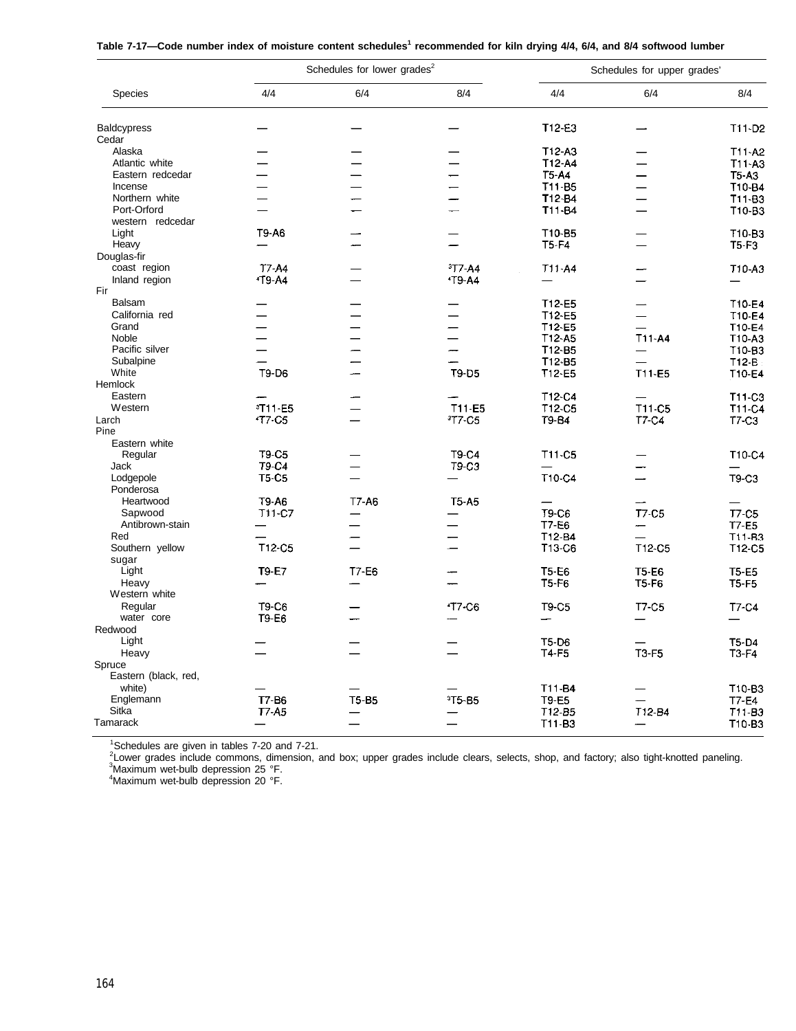| Table 7-17-Code number index of moisture content schedules <sup>1</sup> recommended for kiln drying 4/4, 6/4, and 8/4 softwood lumber |  |
|---------------------------------------------------------------------------------------------------------------------------------------|--|
|---------------------------------------------------------------------------------------------------------------------------------------|--|

| 4/4<br>6/4<br>8/4<br>4/4<br>Species<br>6/4<br>8/4<br>T12-E3<br>T11-D2<br><b>Baldcypress</b><br>Cedar<br>$T12-A3$<br>T11-A2<br>Alaska<br>T12-A4<br>T11-A3<br>Atlantic white<br>T5-A4<br><b>T5-A3</b><br>Eastern redcedar<br>T10-B4<br>T <sub>11</sub> -B <sub>5</sub><br>Incense<br>T12-B4<br>T11-B3<br>Northern white<br>Port-Orford<br>T11-B4<br>T10-B3<br>western redcedar<br>T9-A6<br>Light<br>T10-B5<br>T10-B3<br>Heavy<br>$T5-F4$<br>$T5-F3$<br>Douglas-fir<br>T7-A4<br>$3T7-A4$<br>coast region<br>T11-A4<br>T10-A3<br><b>19-A4</b><br><b>1T9-A4</b><br>Inland region<br>Fir<br>Balsam<br>T12-E5<br>T10-E4<br>California red<br>T12-E5<br>T10-E4<br>$\overline{\phantom{0}}$<br>Grand<br>T12-E5<br>T10-E4<br>$T11-A4$<br>Noble<br>$T12-45$<br>T10-A3<br>$T12-B5$<br>Pacific silver<br>T <sub>10-</sub> B <sub>3</sub><br>$\overline{\phantom{0}}$<br>Subalpine<br>T12-B5<br>$T12-E$<br>T9-D6<br>T9-D5<br>T11-E5<br>White<br>T12-E5<br>T10-E4<br>Hemlock<br>T12-C4<br>Eastern<br>T11-C3<br><sup>3</sup> T11-E5<br>T11-E5<br>T11-C5<br>Western<br>T <sub>12</sub> C <sub>5</sub><br>T11-C4<br><b>17 C5</b><br><sup>3</sup> T7-C5<br>T9-B4<br>T7-C4<br>Larch<br>T7-C3<br>Pine<br>Eastern white<br>T9-C5<br>T9-C4<br>T11-C5<br>T10-C4<br>Regular<br><b>T9-C4</b><br>T9-C3<br>Jack<br><b>T5-C5</b><br>T10-C4<br>T9-C3<br>Lodgepole<br>Ponderosa<br>T9-A6<br>T7-A6<br>Heartwood<br><b>T5-A5</b><br><b>T7-C5</b><br>Sapwood<br>T11-C7<br>T9-C6<br><b>T7-C5</b><br>Antibrown-stain<br><b>T7-E6</b><br>T7-E5<br>Red<br>T12-B4<br>T11-B3<br>-<br>Southern yellow<br>T12-C5<br>T13-C6<br>T12-C5<br>T12-C5<br>sugar<br>Light<br><b>T9-E7</b><br>T7-E6<br><b>T5-E6</b><br><b>T5-E6</b><br><b>T5-E5</b><br>Heavy<br>$T5-F6$<br><b>T5-F6</b><br><b>T5-F5</b><br>Western white<br>T9-C6<br><b>17-C6</b><br>Regular<br>T9-C5<br>T7-C5<br>T7-C4<br>water core<br>T9-E6<br>Redwood<br>Light<br><b>T5-D6</b><br>T5-D4<br><b>T3-F5</b><br>Heavy<br>T4-F5<br>T3-F4<br>Spruce<br>Eastern (black, red,<br>white)<br>T11-B4<br>T10-B3<br>Englemann<br>T7-B6<br><b>T5-B5</b><br><sup>3</sup> T5-B5<br>T9-E5<br>T7-E4<br>T12-B4<br>Sitka<br><b>T7-A5</b><br>T12-B5<br>T11-B3<br>Tamarack<br>T11-B3<br>T10-B3 |  | Schedules for lower grades <sup>2</sup> | Schedules for upper grades' |  |  |  |  |
|-----------------------------------------------------------------------------------------------------------------------------------------------------------------------------------------------------------------------------------------------------------------------------------------------------------------------------------------------------------------------------------------------------------------------------------------------------------------------------------------------------------------------------------------------------------------------------------------------------------------------------------------------------------------------------------------------------------------------------------------------------------------------------------------------------------------------------------------------------------------------------------------------------------------------------------------------------------------------------------------------------------------------------------------------------------------------------------------------------------------------------------------------------------------------------------------------------------------------------------------------------------------------------------------------------------------------------------------------------------------------------------------------------------------------------------------------------------------------------------------------------------------------------------------------------------------------------------------------------------------------------------------------------------------------------------------------------------------------------------------------------------------------------------------------------------------------------------------------------------------------------------------------------------------------------------------------------------------------------------------------------------------------------------------------------------------------------------------------------------------------------------------------------------------------------------------|--|-----------------------------------------|-----------------------------|--|--|--|--|
|                                                                                                                                                                                                                                                                                                                                                                                                                                                                                                                                                                                                                                                                                                                                                                                                                                                                                                                                                                                                                                                                                                                                                                                                                                                                                                                                                                                                                                                                                                                                                                                                                                                                                                                                                                                                                                                                                                                                                                                                                                                                                                                                                                                         |  |                                         |                             |  |  |  |  |
|                                                                                                                                                                                                                                                                                                                                                                                                                                                                                                                                                                                                                                                                                                                                                                                                                                                                                                                                                                                                                                                                                                                                                                                                                                                                                                                                                                                                                                                                                                                                                                                                                                                                                                                                                                                                                                                                                                                                                                                                                                                                                                                                                                                         |  |                                         |                             |  |  |  |  |
|                                                                                                                                                                                                                                                                                                                                                                                                                                                                                                                                                                                                                                                                                                                                                                                                                                                                                                                                                                                                                                                                                                                                                                                                                                                                                                                                                                                                                                                                                                                                                                                                                                                                                                                                                                                                                                                                                                                                                                                                                                                                                                                                                                                         |  |                                         |                             |  |  |  |  |
|                                                                                                                                                                                                                                                                                                                                                                                                                                                                                                                                                                                                                                                                                                                                                                                                                                                                                                                                                                                                                                                                                                                                                                                                                                                                                                                                                                                                                                                                                                                                                                                                                                                                                                                                                                                                                                                                                                                                                                                                                                                                                                                                                                                         |  |                                         |                             |  |  |  |  |
|                                                                                                                                                                                                                                                                                                                                                                                                                                                                                                                                                                                                                                                                                                                                                                                                                                                                                                                                                                                                                                                                                                                                                                                                                                                                                                                                                                                                                                                                                                                                                                                                                                                                                                                                                                                                                                                                                                                                                                                                                                                                                                                                                                                         |  |                                         |                             |  |  |  |  |
|                                                                                                                                                                                                                                                                                                                                                                                                                                                                                                                                                                                                                                                                                                                                                                                                                                                                                                                                                                                                                                                                                                                                                                                                                                                                                                                                                                                                                                                                                                                                                                                                                                                                                                                                                                                                                                                                                                                                                                                                                                                                                                                                                                                         |  |                                         |                             |  |  |  |  |
|                                                                                                                                                                                                                                                                                                                                                                                                                                                                                                                                                                                                                                                                                                                                                                                                                                                                                                                                                                                                                                                                                                                                                                                                                                                                                                                                                                                                                                                                                                                                                                                                                                                                                                                                                                                                                                                                                                                                                                                                                                                                                                                                                                                         |  |                                         |                             |  |  |  |  |
|                                                                                                                                                                                                                                                                                                                                                                                                                                                                                                                                                                                                                                                                                                                                                                                                                                                                                                                                                                                                                                                                                                                                                                                                                                                                                                                                                                                                                                                                                                                                                                                                                                                                                                                                                                                                                                                                                                                                                                                                                                                                                                                                                                                         |  |                                         |                             |  |  |  |  |
|                                                                                                                                                                                                                                                                                                                                                                                                                                                                                                                                                                                                                                                                                                                                                                                                                                                                                                                                                                                                                                                                                                                                                                                                                                                                                                                                                                                                                                                                                                                                                                                                                                                                                                                                                                                                                                                                                                                                                                                                                                                                                                                                                                                         |  |                                         |                             |  |  |  |  |
|                                                                                                                                                                                                                                                                                                                                                                                                                                                                                                                                                                                                                                                                                                                                                                                                                                                                                                                                                                                                                                                                                                                                                                                                                                                                                                                                                                                                                                                                                                                                                                                                                                                                                                                                                                                                                                                                                                                                                                                                                                                                                                                                                                                         |  |                                         |                             |  |  |  |  |
|                                                                                                                                                                                                                                                                                                                                                                                                                                                                                                                                                                                                                                                                                                                                                                                                                                                                                                                                                                                                                                                                                                                                                                                                                                                                                                                                                                                                                                                                                                                                                                                                                                                                                                                                                                                                                                                                                                                                                                                                                                                                                                                                                                                         |  |                                         |                             |  |  |  |  |
|                                                                                                                                                                                                                                                                                                                                                                                                                                                                                                                                                                                                                                                                                                                                                                                                                                                                                                                                                                                                                                                                                                                                                                                                                                                                                                                                                                                                                                                                                                                                                                                                                                                                                                                                                                                                                                                                                                                                                                                                                                                                                                                                                                                         |  |                                         |                             |  |  |  |  |
|                                                                                                                                                                                                                                                                                                                                                                                                                                                                                                                                                                                                                                                                                                                                                                                                                                                                                                                                                                                                                                                                                                                                                                                                                                                                                                                                                                                                                                                                                                                                                                                                                                                                                                                                                                                                                                                                                                                                                                                                                                                                                                                                                                                         |  |                                         |                             |  |  |  |  |
|                                                                                                                                                                                                                                                                                                                                                                                                                                                                                                                                                                                                                                                                                                                                                                                                                                                                                                                                                                                                                                                                                                                                                                                                                                                                                                                                                                                                                                                                                                                                                                                                                                                                                                                                                                                                                                                                                                                                                                                                                                                                                                                                                                                         |  |                                         |                             |  |  |  |  |
|                                                                                                                                                                                                                                                                                                                                                                                                                                                                                                                                                                                                                                                                                                                                                                                                                                                                                                                                                                                                                                                                                                                                                                                                                                                                                                                                                                                                                                                                                                                                                                                                                                                                                                                                                                                                                                                                                                                                                                                                                                                                                                                                                                                         |  |                                         |                             |  |  |  |  |
|                                                                                                                                                                                                                                                                                                                                                                                                                                                                                                                                                                                                                                                                                                                                                                                                                                                                                                                                                                                                                                                                                                                                                                                                                                                                                                                                                                                                                                                                                                                                                                                                                                                                                                                                                                                                                                                                                                                                                                                                                                                                                                                                                                                         |  |                                         |                             |  |  |  |  |
|                                                                                                                                                                                                                                                                                                                                                                                                                                                                                                                                                                                                                                                                                                                                                                                                                                                                                                                                                                                                                                                                                                                                                                                                                                                                                                                                                                                                                                                                                                                                                                                                                                                                                                                                                                                                                                                                                                                                                                                                                                                                                                                                                                                         |  |                                         |                             |  |  |  |  |
|                                                                                                                                                                                                                                                                                                                                                                                                                                                                                                                                                                                                                                                                                                                                                                                                                                                                                                                                                                                                                                                                                                                                                                                                                                                                                                                                                                                                                                                                                                                                                                                                                                                                                                                                                                                                                                                                                                                                                                                                                                                                                                                                                                                         |  |                                         |                             |  |  |  |  |
|                                                                                                                                                                                                                                                                                                                                                                                                                                                                                                                                                                                                                                                                                                                                                                                                                                                                                                                                                                                                                                                                                                                                                                                                                                                                                                                                                                                                                                                                                                                                                                                                                                                                                                                                                                                                                                                                                                                                                                                                                                                                                                                                                                                         |  |                                         |                             |  |  |  |  |
|                                                                                                                                                                                                                                                                                                                                                                                                                                                                                                                                                                                                                                                                                                                                                                                                                                                                                                                                                                                                                                                                                                                                                                                                                                                                                                                                                                                                                                                                                                                                                                                                                                                                                                                                                                                                                                                                                                                                                                                                                                                                                                                                                                                         |  |                                         |                             |  |  |  |  |
|                                                                                                                                                                                                                                                                                                                                                                                                                                                                                                                                                                                                                                                                                                                                                                                                                                                                                                                                                                                                                                                                                                                                                                                                                                                                                                                                                                                                                                                                                                                                                                                                                                                                                                                                                                                                                                                                                                                                                                                                                                                                                                                                                                                         |  |                                         |                             |  |  |  |  |
|                                                                                                                                                                                                                                                                                                                                                                                                                                                                                                                                                                                                                                                                                                                                                                                                                                                                                                                                                                                                                                                                                                                                                                                                                                                                                                                                                                                                                                                                                                                                                                                                                                                                                                                                                                                                                                                                                                                                                                                                                                                                                                                                                                                         |  |                                         |                             |  |  |  |  |
|                                                                                                                                                                                                                                                                                                                                                                                                                                                                                                                                                                                                                                                                                                                                                                                                                                                                                                                                                                                                                                                                                                                                                                                                                                                                                                                                                                                                                                                                                                                                                                                                                                                                                                                                                                                                                                                                                                                                                                                                                                                                                                                                                                                         |  |                                         |                             |  |  |  |  |
|                                                                                                                                                                                                                                                                                                                                                                                                                                                                                                                                                                                                                                                                                                                                                                                                                                                                                                                                                                                                                                                                                                                                                                                                                                                                                                                                                                                                                                                                                                                                                                                                                                                                                                                                                                                                                                                                                                                                                                                                                                                                                                                                                                                         |  |                                         |                             |  |  |  |  |
|                                                                                                                                                                                                                                                                                                                                                                                                                                                                                                                                                                                                                                                                                                                                                                                                                                                                                                                                                                                                                                                                                                                                                                                                                                                                                                                                                                                                                                                                                                                                                                                                                                                                                                                                                                                                                                                                                                                                                                                                                                                                                                                                                                                         |  |                                         |                             |  |  |  |  |
|                                                                                                                                                                                                                                                                                                                                                                                                                                                                                                                                                                                                                                                                                                                                                                                                                                                                                                                                                                                                                                                                                                                                                                                                                                                                                                                                                                                                                                                                                                                                                                                                                                                                                                                                                                                                                                                                                                                                                                                                                                                                                                                                                                                         |  |                                         |                             |  |  |  |  |
|                                                                                                                                                                                                                                                                                                                                                                                                                                                                                                                                                                                                                                                                                                                                                                                                                                                                                                                                                                                                                                                                                                                                                                                                                                                                                                                                                                                                                                                                                                                                                                                                                                                                                                                                                                                                                                                                                                                                                                                                                                                                                                                                                                                         |  |                                         |                             |  |  |  |  |
|                                                                                                                                                                                                                                                                                                                                                                                                                                                                                                                                                                                                                                                                                                                                                                                                                                                                                                                                                                                                                                                                                                                                                                                                                                                                                                                                                                                                                                                                                                                                                                                                                                                                                                                                                                                                                                                                                                                                                                                                                                                                                                                                                                                         |  |                                         |                             |  |  |  |  |
|                                                                                                                                                                                                                                                                                                                                                                                                                                                                                                                                                                                                                                                                                                                                                                                                                                                                                                                                                                                                                                                                                                                                                                                                                                                                                                                                                                                                                                                                                                                                                                                                                                                                                                                                                                                                                                                                                                                                                                                                                                                                                                                                                                                         |  |                                         |                             |  |  |  |  |
|                                                                                                                                                                                                                                                                                                                                                                                                                                                                                                                                                                                                                                                                                                                                                                                                                                                                                                                                                                                                                                                                                                                                                                                                                                                                                                                                                                                                                                                                                                                                                                                                                                                                                                                                                                                                                                                                                                                                                                                                                                                                                                                                                                                         |  |                                         |                             |  |  |  |  |
|                                                                                                                                                                                                                                                                                                                                                                                                                                                                                                                                                                                                                                                                                                                                                                                                                                                                                                                                                                                                                                                                                                                                                                                                                                                                                                                                                                                                                                                                                                                                                                                                                                                                                                                                                                                                                                                                                                                                                                                                                                                                                                                                                                                         |  |                                         |                             |  |  |  |  |
|                                                                                                                                                                                                                                                                                                                                                                                                                                                                                                                                                                                                                                                                                                                                                                                                                                                                                                                                                                                                                                                                                                                                                                                                                                                                                                                                                                                                                                                                                                                                                                                                                                                                                                                                                                                                                                                                                                                                                                                                                                                                                                                                                                                         |  |                                         |                             |  |  |  |  |
|                                                                                                                                                                                                                                                                                                                                                                                                                                                                                                                                                                                                                                                                                                                                                                                                                                                                                                                                                                                                                                                                                                                                                                                                                                                                                                                                                                                                                                                                                                                                                                                                                                                                                                                                                                                                                                                                                                                                                                                                                                                                                                                                                                                         |  |                                         |                             |  |  |  |  |
|                                                                                                                                                                                                                                                                                                                                                                                                                                                                                                                                                                                                                                                                                                                                                                                                                                                                                                                                                                                                                                                                                                                                                                                                                                                                                                                                                                                                                                                                                                                                                                                                                                                                                                                                                                                                                                                                                                                                                                                                                                                                                                                                                                                         |  |                                         |                             |  |  |  |  |
|                                                                                                                                                                                                                                                                                                                                                                                                                                                                                                                                                                                                                                                                                                                                                                                                                                                                                                                                                                                                                                                                                                                                                                                                                                                                                                                                                                                                                                                                                                                                                                                                                                                                                                                                                                                                                                                                                                                                                                                                                                                                                                                                                                                         |  |                                         |                             |  |  |  |  |
|                                                                                                                                                                                                                                                                                                                                                                                                                                                                                                                                                                                                                                                                                                                                                                                                                                                                                                                                                                                                                                                                                                                                                                                                                                                                                                                                                                                                                                                                                                                                                                                                                                                                                                                                                                                                                                                                                                                                                                                                                                                                                                                                                                                         |  |                                         |                             |  |  |  |  |
|                                                                                                                                                                                                                                                                                                                                                                                                                                                                                                                                                                                                                                                                                                                                                                                                                                                                                                                                                                                                                                                                                                                                                                                                                                                                                                                                                                                                                                                                                                                                                                                                                                                                                                                                                                                                                                                                                                                                                                                                                                                                                                                                                                                         |  |                                         |                             |  |  |  |  |
|                                                                                                                                                                                                                                                                                                                                                                                                                                                                                                                                                                                                                                                                                                                                                                                                                                                                                                                                                                                                                                                                                                                                                                                                                                                                                                                                                                                                                                                                                                                                                                                                                                                                                                                                                                                                                                                                                                                                                                                                                                                                                                                                                                                         |  |                                         |                             |  |  |  |  |
|                                                                                                                                                                                                                                                                                                                                                                                                                                                                                                                                                                                                                                                                                                                                                                                                                                                                                                                                                                                                                                                                                                                                                                                                                                                                                                                                                                                                                                                                                                                                                                                                                                                                                                                                                                                                                                                                                                                                                                                                                                                                                                                                                                                         |  |                                         |                             |  |  |  |  |
|                                                                                                                                                                                                                                                                                                                                                                                                                                                                                                                                                                                                                                                                                                                                                                                                                                                                                                                                                                                                                                                                                                                                                                                                                                                                                                                                                                                                                                                                                                                                                                                                                                                                                                                                                                                                                                                                                                                                                                                                                                                                                                                                                                                         |  |                                         |                             |  |  |  |  |
|                                                                                                                                                                                                                                                                                                                                                                                                                                                                                                                                                                                                                                                                                                                                                                                                                                                                                                                                                                                                                                                                                                                                                                                                                                                                                                                                                                                                                                                                                                                                                                                                                                                                                                                                                                                                                                                                                                                                                                                                                                                                                                                                                                                         |  |                                         |                             |  |  |  |  |
|                                                                                                                                                                                                                                                                                                                                                                                                                                                                                                                                                                                                                                                                                                                                                                                                                                                                                                                                                                                                                                                                                                                                                                                                                                                                                                                                                                                                                                                                                                                                                                                                                                                                                                                                                                                                                                                                                                                                                                                                                                                                                                                                                                                         |  |                                         |                             |  |  |  |  |
|                                                                                                                                                                                                                                                                                                                                                                                                                                                                                                                                                                                                                                                                                                                                                                                                                                                                                                                                                                                                                                                                                                                                                                                                                                                                                                                                                                                                                                                                                                                                                                                                                                                                                                                                                                                                                                                                                                                                                                                                                                                                                                                                                                                         |  |                                         |                             |  |  |  |  |
|                                                                                                                                                                                                                                                                                                                                                                                                                                                                                                                                                                                                                                                                                                                                                                                                                                                                                                                                                                                                                                                                                                                                                                                                                                                                                                                                                                                                                                                                                                                                                                                                                                                                                                                                                                                                                                                                                                                                                                                                                                                                                                                                                                                         |  |                                         |                             |  |  |  |  |
|                                                                                                                                                                                                                                                                                                                                                                                                                                                                                                                                                                                                                                                                                                                                                                                                                                                                                                                                                                                                                                                                                                                                                                                                                                                                                                                                                                                                                                                                                                                                                                                                                                                                                                                                                                                                                                                                                                                                                                                                                                                                                                                                                                                         |  |                                         |                             |  |  |  |  |
|                                                                                                                                                                                                                                                                                                                                                                                                                                                                                                                                                                                                                                                                                                                                                                                                                                                                                                                                                                                                                                                                                                                                                                                                                                                                                                                                                                                                                                                                                                                                                                                                                                                                                                                                                                                                                                                                                                                                                                                                                                                                                                                                                                                         |  |                                         |                             |  |  |  |  |
|                                                                                                                                                                                                                                                                                                                                                                                                                                                                                                                                                                                                                                                                                                                                                                                                                                                                                                                                                                                                                                                                                                                                                                                                                                                                                                                                                                                                                                                                                                                                                                                                                                                                                                                                                                                                                                                                                                                                                                                                                                                                                                                                                                                         |  |                                         |                             |  |  |  |  |
|                                                                                                                                                                                                                                                                                                                                                                                                                                                                                                                                                                                                                                                                                                                                                                                                                                                                                                                                                                                                                                                                                                                                                                                                                                                                                                                                                                                                                                                                                                                                                                                                                                                                                                                                                                                                                                                                                                                                                                                                                                                                                                                                                                                         |  |                                         |                             |  |  |  |  |
|                                                                                                                                                                                                                                                                                                                                                                                                                                                                                                                                                                                                                                                                                                                                                                                                                                                                                                                                                                                                                                                                                                                                                                                                                                                                                                                                                                                                                                                                                                                                                                                                                                                                                                                                                                                                                                                                                                                                                                                                                                                                                                                                                                                         |  |                                         |                             |  |  |  |  |
|                                                                                                                                                                                                                                                                                                                                                                                                                                                                                                                                                                                                                                                                                                                                                                                                                                                                                                                                                                                                                                                                                                                                                                                                                                                                                                                                                                                                                                                                                                                                                                                                                                                                                                                                                                                                                                                                                                                                                                                                                                                                                                                                                                                         |  |                                         |                             |  |  |  |  |
|                                                                                                                                                                                                                                                                                                                                                                                                                                                                                                                                                                                                                                                                                                                                                                                                                                                                                                                                                                                                                                                                                                                                                                                                                                                                                                                                                                                                                                                                                                                                                                                                                                                                                                                                                                                                                                                                                                                                                                                                                                                                                                                                                                                         |  |                                         |                             |  |  |  |  |
|                                                                                                                                                                                                                                                                                                                                                                                                                                                                                                                                                                                                                                                                                                                                                                                                                                                                                                                                                                                                                                                                                                                                                                                                                                                                                                                                                                                                                                                                                                                                                                                                                                                                                                                                                                                                                                                                                                                                                                                                                                                                                                                                                                                         |  |                                         |                             |  |  |  |  |
|                                                                                                                                                                                                                                                                                                                                                                                                                                                                                                                                                                                                                                                                                                                                                                                                                                                                                                                                                                                                                                                                                                                                                                                                                                                                                                                                                                                                                                                                                                                                                                                                                                                                                                                                                                                                                                                                                                                                                                                                                                                                                                                                                                                         |  |                                         |                             |  |  |  |  |
|                                                                                                                                                                                                                                                                                                                                                                                                                                                                                                                                                                                                                                                                                                                                                                                                                                                                                                                                                                                                                                                                                                                                                                                                                                                                                                                                                                                                                                                                                                                                                                                                                                                                                                                                                                                                                                                                                                                                                                                                                                                                                                                                                                                         |  |                                         |                             |  |  |  |  |

1Schedules are given in tables 7-20 and 7-21.<br><sup>2</sup>Lower grades include commons, dimension, and box; upper grades include clears, selects, shop, and factory; also tight-knotted paneling.<br><sup>3</sup>Maximum wet-bulb depression 25 °F.

<sup>4</sup>Maximum wet-bulb depression 20 °F.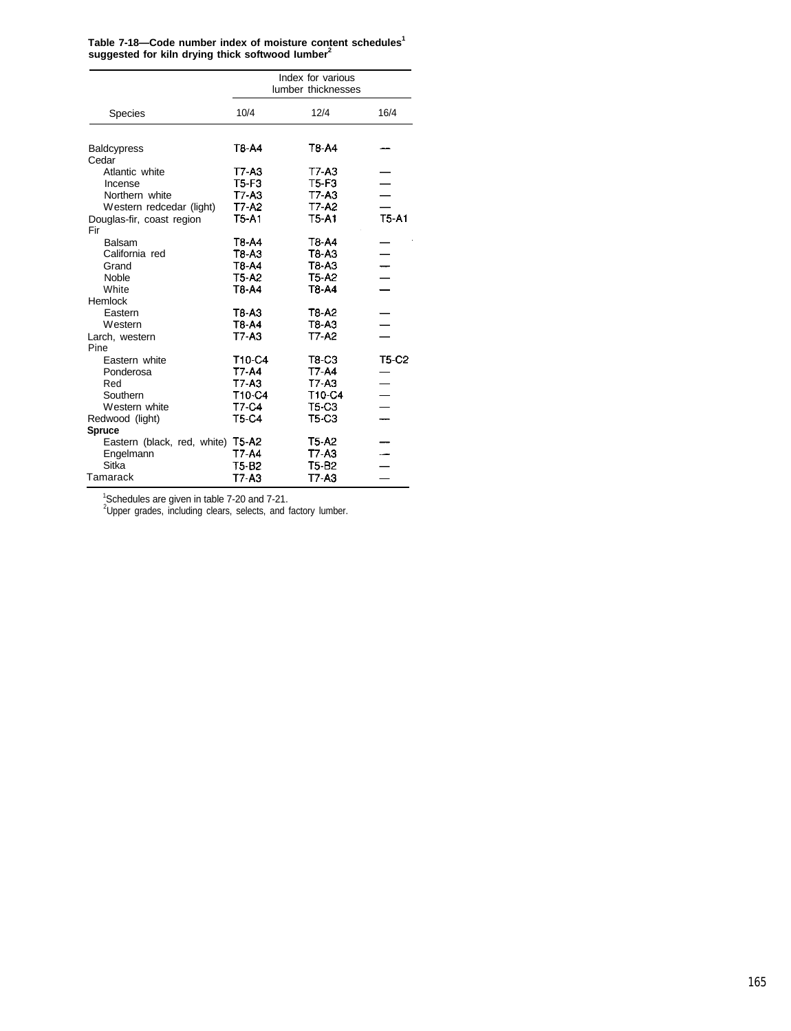| Table 7-18-Code number index of moisture content schedules <sup>1</sup> |  |
|-------------------------------------------------------------------------|--|
| suggested for kiln drying thick softwood lumber <sup>2</sup>            |  |

|                                  |                                 | Index for various<br>lumber thicknesses |              |
|----------------------------------|---------------------------------|-----------------------------------------|--------------|
| <b>Species</b>                   | 10/4                            | 12/4                                    | 16/4         |
| <b>Baldcypress</b><br>Cedar      | T8-A4                           | T8-A4                                   |              |
| Atlantic white                   | T7-A3                           | T7-A3                                   |              |
| Incense                          | $T5-F3$                         | $T5-F3$                                 |              |
| Northern white                   | $T7-A3$                         | $T7-A3$                                 |              |
| Western redcedar (light)         | T7-A2                           | T7-A2                                   |              |
| Douglas-fir, coast region<br>Fir | T5-A1                           | <b>T5-A1</b>                            | $T5-A1$      |
| Balsam                           | T8-A4                           | T <sub>8</sub> -A <sub>4</sub>          |              |
| California red                   | T8-A3                           | T8-A3                                   |              |
| Grand                            | T8-A4                           | $T3-A3$                                 |              |
| Noble                            | <b>T5-A2</b>                    | T5-A2                                   |              |
| White                            | T <sub>8</sub> -A <sub>4</sub>  | T <sub>8</sub> -A <sub>4</sub>          |              |
| Hemlock                          |                                 |                                         |              |
| Eastern                          | T <sub>8</sub> A <sub>3</sub>   | T <sub>8</sub> -A <sub>2</sub>          |              |
| Western                          | T8-A4                           | $T8-A3$                                 |              |
| Larch, western                   | T7-A3                           | T7-A2                                   |              |
| Pine                             |                                 |                                         |              |
| Eastern white                    | T <sub>10</sub> -C <sub>4</sub> | T8-C3                                   | <b>T5-C2</b> |
| Ponderosa                        | T7-A4                           | T7-A4                                   |              |
| Red                              | T7-A3                           | $T7 - A3$                               |              |
| Southern                         | T10-C4                          | T10-C4                                  |              |
| Western white                    | T7-C4                           | T5-C3                                   |              |
| Redwood (light)                  | T5-C4                           | T5-C3                                   |              |
| <b>Spruce</b>                    |                                 |                                         |              |
| Eastern (black, red, white)      | T5-A2                           | T5-A2                                   |              |
| Engelmann                        | T7-A4                           | $T7-A3$                                 |              |
| Sitka                            | T5-B2                           | T5-B2                                   |              |
| Tamarack                         | T7-A3                           | T7-A3                                   |              |

<sup>1</sup>Schedules are given in table 7-20 and 7-21.

 $2$ Upper grades, including clears, selects, and factory lumber.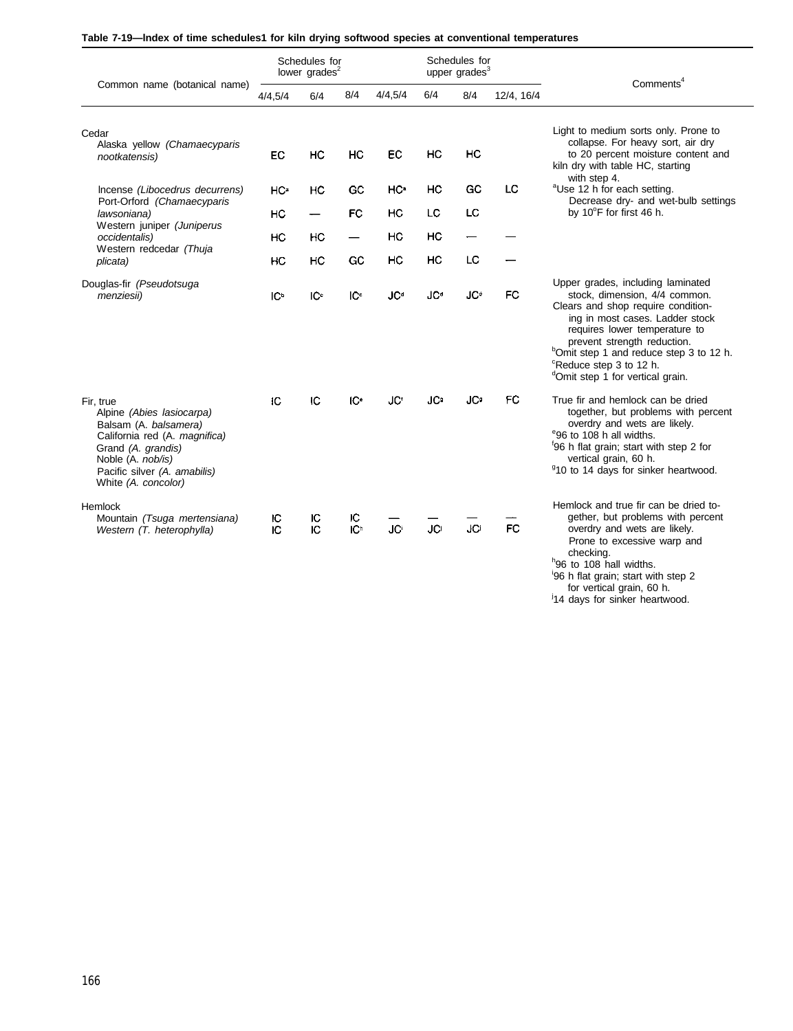| Table 7-19—Index of time schedules1 for kiln drying softwood species at conventional temperatures |  |  |  |
|---------------------------------------------------------------------------------------------------|--|--|--|
|---------------------------------------------------------------------------------------------------|--|--|--|

|                                                                                                                                                                                                    |                 | Schedules for<br>lower grades <sup>2</sup> |                      |                 |                        | Schedules for<br>upper grades <sup>3</sup> |            |                                                                                                                                                                                                                                                                                                                                                           |
|----------------------------------------------------------------------------------------------------------------------------------------------------------------------------------------------------|-----------------|--------------------------------------------|----------------------|-----------------|------------------------|--------------------------------------------|------------|-----------------------------------------------------------------------------------------------------------------------------------------------------------------------------------------------------------------------------------------------------------------------------------------------------------------------------------------------------------|
| Common name (botanical name)                                                                                                                                                                       | 4/4,5/4         | 6/4                                        | 8/4                  | 4/4,5/4         | 6/4                    | 8/4                                        | 12/4, 16/4 | Comments <sup>4</sup>                                                                                                                                                                                                                                                                                                                                     |
| Cedar<br>Alaska yellow (Chamaecyparis<br>nootkatensis)                                                                                                                                             | EC              | HC                                         | HC                   | EC              | HC                     | HC                                         |            | Light to medium sorts only. Prone to<br>collapse. For heavy sort, air dry<br>to 20 percent moisture content and<br>kiln dry with table HC, starting<br>with step 4.                                                                                                                                                                                       |
| Incense (Libocedrus decurrens)                                                                                                                                                                     | HC <sup>a</sup> | HС                                         | GС                   | HC <sup>a</sup> | HC                     | GC                                         | LC         | <sup>a</sup> Use 12 h for each setting.                                                                                                                                                                                                                                                                                                                   |
| Port-Orford (Chamaecyparis<br>lawsoniana)                                                                                                                                                          | HC              | -                                          | <b>FC</b>            | HC              | LC                     | LC                                         |            | Decrease dry- and wet-bulb settings<br>by 10°F for first 46 h.                                                                                                                                                                                                                                                                                            |
| Western juniper (Juniperus<br>occidentalis)                                                                                                                                                        | нс              | HC                                         |                      | НC              | нc                     |                                            |            |                                                                                                                                                                                                                                                                                                                                                           |
| Western redcedar (Thuja<br>plicata)                                                                                                                                                                | нc              | HC                                         | GC                   | HC              | HC                     | LC                                         |            |                                                                                                                                                                                                                                                                                                                                                           |
| Douglas-fir (Pseudotsuga<br>menziesii)                                                                                                                                                             | IC <sup>b</sup> | IC                                         | IC <sub>c</sub>      | <b>JCd</b>      | <b>JC</b> <sup>d</sup> | <b>JC</b> <sup>+</sup>                     | FC         | Upper grades, including laminated<br>stock, dimension, 4/4 common.<br>Clears and shop require condition-<br>ing in most cases. Ladder stock<br>requires lower temperature to<br>prevent strength reduction.<br><sup>b</sup> Omit step 1 and reduce step 3 to 12 h.<br><sup>c</sup> Reduce step 3 to 12 h.<br><sup>d</sup> Omit step 1 for vertical grain. |
| Fir, true<br>Alpine (Abies lasiocarpa)<br>Balsam (A. balsamera)<br>California red (A. magnifica)<br>Grand (A. grandis)<br>Noble (A. nob/is)<br>Pacific silver (A. amabilis)<br>White (A. concolor) | IC              | IC                                         | IC <sup>e</sup>      | JC <sup>®</sup> | <b>JC</b>              | <b>JC</b>                                  | FC         | True fir and hemlock can be dried<br>together, but problems with percent<br>overdry and wets are likely.<br>e96 to 108 h all widths.<br>'96 h flat grain; start with step 2 for<br>vertical grain, 60 h.<br><sup>9</sup> 10 to 14 days for sinker heartwood.                                                                                              |
| Hemlock<br>Mountain (Tsuga mertensiana)<br>Western (T. heterophylla)                                                                                                                               | ю<br>Ю          | ю<br>IC                                    | ю<br>IC <sup>h</sup> | JC              | <b>JC</b>              | JCi                                        | <b>FC</b>  | Hemlock and true fir can be dried to-<br>gether, but problems with percent<br>overdry and wets are likely.<br>Prone to excessive warp and<br>checking.<br>h <sub>96</sub> to 108 hall widths.<br>96 h flat grain; start with step 2<br>for vertical grain, 60 h.<br>14 days for sinker heartwood.                                                         |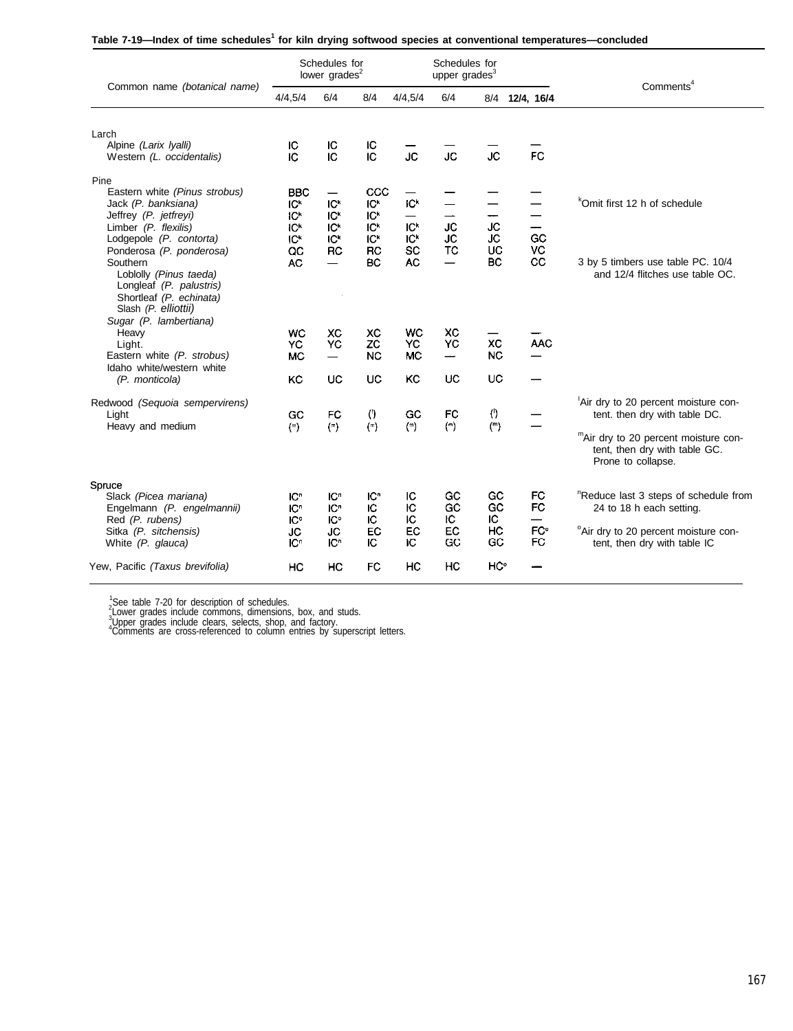| Table 7-19-lndex of time schedules <sup>1</sup> for kiln drying softwood species at conventional temperatures-concluded |  |  |  |
|-------------------------------------------------------------------------------------------------------------------------|--|--|--|
|-------------------------------------------------------------------------------------------------------------------------|--|--|--|

| Common name (botanical name)                                                                                                                                                                                                                                                                                       | Schedules for<br>lower grades <sup>2</sup>                                                    |                                                                                             |                                                                                                    | Schedules for<br>upper grades <sup>3</sup>                               |                                                               |                                    |                                                                      | Comments <sup>4</sup>                                                                                                                                               |  |
|--------------------------------------------------------------------------------------------------------------------------------------------------------------------------------------------------------------------------------------------------------------------------------------------------------------------|-----------------------------------------------------------------------------------------------|---------------------------------------------------------------------------------------------|----------------------------------------------------------------------------------------------------|--------------------------------------------------------------------------|---------------------------------------------------------------|------------------------------------|----------------------------------------------------------------------|---------------------------------------------------------------------------------------------------------------------------------------------------------------------|--|
|                                                                                                                                                                                                                                                                                                                    | 4/4,5/4                                                                                       | 6/4                                                                                         | 8/4                                                                                                | 4/4.5/4                                                                  | 6/4                                                           |                                    | 8/4 12/4, 16/4                                                       |                                                                                                                                                                     |  |
| Larch<br>Alpine (Larix Iyalli)<br>Western (L. occidentalis)                                                                                                                                                                                                                                                        | ю<br>IC                                                                                       | IC<br>IC                                                                                    | IС<br>IC                                                                                           | ĴĆ                                                                       | JC                                                            | <b>JC</b>                          | <b>FC</b>                                                            |                                                                                                                                                                     |  |
| Pine<br>Eastern white (Pinus strobus)<br>Jack (P. banksiana)<br>Jeffrey (P. jetfreyi)<br>Limber (P. flexilis)<br>Lodgepole (P. contorta)<br>Ponderosa (P. ponderosa)<br>Southern<br>Loblolly (Pinus taeda)<br>Longleaf (P. palustris)<br>Shortleaf (P. echinata)<br>Slash (P. elliottii)<br>Sugar (P. lambertiana) | <b>BBC</b><br>IC <sup>k</sup><br>IC <sup>k</sup><br>IC <sup>k</sup><br>IC*<br>QC<br><b>AC</b> | IC <sup>k</sup><br>IC <sup>k</sup><br><b>IC<sup>k</sup></b><br>IC <sup>K</sup><br><b>RC</b> | CCC<br>IC <sup>k</sup><br>IC <sup>k</sup><br>IC <sup>k</sup><br>IC <sup>k</sup><br><b>RC</b><br>BC | IC <sup>*</sup><br>IC <sup>k</sup><br>IC <sup>k</sup><br>SC<br><b>AC</b> | —<br><b>JC</b><br>JC<br><b>TC</b><br>$\overline{\phantom{0}}$ | <b>JC</b><br><b>JC</b><br>UC<br>BC | —<br>$\overline{\phantom{0}}$<br>GC<br>VC<br>CC                      | <sup>k</sup> Omit first 12 h of schedule<br>3 by 5 timbers use table PC. 10/4<br>and 12/4 flitches use table OC.                                                    |  |
| Heavy<br>Light.<br>Eastern white (P. strobus)<br>Idaho white/western white                                                                                                                                                                                                                                         | <b>WC</b><br>YC<br><b>MC</b>                                                                  | XC<br>YC                                                                                    | XC<br>ZC<br><b>NC</b>                                                                              | <b>WC</b><br>YC<br><b>MC</b>                                             | <b>XC</b><br>YC<br>ىست                                        | XC<br><b>NC</b>                    | <b>AAC</b>                                                           |                                                                                                                                                                     |  |
| (P. monticola)                                                                                                                                                                                                                                                                                                     | KC                                                                                            | <b>UC</b>                                                                                   | <b>UC</b>                                                                                          | KC                                                                       | UC                                                            | <b>UC</b>                          |                                                                      |                                                                                                                                                                     |  |
| Redwood (Sequoia sempervirens)<br>Light<br>Heavy and medium                                                                                                                                                                                                                                                        | GC<br>$(\mathbf{m})$                                                                          | <b>FC</b><br>$(\overline{\phantom{a}})$                                                     | $\left( \cdot \right)$<br>$(\mathbf{r})$                                                           | GC<br>$(\mathbb{m})$                                                     | FC<br>$(\overline{\mathbf{r}})$                               | 0<br>$(\overline{\ }$              |                                                                      | Air dry to 20 percent moisture con-<br>tent. then dry with table DC.<br>"Air dry to 20 percent moisture con-<br>tent, then dry with table GC.<br>Prone to collapse. |  |
| Spruce<br>Slack (Picea mariana)<br>Engelmann (P. engelmannii)<br>Red (P. rubens)<br>Sitka (P. sitchensis)<br>White (P. glauca)                                                                                                                                                                                     | IC <sup>n</sup><br>IC <sup>n</sup><br>IC <sup>o</sup><br><b>JC</b><br>IC <sup>n</sup>         | <b>IC</b> <sup>n</sup><br>IC <sup>n</sup><br>IC°<br>JC<br>IC <sup>n</sup>                   | IC"<br>IC<br>ю<br>EC<br>IC.                                                                        | ю<br>Ю<br>Ю<br>EC<br>ю                                                   | GC<br>GC<br>ю<br>EC<br>GC                                     | GC<br>GC<br>IC.<br>HC<br>GC        | FC<br><b>FC</b><br>$\overline{\phantom{0}}$<br>FC <sup>°</sup><br>FC | "Reduce last 3 steps of schedule from<br>24 to 18 h each setting.<br><sup>o</sup> Air dry to 20 percent moisture con-<br>tent, then dry with table IC               |  |
| Yew, Pacific (Taxus brevifolia)                                                                                                                                                                                                                                                                                    | HC                                                                                            | HC                                                                                          | FC                                                                                                 | HC                                                                       | HC                                                            | HC°                                |                                                                      |                                                                                                                                                                     |  |

<sup>1</sup>See table 7-20 for description of schedules.<br><sup>2</sup>Lower grades include commons, dimensions, box, and studs.<br><sup>3</sup>Loper grades include clears, selects, shop, and factory.<br>"Comments are cross-referenced to column entries by s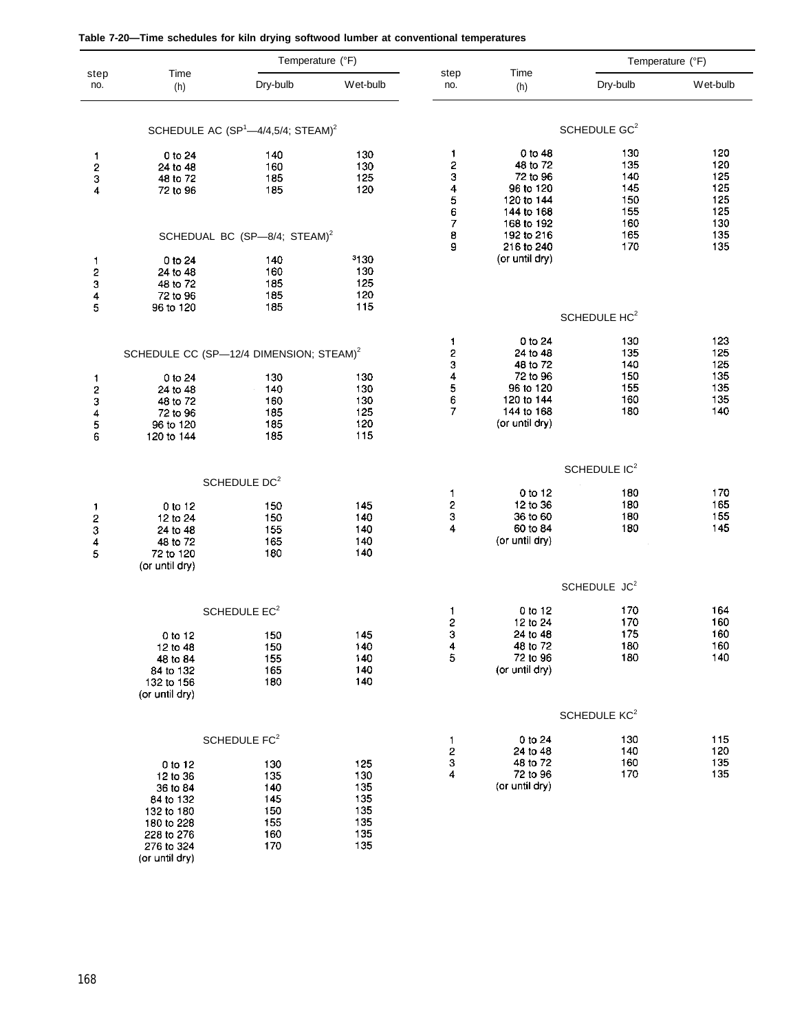| Table 7-20—Time schedules for kiln drying softwood lumber at conventional temperatures |  |  |  |  |
|----------------------------------------------------------------------------------------|--|--|--|--|
|----------------------------------------------------------------------------------------|--|--|--|--|

| step                                                | Time                                                | Temperature (°F)                                 |            | step                                            | Time                         |                          | Temperature (°F) |
|-----------------------------------------------------|-----------------------------------------------------|--------------------------------------------------|------------|-------------------------------------------------|------------------------------|--------------------------|------------------|
| no.                                                 | (h)                                                 | Dry-bulb                                         | Wet-bulb   | no.                                             | (h)                          | Dry-bulb                 | Wet-bulb         |
|                                                     |                                                     | SCHEDULE AC $(SP1—4/4,5/4$ ; STEAM) <sup>2</sup> |            |                                                 |                              | SCHEDULE GC <sup>2</sup> |                  |
| 1                                                   | $0$ to $24$                                         | 140                                              | 130        | 1                                               | 0 to 48                      | 130                      | 120              |
| 2                                                   | 24 to 48                                            | 160                                              | 130        | 2                                               | 48 to 72                     | 135                      | 120              |
| 3                                                   | 48 to 72                                            | 185                                              | 125        |                                                 | 72 to 96                     | 140                      | 125              |
| 4                                                   | 72 to 96                                            | 185                                              | 120        |                                                 | 96 to 120                    | 145                      | 125              |
|                                                     |                                                     |                                                  |            | $\begin{array}{c} 3 \\ 4 \\ 5 \\ 6 \end{array}$ | 120 to 144                   | 150                      | 125              |
|                                                     |                                                     |                                                  |            |                                                 | 144 to 168                   | 155                      | 125              |
|                                                     |                                                     |                                                  |            | 7                                               | 168 to 192                   | 160                      | 130              |
|                                                     |                                                     | SCHEDUAL BC (SP-8/4; STEAM) <sup>2</sup>         |            | 8<br>9                                          | 192 to 216                   | 165<br>170               | 135<br>135       |
|                                                     |                                                     |                                                  | 3130       |                                                 | 216 to 240<br>(or until dry) |                          |                  |
| 1                                                   | $0$ to $24$<br>24 to 48                             | 140<br>160                                       | 130        |                                                 |                              |                          |                  |
| 2                                                   | 48 to 72                                            | 185                                              | 125        |                                                 |                              |                          |                  |
| 3<br>4                                              | 72 to 96                                            | 185                                              | 120        |                                                 |                              |                          |                  |
| 5                                                   | 96 to 120                                           | 185                                              | 115        |                                                 |                              |                          |                  |
|                                                     |                                                     |                                                  |            |                                                 |                              | SCHEDULE HC <sup>2</sup> |                  |
|                                                     |                                                     |                                                  |            | 1                                               | 0 to 24                      | 130                      | 123              |
|                                                     | SCHEDULE CC (SP-12/4 DIMENSION; STEAM) <sup>2</sup> |                                                  |            | 234567                                          | 24 to 48<br>48 to 72         | 135                      | 125              |
|                                                     |                                                     |                                                  |            |                                                 | 72 to 96                     | 140<br>150               | 125<br>135       |
| 1                                                   | 0 to 24<br>24 to 48                                 | 130<br>140                                       | 130<br>130 |                                                 | 96 to 120                    | 155                      | 135              |
|                                                     | 48 to 72                                            | 160                                              | 130        |                                                 | 120 to 144                   | 160                      | 135              |
|                                                     | 72 to 96                                            | 185                                              | 125        |                                                 | 144 to 168                   | 180                      | 140              |
|                                                     | 96 to 120                                           | 185                                              | 120        |                                                 | (or until dry)               |                          |                  |
| 23456                                               | 120 to 144                                          | 185                                              | 115        |                                                 |                              |                          |                  |
|                                                     |                                                     |                                                  |            |                                                 |                              | SCHEDULE IC <sup>2</sup> |                  |
|                                                     |                                                     | SCHEDULE DC <sup>2</sup>                         |            | 1                                               | 0 to 12                      | 180                      | 170              |
|                                                     |                                                     | 150                                              | 145        | $\overline{\mathbf{c}}$                         | 12 to 36                     | 180                      | 165              |
| 1                                                   | 0 to 12<br>12 to 24                                 | 150                                              | 140        | 3                                               | 36 to 60                     | 180                      | 155              |
|                                                     | 24 to 48                                            | 155                                              | 140        | 4                                               | 60 to 84                     | 180                      | 145              |
| $\begin{array}{c}\n 2 \\ 3 \\ 4 \\ 5\n \end{array}$ | 48 to 72                                            | 165                                              | 140        |                                                 | (or until dry)               |                          |                  |
|                                                     | 72 to 120                                           | 180                                              | 140        |                                                 |                              |                          |                  |
|                                                     | (or until dry)                                      |                                                  |            |                                                 |                              |                          |                  |
|                                                     |                                                     |                                                  |            |                                                 |                              | SCHEDULE JC <sup>2</sup> |                  |
|                                                     |                                                     | SCHEDULE EC <sup>2</sup>                         |            | 1                                               | 0 to 12                      | 170                      | 164              |
|                                                     |                                                     |                                                  |            | 2                                               | 12 to 24                     | 170                      | 160              |
|                                                     | 0 to 12                                             | 150                                              | 145        | $\frac{3}{4}$                                   | 24 to 48                     | 175                      | 160              |
|                                                     | 12 to 48                                            | 150                                              | 140        |                                                 | 48 to 72                     | 180                      | 160              |
|                                                     | 48 to 84                                            | 155                                              | 140        | 5                                               | 72 to 96                     | 180                      | 140              |
|                                                     | 84 to 132                                           | 165                                              | 140        |                                                 | (or until dry)               |                          |                  |
|                                                     | 132 to 156                                          | 180                                              | 140        |                                                 |                              |                          |                  |
|                                                     | (or until dry)                                      |                                                  |            |                                                 |                              |                          |                  |
|                                                     |                                                     |                                                  |            |                                                 |                              | SCHEDULE KC <sup>2</sup> |                  |
|                                                     |                                                     | SCHEDULE FC <sup>2</sup>                         |            | 1                                               | 0 to 24<br>24 to 48          | 130<br>140               | 115<br>120       |
|                                                     | 0 to 12                                             | 130                                              | 125        | $\frac{2}{3}$                                   | 48 to 72                     | 160                      | 135              |
|                                                     | 12 to 36                                            | 135                                              | 130        | 4                                               | 72 to 96                     | 170                      | 135              |
|                                                     | 36 to 84                                            | 140                                              | 135        |                                                 | (or until dry)               |                          |                  |
|                                                     | 84 to 132                                           | 145                                              | 135        |                                                 |                              |                          |                  |
|                                                     | 132 to 180                                          | 150                                              | 135        |                                                 |                              |                          |                  |
|                                                     | 180 to 228                                          | 155                                              | 135        |                                                 |                              |                          |                  |
|                                                     | 228 to 276                                          | 160                                              | 135        |                                                 |                              |                          |                  |
|                                                     | 276 to 324                                          | 170                                              | 135        |                                                 |                              |                          |                  |

(or until dry)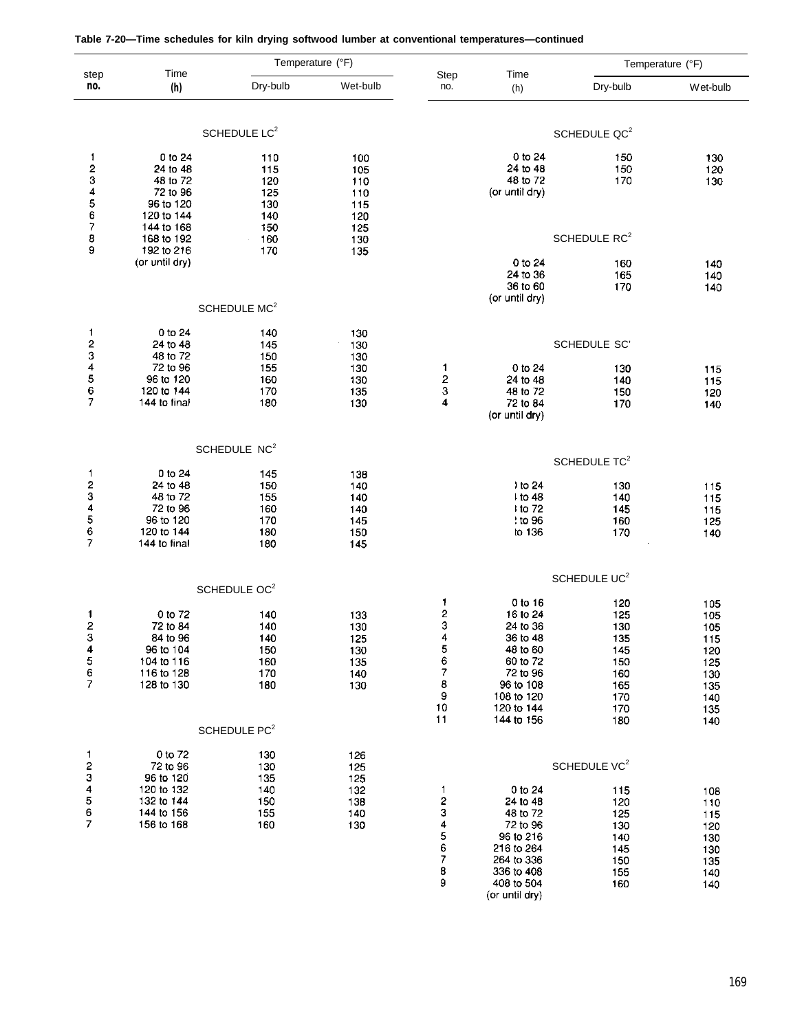|                                                                    | Time                                                                                   | Temperature (°F)                                                                                      |                                               |                                                                             |                                                                                                                                        |                                                                                         | Temperature (°F)                                                          |
|--------------------------------------------------------------------|----------------------------------------------------------------------------------------|-------------------------------------------------------------------------------------------------------|-----------------------------------------------|-----------------------------------------------------------------------------|----------------------------------------------------------------------------------------------------------------------------------------|-----------------------------------------------------------------------------------------|---------------------------------------------------------------------------|
| step<br>no.                                                        | (h)                                                                                    | Dry-bulb                                                                                              | Wet-bulb                                      | Step<br>no.                                                                 | Time<br>(h)                                                                                                                            | Dry-bulb                                                                                | Wet-bulb                                                                  |
|                                                                    |                                                                                        | SCHEDULE LC <sup>2</sup>                                                                              |                                               |                                                                             |                                                                                                                                        | SCHEDULE QC <sup>2</sup>                                                                |                                                                           |
| $\mathbf{1}$<br>2<br>345678                                        | 0 to 24<br>24 to 48<br>48 to 72<br>72 to 96<br>96 to 120<br>120 to 144                 | 110<br>115<br>120<br>125<br>130<br>140                                                                | 100<br>105<br>110<br>110<br>115<br>120        |                                                                             | 0 to 24<br>24 to 48<br>48 to 72<br>(or until dry)                                                                                      | 150<br>150<br>170                                                                       | 130<br>120<br>130                                                         |
|                                                                    | 144 to 168<br>168 to 192                                                               | 150<br>160                                                                                            | 125<br>130                                    |                                                                             |                                                                                                                                        | SCHEDULE RC <sup>2</sup>                                                                |                                                                           |
| 9                                                                  | 192 to 216<br>(or until dry)                                                           | 170                                                                                                   | 135                                           |                                                                             | 0 to 24<br>24 to 36<br>36 to 60<br>(or until dry)                                                                                      | 160<br>165<br>170                                                                       | 140<br>140<br>140                                                         |
|                                                                    |                                                                                        | SCHEDULE MC <sup>2</sup>                                                                              |                                               |                                                                             |                                                                                                                                        |                                                                                         |                                                                           |
| 1                                                                  | 0 to 24<br>24 to 48<br>48 to 72<br>72 to 96                                            | 140<br>145<br>150<br>155                                                                              | 130<br>130<br>130<br>130                      | 1                                                                           | 0 to 24                                                                                                                                | <b>SCHEDULE SC'</b>                                                                     |                                                                           |
| 234567                                                             | 96 to 120<br>120 to 144<br>144 to final                                                | 160<br>170<br>180                                                                                     | 130<br>135<br>130                             | 2<br>3<br>4                                                                 | 24 to 48<br>48 to 72<br>72 to 84<br>(or until dry)                                                                                     | 130<br>140<br>150<br>170                                                                | 115<br>115<br>120<br>140                                                  |
|                                                                    |                                                                                        | SCHEDULE NC <sup>2</sup>                                                                              |                                               |                                                                             |                                                                                                                                        | SCHEDULE TC <sup>2</sup>                                                                |                                                                           |
| 1<br>23456<br>7                                                    | 0 to 24<br>24 to 48<br>48 to 72<br>72 to 96<br>96 to 120<br>120 to 144<br>144 to final | 145<br>150<br>155<br>160<br>170<br>180<br>180                                                         | 138<br>140<br>140<br>140<br>145<br>150<br>145 |                                                                             | $\cdot$ to 24<br>$1$ to 48<br>1 to 72<br>$t$ to 96<br>to 136                                                                           | 130<br>140<br>145<br>160<br>170                                                         | 115<br>115<br>115<br>125<br>140                                           |
|                                                                    |                                                                                        |                                                                                                       |                                               |                                                                             |                                                                                                                                        | SCHEDULE UC <sup>2</sup>                                                                |                                                                           |
| 1<br>$\overline{\mathbf{c}}$<br>3<br>4<br>5<br>6<br>$\overline{7}$ | 0 to 72<br>72 to 84<br>84 to 96<br>96 to 104<br>104 to 116<br>116 to 128<br>128 to 130 | SCHEDULE OC <sup>2</sup><br>140<br>140<br>140<br>150<br>160<br>170<br>180<br>SCHEDULE PC <sup>2</sup> | 133<br>130<br>125<br>130<br>135<br>140<br>130 | 1<br>$\overline{\mathbf{c}}$<br>3<br>4<br>5<br>6<br>7<br>8<br>9<br>10<br>11 | 0 to 16<br>16 to 24<br>24 to 36<br>36 to 48<br>48 to 60<br>60 to 72<br>72 to 96<br>96 to 108<br>108 to 120<br>120 to 144<br>144 to 156 | 120<br>125<br>130<br>135<br>145<br>150<br>160<br>165<br>170<br>170<br>180               | 105<br>105<br>105<br>115<br>120<br>125<br>130<br>135<br>140<br>135<br>140 |
| 1                                                                  | 0 to 72                                                                                | 130                                                                                                   | 126                                           |                                                                             |                                                                                                                                        |                                                                                         |                                                                           |
| $\overline{\mathbf{c}}$<br>3<br>4<br>5<br>6<br>7                   | 72 to 96<br>96 to 120<br>120 to 132<br>132 to 144<br>144 to 156<br>156 to 168          | 130<br>135<br>140<br>150<br>155<br>160                                                                | 125<br>125<br>132<br>138<br>140<br>130        | 1<br>2<br>3<br>4<br>5<br>6<br>7<br>8<br>9                                   | 0 to 24<br>24 to 48<br>48 to 72<br>72 to 96<br>96 to 216<br>216 to 264<br>264 to 336<br>336 to 408<br>408 to 504<br>(or until dry)     | SCHEDULE VC <sup>2</sup><br>115<br>120<br>125<br>130<br>140<br>145<br>150<br>155<br>160 | 108<br>110<br>115<br>120<br>130<br>130<br>135<br>140<br>140               |

#### **Table 7-20—Time schedules for kiln drying softwood lumber at conventional temperatures—continued**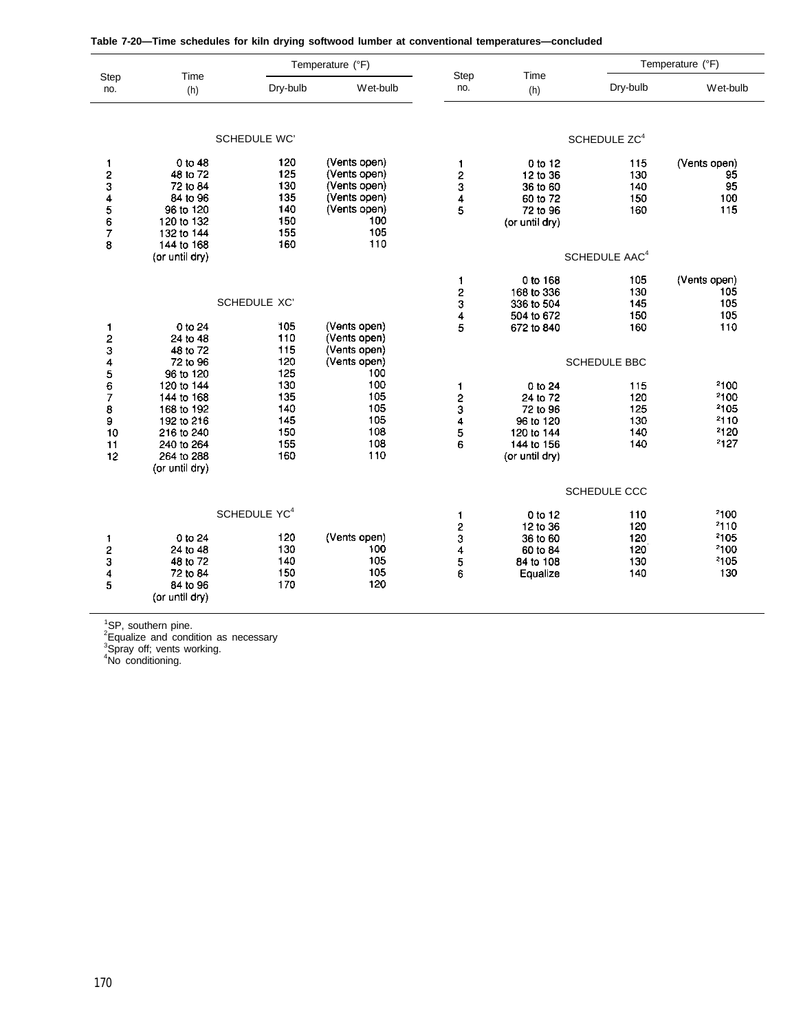|  |  | Table 7-20—Time schedules for kiln drying softwood lumber at conventional temperatures—concluded |
|--|--|--------------------------------------------------------------------------------------------------|
|--|--|--------------------------------------------------------------------------------------------------|

|                                             |                                                                                                                               | Temperature (°F)                                            |                                                                                                   |                                                           | Temperature (°F)                                                                           |                                        |                                              |
|---------------------------------------------|-------------------------------------------------------------------------------------------------------------------------------|-------------------------------------------------------------|---------------------------------------------------------------------------------------------------|-----------------------------------------------------------|--------------------------------------------------------------------------------------------|----------------------------------------|----------------------------------------------|
| Step<br>no.                                 | Time<br>(h)                                                                                                                   | Dry-bulb                                                    | Wet-bulb                                                                                          | Step<br>no.                                               | Time<br>(h)                                                                                | Dry-bulb                               | Wet-bulb                                     |
|                                             |                                                                                                                               | SCHEDULE WC'                                                |                                                                                                   |                                                           |                                                                                            | SCHEDULE ZC <sup>4</sup>               |                                              |
| 1<br>$\frac{2}{3}$<br>4<br>5<br>6<br>7<br>8 | 0 to 48<br>48 to 72<br>72 to 84<br>84 to 96<br>96 to 120<br>120 to 132<br>132 to 144<br>144 to 168                            | 120<br>125<br>130<br>135<br>140<br>150<br>155<br>160        | (Vents open)<br>(Vents open)<br>(Vents open)<br>(Vents open)<br>(Vents open)<br>100<br>105<br>110 | 1<br>2<br>3<br>4<br>5                                     | 0 to 12<br>12 to 36<br>36 to 60<br>60 to 72<br>72 to 96<br>(or until dry)                  | 115<br>130<br>140<br>150<br>160        | (Vents open)<br>95<br>95<br>100<br>115       |
|                                             | (or until dry)                                                                                                                |                                                             |                                                                                                   |                                                           |                                                                                            | SCHEDULE AAC <sup>4</sup>              |                                              |
|                                             | 0 to 24                                                                                                                       | SCHEDULE XC'<br>105                                         | (Vents open)                                                                                      | 1<br>$\overline{c}$<br>3<br>4                             | 0 to 168<br>168 to 336<br>336 to 504<br>504 to 672                                         | 105<br>130<br>145<br>150<br>160        | (Vents open)<br>105<br>105<br>105<br>110     |
| 1<br>$\frac{2}{3}$<br>4                     | 24 to 48<br>48 to 72<br>72 to 96                                                                                              | 110<br>115<br>120                                           | (Vents open)<br>(Vents open)<br>(Vents open)                                                      | 5                                                         | 672 to 840                                                                                 | <b>SCHEDULE BBC</b>                    |                                              |
| 5<br>6<br>7<br>8<br>9<br>10<br>11<br>12     | 96 to 120<br>120 to 144<br>144 to 168<br>168 to 192<br>192 to 216<br>216 to 240<br>240 to 264<br>264 to 288<br>(or until dry) | 125<br>130<br>135<br>140<br>145<br>150<br>155<br>160        | 100<br>100<br>105<br>105<br>105<br>108<br>108<br>110                                              | 1<br>$\frac{2}{3}$<br>4<br>5<br>6                         | 0 to 24<br>24 to 72<br>72 to 96<br>96 to 120<br>120 to 144<br>144 to 156<br>(or until dry) | 115<br>120<br>125<br>130<br>140<br>140 | 2100<br>2100<br>2105<br>2110<br>2120<br>2127 |
|                                             |                                                                                                                               |                                                             |                                                                                                   |                                                           |                                                                                            | <b>SCHEDULE CCC</b>                    |                                              |
| 1<br>$\frac{2}{3}$<br>4<br>5                | 0 to 24<br>24 to 48<br>48 to 72<br>72 to 84<br>84 to 96<br>(or until dry)                                                     | SCHEDULE YC <sup>4</sup><br>120<br>130<br>140<br>150<br>170 | (Vents open)<br>100<br>105<br>105<br>120                                                          | 1<br>2<br>$\begin{array}{c} 3 \\ 4 \\ 5 \end{array}$<br>6 | 0 to 12<br>12 to 36<br>36 to 60<br>60 to 84<br>84 to 108<br>Equalize                       | 110<br>120<br>120<br>120<br>130<br>140 | 2100<br>2110<br>2105<br>2100<br>2105<br>130  |

<sup>1</sup>SP, southern pine.

 $2$ Equalize and condition as necessary

<sup>3</sup>Spray off; vents working.

<sup>4</sup>No conditioning.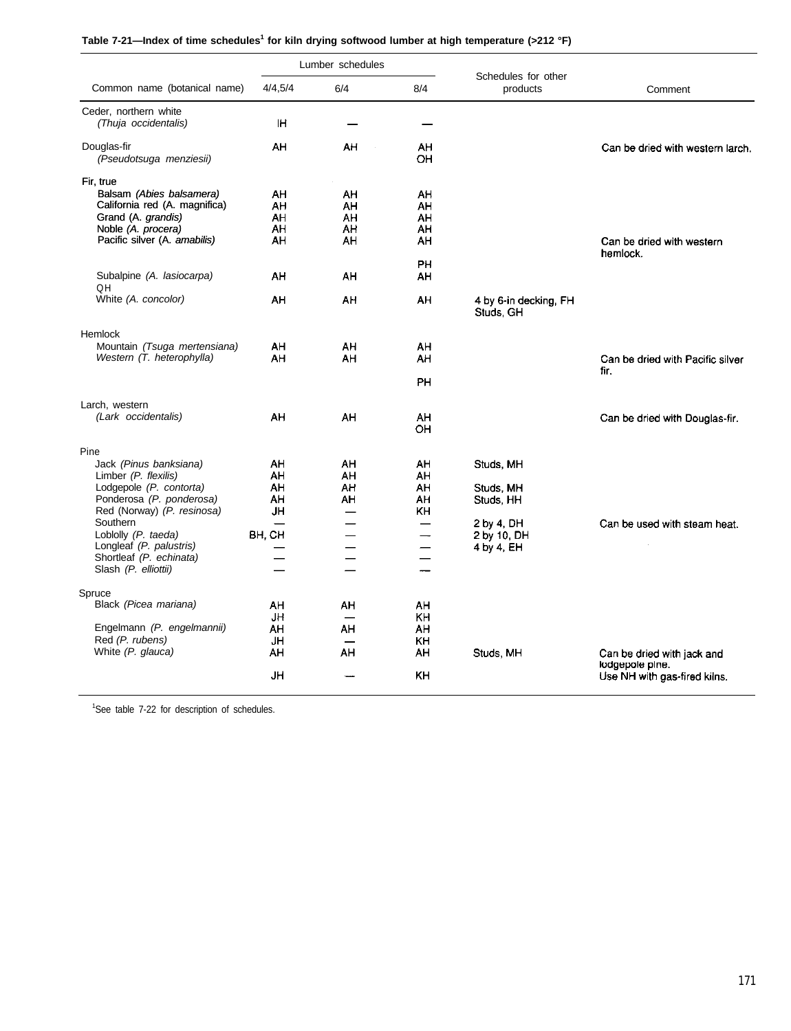| Table 7-21—Index of time schedules <sup>1</sup> for kiln drying softwood lumber at high temperature (>212 °F) |  |  |
|---------------------------------------------------------------------------------------------------------------|--|--|
|---------------------------------------------------------------------------------------------------------------|--|--|

|                                 |         | Lumber schedules         |                          |                                 |                                               |
|---------------------------------|---------|--------------------------|--------------------------|---------------------------------|-----------------------------------------------|
| Common name (botanical name)    | 4/4,5/4 | 6/4                      | 8/4                      | Schedules for other<br>products | Comment                                       |
| Ceder, northern white           |         |                          |                          |                                 |                                               |
| (Thuja occidentalis)            | ΙH      |                          |                          |                                 |                                               |
| Douglas-fir                     | AH      | AH                       | AH                       |                                 | Can be dried with western larch.              |
| (Pseudotsuga menziesii)         |         |                          | OH                       |                                 |                                               |
| Fir, true                       |         |                          |                          |                                 |                                               |
| Balsam (Abies balsamera)        | AH      | AH                       | AH                       |                                 |                                               |
| California red (A. magnifica)   | AH      | AΗ                       | AΗ                       |                                 |                                               |
| Grand (A. grandis)              | AH      | AH                       | AH                       |                                 |                                               |
| Noble (A. procera)              | AH      | AH                       | AH                       |                                 |                                               |
| Pacific silver (A. amabilis)    | AH      | AH                       | AH                       |                                 | Can be dried with western                     |
|                                 |         |                          |                          |                                 | hemlock.                                      |
|                                 |         |                          | PН                       |                                 |                                               |
| Subalpine (A. lasiocarpa)<br>QH | ΑH      | AH                       | AH                       |                                 |                                               |
| White (A. concolor)             | AH      | AH                       | AH                       | 4 by 6-in decking, FH           |                                               |
|                                 |         |                          |                          | Studs, GH                       |                                               |
| Hemlock                         |         |                          |                          |                                 |                                               |
| Mountain (Tsuga mertensiana)    | AH      | AH                       | AΗ                       |                                 |                                               |
| Western (T. heterophylla)       | AH      | AH                       | ΑH                       |                                 | Can be dried with Pacific silver              |
|                                 |         |                          |                          |                                 | fir.                                          |
|                                 |         |                          | PН                       |                                 |                                               |
| Larch, western                  |         |                          |                          |                                 |                                               |
| (Lark occidentalis)             | AH      | AH                       | AH                       |                                 | Can be dried with Douglas-fir.                |
|                                 |         |                          | OH                       |                                 |                                               |
| Pine                            |         |                          |                          |                                 |                                               |
| Jack (Pinus banksiana)          | AH      | AH.                      | AH                       | Studs, MH                       |                                               |
| Limber (P. flexilis)            | AΗ      | AH                       | AH                       |                                 |                                               |
| Lodgepole (P. contorta)         | AH      | AH                       | AH                       | Studs, MH                       |                                               |
| Ponderosa (P. ponderosa)        | AH      | AΗ                       | AH                       | Studs, HH                       |                                               |
| Red (Norway) (P. resinosa)      | JH      |                          | KΗ                       |                                 |                                               |
| Southern                        |         |                          | $\overline{\phantom{0}}$ | 2 by 4, DH                      | Can be used with steam heat.                  |
| Loblolly (P. taeda)             | BH, CH  |                          |                          | 2 by 10, DH                     |                                               |
| Longleaf (P. palustris)         |         |                          |                          | 4 by 4, EH                      |                                               |
| Shortleaf (P. echinata)         |         | $\overline{\phantom{0}}$ |                          |                                 |                                               |
| Slash (P. elliottii)            |         |                          |                          |                                 |                                               |
|                                 |         |                          |                          |                                 |                                               |
| Spruce                          |         |                          |                          |                                 |                                               |
| Black (Picea mariana)           | AΗ      | AH                       | AΗ                       |                                 |                                               |
|                                 | JH      | $\overline{\phantom{0}}$ | KH                       |                                 |                                               |
| Engelmann (P. engelmannii)      | AΗ      | AH                       | AH                       |                                 |                                               |
| Red (P. rubens)                 | JH      |                          | KH                       |                                 |                                               |
| White (P. glauca)               | AH      | AH                       | AH                       | Studs, MH                       | Can be dried with jack and<br>lodgepole pine. |
|                                 | JH      |                          | <b>KH</b>                |                                 | Use NH with gas-fired kilns.                  |

<sup>1</sup>See table 7-22 for description of schedules.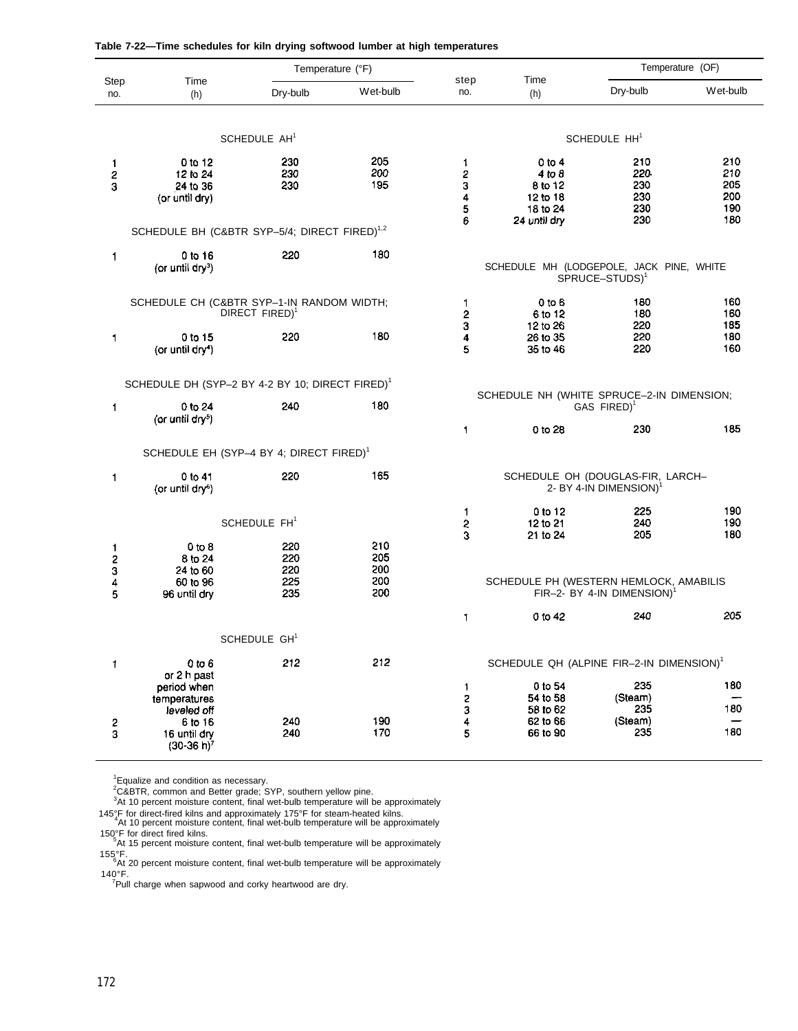|  | Table 7-22—Time schedules for kiln drying softwood lumber at high temperatures |  |  |  |  |
|--|--------------------------------------------------------------------------------|--|--|--|--|
|  |                                                                                |  |  |  |  |

|                            |                                                                                                               |                                 | Temperature (°F)                |                            |                                                                     |                                                           | Temperature (OF)                       |
|----------------------------|---------------------------------------------------------------------------------------------------------------|---------------------------------|---------------------------------|----------------------------|---------------------------------------------------------------------|-----------------------------------------------------------|----------------------------------------|
| Step<br>no.                | Time<br>(h)                                                                                                   | Dry-bulb                        | Wet-bulb                        | step<br>no.                | Time<br>(h)                                                         | Dry-bulb                                                  | Wet-bulb                               |
|                            |                                                                                                               | SCHEDULE AH <sup>1</sup>        |                                 |                            |                                                                     | SCHEDULE HH <sup>1</sup>                                  |                                        |
| 1<br>$\boldsymbol{2}$<br>3 | 0 to 12<br>12 to 24<br>24 to 36<br>(or until dry)<br>SCHEDULE BH (C&BTR SYP-5/4; DIRECT FIRED) <sup>1,2</sup> | 230<br>230<br>230               | 205<br>200<br>195               | 1<br>2<br>3<br>4<br>5<br>6 | 0 to 4<br>4 to 8<br>8 to 12<br>12 to 18<br>18 to 24<br>24 until dry | 210<br>220<br>230<br>230<br>230<br>230                    | 210<br>210<br>205<br>200<br>190<br>180 |
| 1                          | 0 to 16<br>(or until $\frac{dy}{dx}$ )                                                                        | 220                             | 180                             |                            | SCHEDULE MH (LODGEPOLE, JACK PINE, WHITE                            | SPRUCE-STUDS) <sup>1</sup>                                |                                        |
|                            | SCHEDULE CH (C&BTR SYP-1-IN RANDOM WIDTH;                                                                     | DIRECT FIRED) <sup>1</sup>      |                                 | 1<br>2<br>3                | $0$ to $6$<br>6 to 12<br>12 to 26                                   | 180<br>180<br>220                                         | 160<br>160<br>185                      |
| 1                          | 0 to 15<br>(or until dry <sup>4</sup> )                                                                       | 220                             | 180                             | 4<br>5                     | 26 to 35<br>35 to 46                                                | 220<br>220                                                | 180<br>160                             |
|                            | SCHEDULE DH (SYP-2 BY 4-2 BY 10; DIRECT FIRED) <sup>1</sup>                                                   |                                 |                                 |                            | SCHEDULE NH (WHITE SPRUCE-2-IN DIMENSION;                           |                                                           |                                        |
| 1                          | 0 to 24<br>(or until dry <sup>5</sup> )                                                                       | 240                             | 180                             |                            |                                                                     | GAS FIRED) <sup>1</sup>                                   |                                        |
|                            |                                                                                                               |                                 |                                 | 1                          | 0 to 28                                                             | 230                                                       | 185                                    |
|                            | SCHEDULE EH (SYP-4 BY 4; DIRECT FIRED) <sup>1</sup>                                                           |                                 |                                 |                            |                                                                     |                                                           |                                        |
| 1                          | 0 to 41<br>(or until dry <sup>6</sup> )                                                                       | 220                             | 165                             |                            |                                                                     | SCHEDULE OH (DOUGLAS-FIR, LARCH-<br>2- BY 4-IN DIMENSION) |                                        |
|                            |                                                                                                               | SCHEDULE FH <sup>1</sup>        |                                 | 1.<br>2<br>3               | 0 to 12<br>12 to 21<br>21 to 24                                     | 225<br>240<br>205                                         | 190<br>190<br>180                      |
| 1<br>2<br>3<br>4<br>5      | 0 to 8<br>8 to 24<br>24 to 60<br>60 to 96<br>96 until dry                                                     | 220<br>220<br>220<br>225<br>235 | 210<br>205<br>200<br>200<br>200 |                            | SCHEDULE PH (WESTERN HEMLOCK, AMABILIS                              | FIR-2- BY 4-IN DIMENSION)                                 |                                        |
|                            |                                                                                                               |                                 |                                 | 1                          | 0 to 42                                                             | 240                                                       | 205                                    |
|                            |                                                                                                               | SCHEDULE GH <sup>1</sup>        |                                 |                            |                                                                     |                                                           |                                        |
| 1                          | 0 to 6<br>or 2 h past                                                                                         | 212                             | 212                             |                            | SCHEDULE QH (ALPINE FIR-2-IN DIMENSION) <sup>1</sup><br>0 to 54     | 235                                                       | 180                                    |
|                            | period when<br>temperatures                                                                                   |                                 |                                 | $\ddagger$<br>2            | 54 to 58                                                            | (Steam)                                                   | 180                                    |
| 2<br>3                     | leveled off<br>6 to 16                                                                                        | 240                             | 190<br>170                      | 3<br>4<br>5                | 58 to 62<br>62 to 66<br>66 to 90                                    | 235<br>(Steam)<br>235                                     | 180                                    |
|                            | 16 until dry<br>$(30-36 h)^7$                                                                                 | 240                             |                                 |                            |                                                                     |                                                           |                                        |

<sup>1</sup>Equalize and condition as necessary.

 $2C&BTR$ , common and Better grade; SYP, southern yellow pine.

 $3$ At 10 percent moisture content, final wet-bulb temperature will be approximately

145°F for direct-fired kilns and approximately 175°F for steam-heated kilns. <sup>4</sup>At 10 percent moisture content, final wet-bulb temperature will be approximately

150°F for direct fired kilns. <sup>5</sup>At 15 percent moisture content, final wet-bulb temperature will be approximately

155°F.<br><sup>6</sup>At 20 percent moisture content, final wet-bulb temperature will be approximately

140°F.<br><sup>7</sup>Pull charge when sapwood and corky heartwood are dry.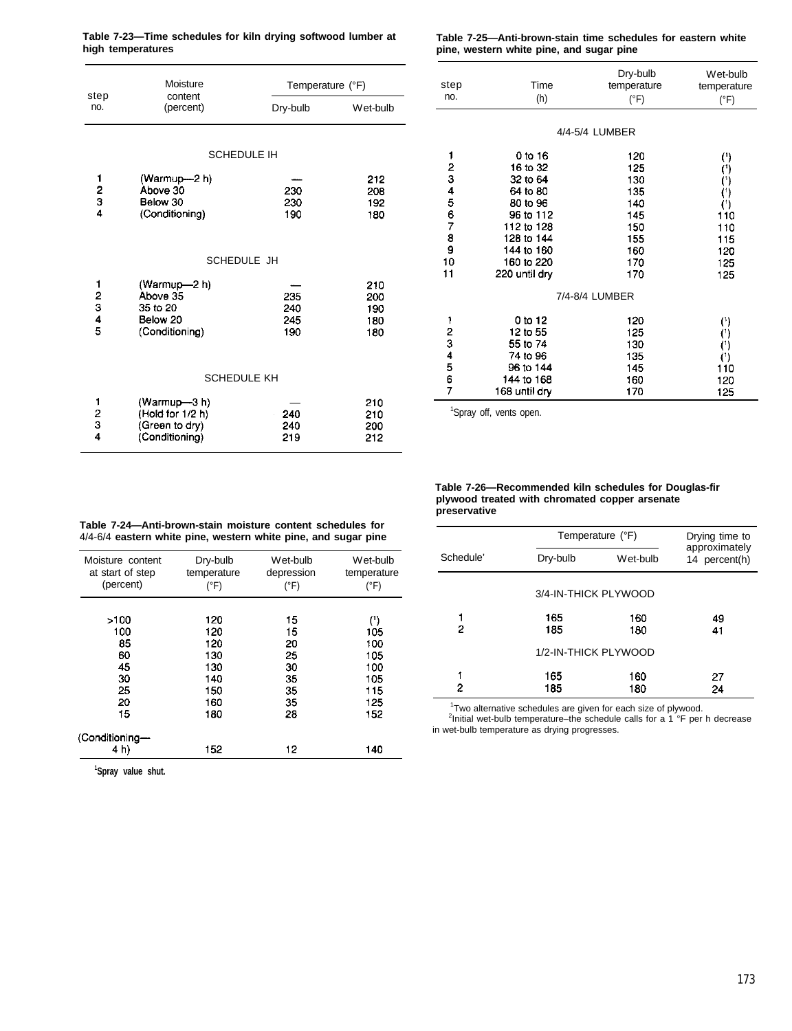| Table 7-23—Time schedules for kiln drying softwood lumber at | Table 7-25—Anti-brown-stain time schedules for eastern white |
|--------------------------------------------------------------|--------------------------------------------------------------|
| high temperatures                                            | pine, western white pine, and sugar pine                     |

|                                          | Table 7-25—Anti-brown-stain time schedules for eastern white |
|------------------------------------------|--------------------------------------------------------------|
| pine, western white pine, and sugar pine |                                                              |

|                                           | Moisture                                                            | Temperature (°F)         |                                 |
|-------------------------------------------|---------------------------------------------------------------------|--------------------------|---------------------------------|
| step<br>no.                               | content<br>(percent)                                                | Dry-bulb                 | Wet-bulb                        |
|                                           |                                                                     | <b>SCHEDULE IH</b>       |                                 |
| $\frac{1}{2}$<br>$\frac{2}{4}$            | (Warmup—2 h)<br>Above 30<br>Below 30<br>(Conditioning)              | 230<br>230<br>190        | 212<br>208<br>192<br>180        |
|                                           |                                                                     | SCHEDULE JH              |                                 |
| 12345                                     | (Warmup-2 h)<br>Above 35<br>35 to 20<br>Below 20<br>(Conditioning)  | 235<br>240<br>245<br>190 | 210<br>200<br>190<br>180<br>180 |
|                                           | <b>SCHEDULE KH</b>                                                  |                          |                                 |
| $\frac{1}{2}$ $\frac{2}{3}$ $\frac{1}{4}$ | (Warmup-3h)<br>(Hold for 1/2 h)<br>(Green to dry)<br>(Conditioning) | 240<br>240<br>219        | 210<br>210<br>200<br>212        |

|          |               | Dry-bulb       | Wet-bulb              |
|----------|---------------|----------------|-----------------------|
| step     | Time          | temperature    | temperature           |
| no.      | (h)           | $(^{\circ}F)$  | $(^{\circ}F)$         |
|          |               |                |                       |
|          |               |                |                       |
|          |               | 4/4-5/4 LUMBER |                       |
| 1        | 0 to 16       | 120            | (')                   |
|          | 16 to 32      | 125            | (*)                   |
|          | 32 to 64      | 130            | $(^{1})$              |
|          | 64 to 80      | 135            | $( ^{\prime })$       |
|          | 80 to 96      | 140            | O                     |
|          | 96 to 112     | 145            | 110                   |
|          | 112 to 128    | 150            | 110                   |
| 23456789 | 128 to 144    | 155            | 115                   |
|          | 144 to 160    | 160            | 120                   |
| 10       | 160 to 220    | 170            | 125                   |
| 11       | 220 until dry | 170            | 125                   |
|          |               | 7/4-8/4 LUMBER |                       |
| 1        | 0 to 12       |                |                       |
| 2        | 12 to 55      | 120<br>125     | $($ ')                |
| 3        | 55 to 74      |                | $($ ' $)$             |
| 4        | 74 to 96      | 130            | $^{\left( 1\right) }$ |
|          | 96 to 144     | 135            | $^{\left( 1\right) }$ |
| 5<br>6   | 144 to 168    | 145            | 110                   |
| 7        | 168 until dry | 160<br>170     | 120                   |
|          |               |                | 125                   |
| $1\sim$  |               |                |                       |

<sup>1</sup>Spray off, vents open.

#### **Table 7-24—Anti-brown-stain moisture content schedules for** 4/4-6/4 **eastern white pine, western white pine, and sugar pine preservative**

| Moisture content       | Dry-bulb    | Wet-bulb   | Wet-bulb            |
|------------------------|-------------|------------|---------------------|
| at start of step       | temperature | depression | temperature         |
| (percent)              | (°F)        | (°F)       | $(^{\circ}F)$       |
| >100                   | 120         | 15         | $^{\left(1\right)}$ |
| 100                    | 120         | 15         | 105                 |
| 85                     | 120         | 20         | 100                 |
| 60                     | 130         | 25         | 105                 |
| 45                     | 130         | 30         | 100                 |
| 30                     | 140         | 35         | 105                 |
| 25                     | 150         | 35         | 115                 |
| 20                     | 160         | 35         | 125                 |
| 15                     | 180         | 28         | 152                 |
| (Conditioning-<br>4 h) | 152         | 12         | 140                 |

|           | Temperature (°F)     | Drying time to |                                |
|-----------|----------------------|----------------|--------------------------------|
| Schedule' | Dry-bulb             | Wet-bulb       | approximately<br>14 percent(h) |
|           | 3/4-IN-THICK PLYWOOD |                |                                |
| 2         | 165<br>185           | 160<br>180     | 49<br>41                       |
|           | 1/2-IN-THICK PLYWOOD |                |                                |
| 2         | 165<br>185           | 160<br>180     | 27<br>24                       |

**Table 7-26—Recommended kiln schedules for Douglas-fir plywood treated with chromated copper arsenate**

<sup>1</sup>Two alternative schedules are given for each size of plywood.<br><sup>2</sup>Initial wet-bulb temperature–the schedule calls for a 1 °F per h decrease in wet-bulb temperature as drying progresses.

**<sup>1</sup>Spray value shut.**

#### 173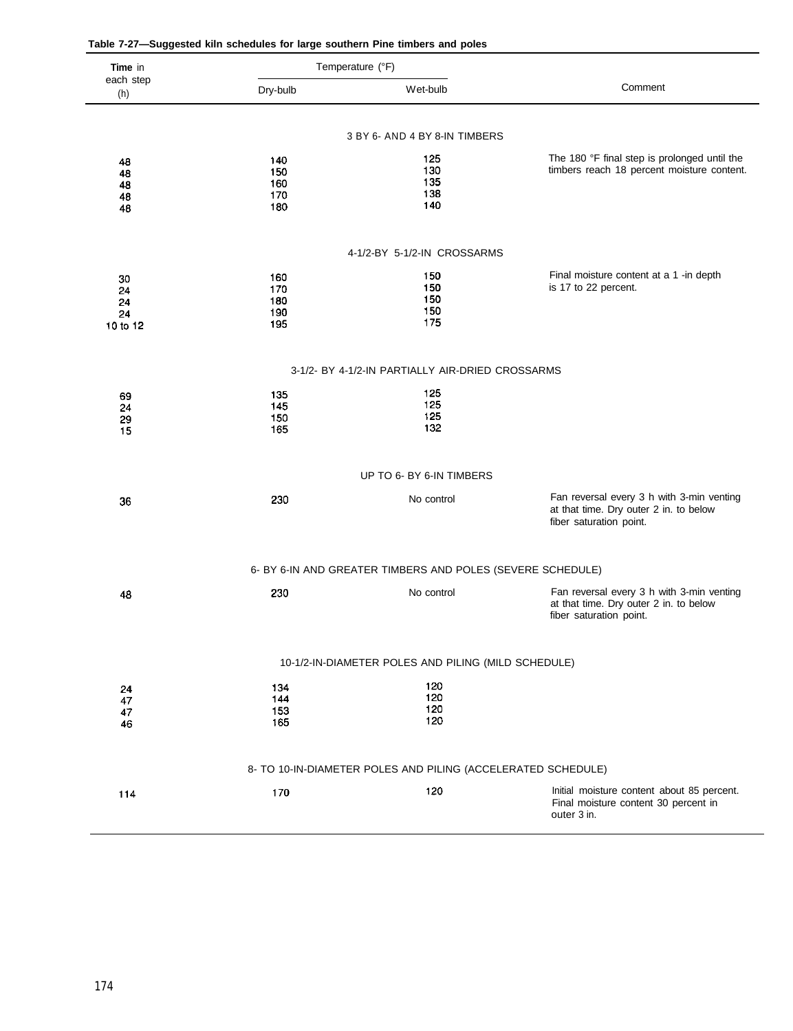| Time in          |            | Temperature (°F)                                             |                                                                                                                |
|------------------|------------|--------------------------------------------------------------|----------------------------------------------------------------------------------------------------------------|
| each step<br>(h) | Dry-bulb   | Wet-bulb                                                     | Comment                                                                                                        |
|                  |            |                                                              |                                                                                                                |
|                  |            | 3 BY 6- AND 4 BY 8-IN TIMBERS                                |                                                                                                                |
| 48<br>48         | 140<br>150 | 125<br>130                                                   | The 180 °F final step is prolonged until the<br>timbers reach 18 percent moisture content.                     |
| 48<br>48         | 160<br>170 | 135<br>138                                                   |                                                                                                                |
| 48               | 180        | 140                                                          |                                                                                                                |
|                  |            | 4-1/2-BY 5-1/2-IN CROSSARMS                                  |                                                                                                                |
|                  | 160        | 150                                                          | Final moisture content at a 1 -in depth                                                                        |
| 30<br>24         | 170        | 150                                                          | is 17 to 22 percent.                                                                                           |
| 24<br>24         | 180<br>190 | 150<br>150                                                   |                                                                                                                |
| 10 to 12         | 195        | 175                                                          |                                                                                                                |
|                  |            | 3-1/2- BY 4-1/2-IN PARTIALLY AIR-DRIED CROSSARMS             |                                                                                                                |
| 69               | 135        | 125                                                          |                                                                                                                |
| 24<br>29         | 145<br>150 | 125<br>125                                                   |                                                                                                                |
| 15               | 165        | 132                                                          |                                                                                                                |
|                  |            | UP TO 6- BY 6-IN TIMBERS                                     |                                                                                                                |
| 36               | 230        | No control                                                   | Fan reversal every 3 h with 3-min venting                                                                      |
|                  |            |                                                              | at that time. Dry outer 2 in. to below<br>fiber saturation point.                                              |
|                  |            |                                                              |                                                                                                                |
|                  |            | 6- BY 6-IN AND GREATER TIMBERS AND POLES (SEVERE SCHEDULE)   |                                                                                                                |
| 48               | 230        | No control                                                   | Fan reversal every 3 h with 3-min venting<br>at that time. Dry outer 2 in. to below<br>fiber saturation point. |
|                  |            | 10-1/2-IN-DIAMETER POLES AND PILING (MILD SCHEDULE)          |                                                                                                                |
|                  |            |                                                              |                                                                                                                |
| 24<br>47         | 134<br>144 | 120<br>120                                                   |                                                                                                                |
| 47               | 153<br>165 | 120<br>120                                                   |                                                                                                                |
| 46               |            |                                                              |                                                                                                                |
|                  |            | 8- TO 10-IN-DIAMETER POLES AND PILING (ACCELERATED SCHEDULE) |                                                                                                                |
| 114              | 170        | 120                                                          | Initial moisture content about 85 percent.<br>Final moisture content 30 percent in                             |
|                  |            |                                                              | outer 3 in.                                                                                                    |
|                  |            |                                                              |                                                                                                                |

| Table 7-27-Suggested kiln schedules for large southern Pine timbers and poles |  |  |  |  |
|-------------------------------------------------------------------------------|--|--|--|--|
|-------------------------------------------------------------------------------|--|--|--|--|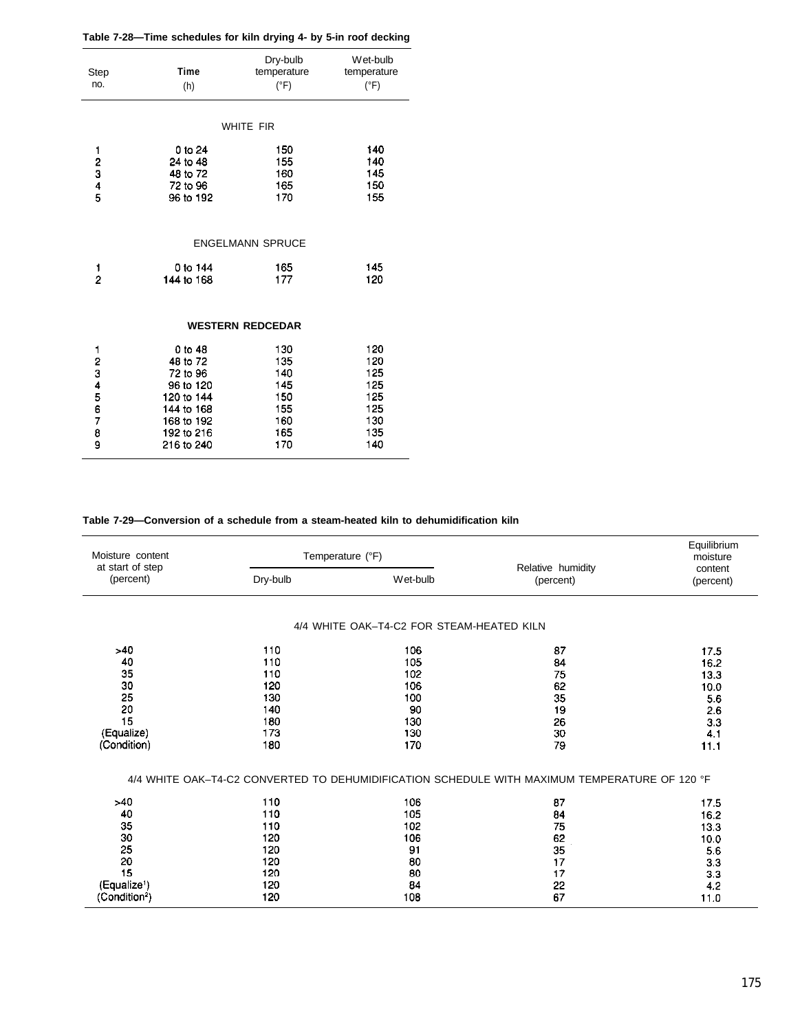| Step<br>no.         | <b>Time</b><br>(h)                                                                                                 | Dry-bulb<br>temperature<br>$(^{\circ}F)$                    | Wet-bulb<br>temperature<br>$(^{\circ}F)$                    |
|---------------------|--------------------------------------------------------------------------------------------------------------------|-------------------------------------------------------------|-------------------------------------------------------------|
|                     |                                                                                                                    | <b>WHITE FIR</b>                                            |                                                             |
| 12345               | 0 to 24<br>24 to 48<br>48 to 72<br>72 to 96<br>96 to 192                                                           | 150<br>155<br>160<br>165<br>170                             | 140<br>140<br>145<br>150<br>155                             |
|                     |                                                                                                                    | <b>ENGELMANN SPRUCE</b>                                     |                                                             |
| 1<br>$\overline{2}$ | 0 to 144<br>144 to 168                                                                                             | 165<br>177                                                  | 145<br>120                                                  |
|                     |                                                                                                                    | <b>WESTERN REDCEDAR</b>                                     |                                                             |
| 1234567<br>8<br>9   | 0 to 48<br>48 to 72<br>72 to 96<br>96 to 120<br>120 to 144<br>144 to 168<br>168 to 192<br>192 to 216<br>216 to 240 | 130<br>135<br>140<br>145<br>150<br>155<br>160<br>165<br>170 | 120<br>120<br>125<br>125<br>125<br>125<br>130<br>135<br>140 |

**Table 7-29—Conversion of a schedule from a steam-heated kiln to dehumidification kiln**

| Moisture content<br>at start of step |          | Temperature (°F)                          | Relative humidity                                                                             |                      |
|--------------------------------------|----------|-------------------------------------------|-----------------------------------------------------------------------------------------------|----------------------|
| (percent)                            | Dry-bulb | Wet-bulb                                  | (percent)                                                                                     | content<br>(percent) |
|                                      |          | 4/4 WHITE OAK-T4-C2 FOR STEAM-HEATED KILN |                                                                                               |                      |
| >40                                  | 110      | 106                                       | 87                                                                                            | 17.5                 |
| 40                                   | 110      | 105                                       | 84                                                                                            | 16.2                 |
| 35                                   | 110      | 102                                       | 75                                                                                            | 13.3                 |
| 30                                   | 120      | 106                                       | 62                                                                                            | 10.0                 |
| 25                                   | 130      | 100                                       | 35                                                                                            | 5.6                  |
| 20                                   | 140      | 90                                        | 19                                                                                            | 2.6                  |
| 15                                   | 180      | 130                                       | 26                                                                                            | 3.3                  |
| (Equalize)                           | 173      | 130                                       | 30                                                                                            | 4.1                  |
| (Condition)                          | 180      | 170                                       | 79                                                                                            | 11.1                 |
| >40                                  | 110      |                                           | 4/4 WHITE OAK-T4-C2 CONVERTED TO DEHUMIDIFICATION SCHEDULE WITH MAXIMUM TEMPERATURE OF 120 °F |                      |
| 40                                   | 110      | 106<br>105                                | 87<br>84                                                                                      | 17.5                 |
| 35                                   | 110      | 102                                       | 75                                                                                            | 16.2                 |
| 30                                   | 120      | 106                                       |                                                                                               | 13.3                 |
| 25                                   | 120      | 91                                        | 62<br>35                                                                                      | 10.0                 |
| 20                                   | 120      | 80                                        | 17                                                                                            | 5.6<br>3.3           |
| 15                                   | 120      | 80                                        | 17                                                                                            |                      |
| (Equalize <sup>1</sup> )             | 120      | 84                                        | 22                                                                                            | 3.3<br>4.2           |
| (Condition <sup>2</sup> )            | 120      | 108                                       | 67                                                                                            | 11.0                 |
|                                      |          |                                           |                                                                                               |                      |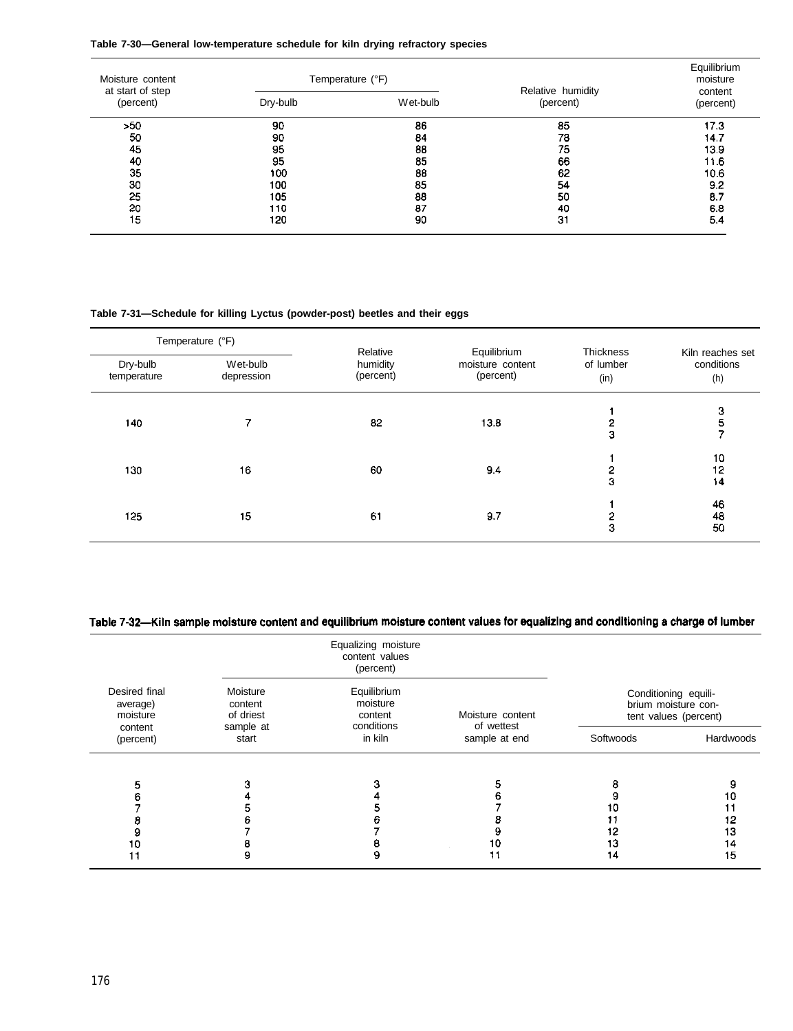| Table 7-30-General low-temperature schedule for kiln drying refractory species |  |  |  |  |
|--------------------------------------------------------------------------------|--|--|--|--|
|--------------------------------------------------------------------------------|--|--|--|--|

| Moisture content<br>at start of step | Temperature (°F) |          | Relative humidity | Equilibrium<br>moisture<br>content |
|--------------------------------------|------------------|----------|-------------------|------------------------------------|
| (percent)                            | Dry-bulb         | Wet-bulb | (percent)         | (percent)                          |
| >50                                  | 90               | 86       | 85                | 17.3                               |
| 50                                   | 90               | 84       | 78                | 14.7                               |
| 45                                   | 95               | 88       | 75                | 13.9                               |
| 40                                   | 95               | 85       | 66                | 11.6                               |
| 35                                   | 100              | 88       | 62                | 10.6                               |
| 30                                   | 100              | 85       | 54                | 9.2                                |
| 25                                   | 105              | 88       | 50                | 8.7                                |
| 20                                   | 110              | 87       | 40                | 6.8                                |
| 15                                   | 120              | 90       | 31                | 5.4                                |

#### **Table 7-31—Schedule for killing Lyctus (powder-post) beetles and their eggs**

| Temperature (°F)        |                        |                                   |                                              |                                |                                       |
|-------------------------|------------------------|-----------------------------------|----------------------------------------------|--------------------------------|---------------------------------------|
| Dry-bulb<br>temperature | Wet-bulb<br>depression | Relative<br>humidity<br>(percent) | Equilibrium<br>moisture content<br>(percent) | Thickness<br>of lumber<br>(in) | Kiln reaches set<br>conditions<br>(h) |
| 140                     |                        | 82                                | 13.8                                         | 2<br>3                         | 3<br>5                                |
| 130                     | 16                     | 60                                | 9.4                                          | 3                              | 10<br>12<br>14                        |
| 125                     | 15                     | 61                                | 9.7                                          | 3                              | 46<br>48<br>50                        |

# Table 7-32-Kiln sample moisture content and equilibrium moisture content values for equalizing and conditioning a charge of lumber

| Desired final<br>average)<br>moisture<br>content<br>(percent) | Equalizing moisture<br>content values<br>(percent) |                                                                                   |                                                 |                                                                      |           |  |
|---------------------------------------------------------------|----------------------------------------------------|-----------------------------------------------------------------------------------|-------------------------------------------------|----------------------------------------------------------------------|-----------|--|
|                                                               | Moisture<br>content<br>of driest                   | Equilibrium<br>moisture<br>content<br>conditions<br>sample at<br>in kiln<br>start | Moisture content<br>of wettest<br>sample at end | Conditioning equili-<br>brium moisture con-<br>tent values (percent) |           |  |
|                                                               |                                                    |                                                                                   |                                                 | Softwoods                                                            | Hardwoods |  |
|                                                               |                                                    |                                                                                   |                                                 |                                                                      |           |  |
|                                                               |                                                    |                                                                                   |                                                 |                                                                      |           |  |
|                                                               |                                                    |                                                                                   |                                                 | 10                                                                   |           |  |
|                                                               |                                                    |                                                                                   |                                                 | 12                                                                   | 13        |  |
| Ð                                                             |                                                    |                                                                                   | 10                                              | 13                                                                   | 14        |  |
|                                                               |                                                    | 9                                                                                 | 11                                              | 14                                                                   | 15        |  |